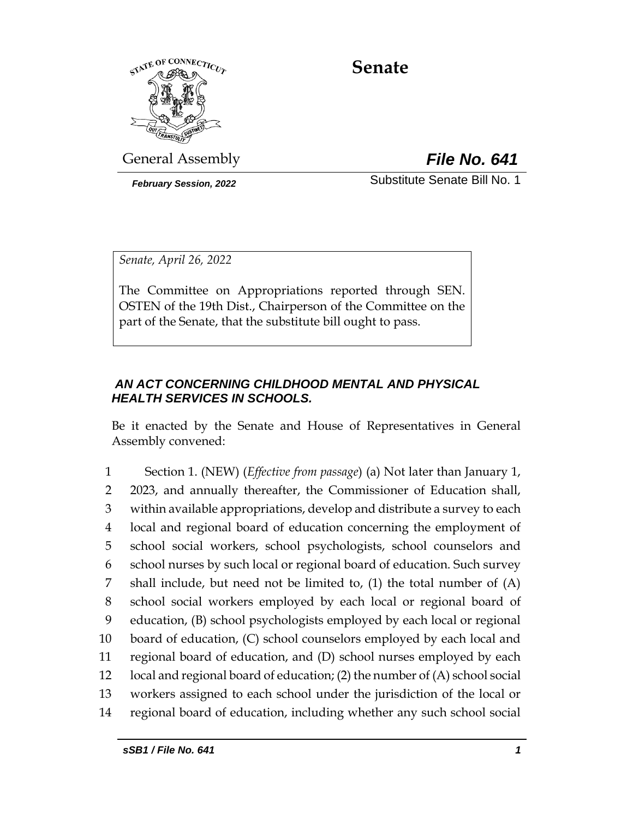

# **Senate**

General Assembly *File No. 641*

*February Session, 2022* Substitute Senate Bill No. 1

*Senate, April 26, 2022*

The Committee on Appropriations reported through SEN. OSTEN of the 19th Dist., Chairperson of the Committee on the part of the Senate, that the substitute bill ought to pass.

# *AN ACT CONCERNING CHILDHOOD MENTAL AND PHYSICAL HEALTH SERVICES IN SCHOOLS.*

Be it enacted by the Senate and House of Representatives in General Assembly convened:

 Section 1. (NEW) (*Effective from passage*) (a) Not later than January 1, 2023, and annually thereafter, the Commissioner of Education shall, within available appropriations, develop and distribute a survey to each local and regional board of education concerning the employment of school social workers, school psychologists, school counselors and school nurses by such local or regional board of education. Such survey shall include, but need not be limited to, (1) the total number of (A) school social workers employed by each local or regional board of education, (B) school psychologists employed by each local or regional board of education, (C) school counselors employed by each local and regional board of education, and (D) school nurses employed by each local and regional board of education; (2) the number of (A) school social workers assigned to each school under the jurisdiction of the local or regional board of education, including whether any such school social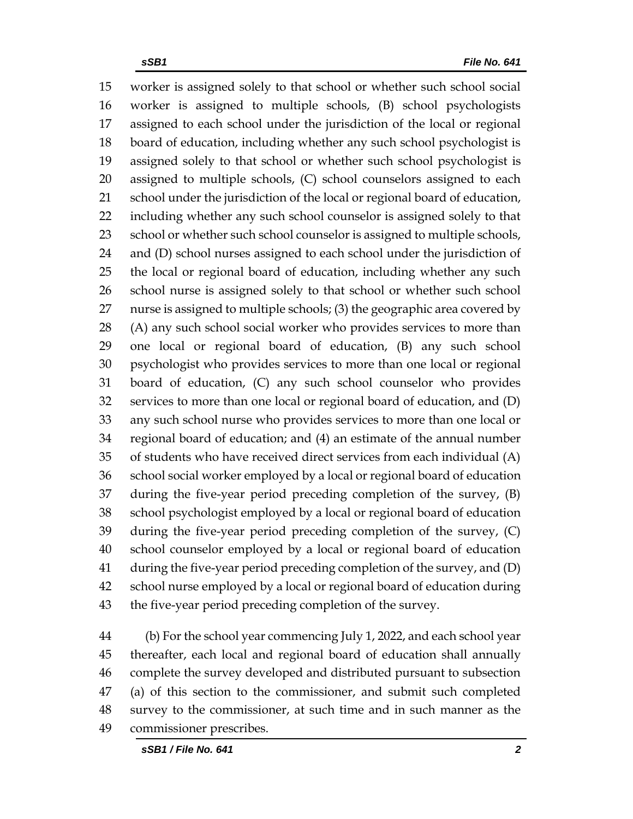worker is assigned solely to that school or whether such school social worker is assigned to multiple schools, (B) school psychologists assigned to each school under the jurisdiction of the local or regional board of education, including whether any such school psychologist is assigned solely to that school or whether such school psychologist is assigned to multiple schools, (C) school counselors assigned to each school under the jurisdiction of the local or regional board of education, including whether any such school counselor is assigned solely to that 23 school or whether such school counselor is assigned to multiple schools, and (D) school nurses assigned to each school under the jurisdiction of the local or regional board of education, including whether any such school nurse is assigned solely to that school or whether such school nurse is assigned to multiple schools; (3) the geographic area covered by (A) any such school social worker who provides services to more than one local or regional board of education, (B) any such school psychologist who provides services to more than one local or regional board of education, (C) any such school counselor who provides services to more than one local or regional board of education, and (D) any such school nurse who provides services to more than one local or regional board of education; and (4) an estimate of the annual number of students who have received direct services from each individual (A) school social worker employed by a local or regional board of education during the five-year period preceding completion of the survey, (B) school psychologist employed by a local or regional board of education during the five-year period preceding completion of the survey, (C) school counselor employed by a local or regional board of education during the five-year period preceding completion of the survey, and (D) school nurse employed by a local or regional board of education during the five-year period preceding completion of the survey.

 (b) For the school year commencing July 1, 2022, and each school year thereafter, each local and regional board of education shall annually complete the survey developed and distributed pursuant to subsection (a) of this section to the commissioner, and submit such completed survey to the commissioner, at such time and in such manner as the commissioner prescribes.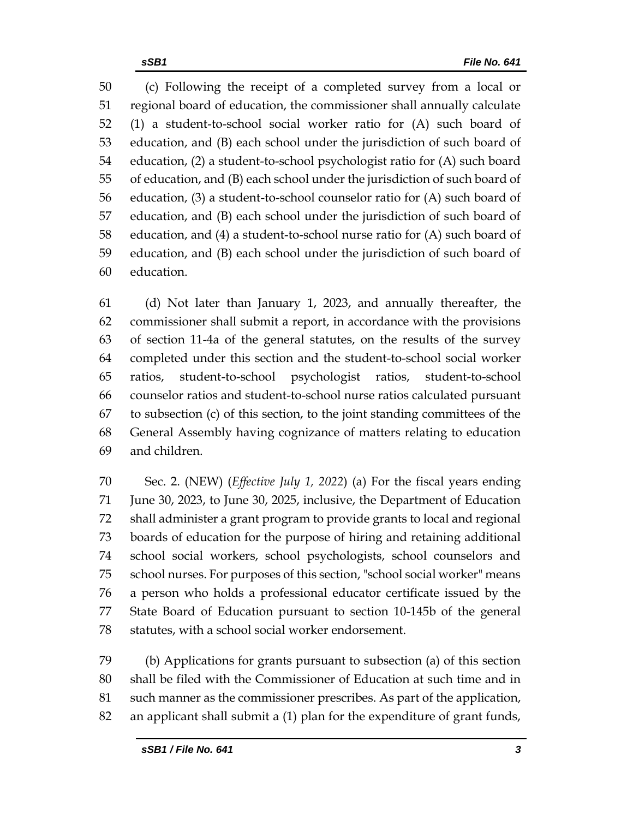(c) Following the receipt of a completed survey from a local or regional board of education, the commissioner shall annually calculate (1) a student-to-school social worker ratio for (A) such board of education, and (B) each school under the jurisdiction of such board of education, (2) a student-to-school psychologist ratio for (A) such board of education, and (B) each school under the jurisdiction of such board of education, (3) a student-to-school counselor ratio for (A) such board of education, and (B) each school under the jurisdiction of such board of education, and (4) a student-to-school nurse ratio for (A) such board of education, and (B) each school under the jurisdiction of such board of education.

 (d) Not later than January 1, 2023, and annually thereafter, the commissioner shall submit a report, in accordance with the provisions of section 11-4a of the general statutes, on the results of the survey completed under this section and the student-to-school social worker ratios, student-to-school psychologist ratios, student-to-school counselor ratios and student-to-school nurse ratios calculated pursuant to subsection (c) of this section, to the joint standing committees of the General Assembly having cognizance of matters relating to education and children.

 Sec. 2. (NEW) (*Effective July 1, 2022*) (a) For the fiscal years ending June 30, 2023, to June 30, 2025, inclusive, the Department of Education shall administer a grant program to provide grants to local and regional boards of education for the purpose of hiring and retaining additional school social workers, school psychologists, school counselors and school nurses. For purposes of this section, "school social worker" means a person who holds a professional educator certificate issued by the State Board of Education pursuant to section 10-145b of the general statutes, with a school social worker endorsement.

 (b) Applications for grants pursuant to subsection (a) of this section shall be filed with the Commissioner of Education at such time and in such manner as the commissioner prescribes. As part of the application, an applicant shall submit a (1) plan for the expenditure of grant funds,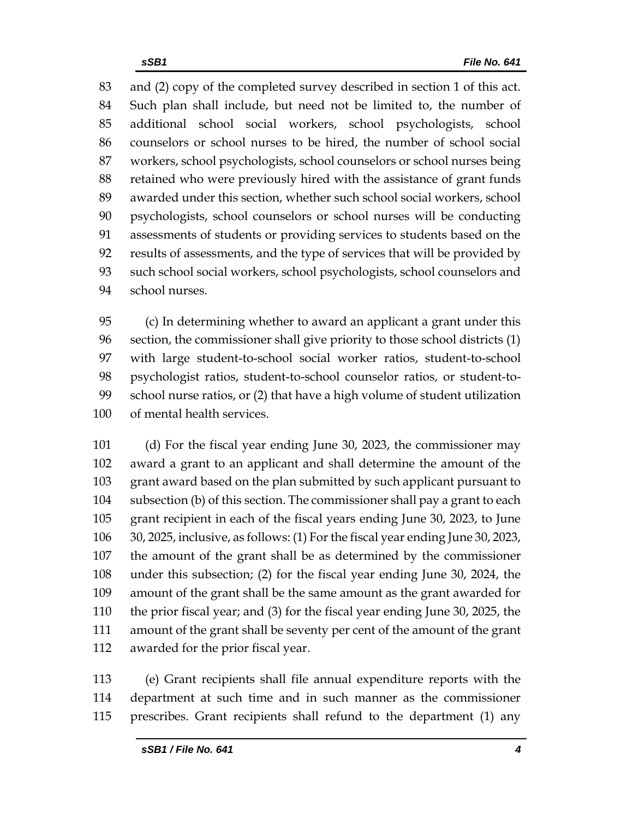and (2) copy of the completed survey described in section 1 of this act. Such plan shall include, but need not be limited to, the number of additional school social workers, school psychologists, school counselors or school nurses to be hired, the number of school social workers, school psychologists, school counselors or school nurses being retained who were previously hired with the assistance of grant funds awarded under this section, whether such school social workers, school psychologists, school counselors or school nurses will be conducting assessments of students or providing services to students based on the results of assessments, and the type of services that will be provided by such school social workers, school psychologists, school counselors and school nurses.

 (c) In determining whether to award an applicant a grant under this section, the commissioner shall give priority to those school districts (1) with large student-to-school social worker ratios, student-to-school psychologist ratios, student-to-school counselor ratios, or student-to- school nurse ratios, or (2) that have a high volume of student utilization of mental health services.

 (d) For the fiscal year ending June 30, 2023, the commissioner may award a grant to an applicant and shall determine the amount of the grant award based on the plan submitted by such applicant pursuant to subsection (b) of this section. The commissioner shall pay a grant to each grant recipient in each of the fiscal years ending June 30, 2023, to June 30, 2025, inclusive, as follows: (1) For the fiscal year ending June 30, 2023, the amount of the grant shall be as determined by the commissioner under this subsection; (2) for the fiscal year ending June 30, 2024, the amount of the grant shall be the same amount as the grant awarded for the prior fiscal year; and (3) for the fiscal year ending June 30, 2025, the amount of the grant shall be seventy per cent of the amount of the grant awarded for the prior fiscal year.

 (e) Grant recipients shall file annual expenditure reports with the department at such time and in such manner as the commissioner prescribes. Grant recipients shall refund to the department (1) any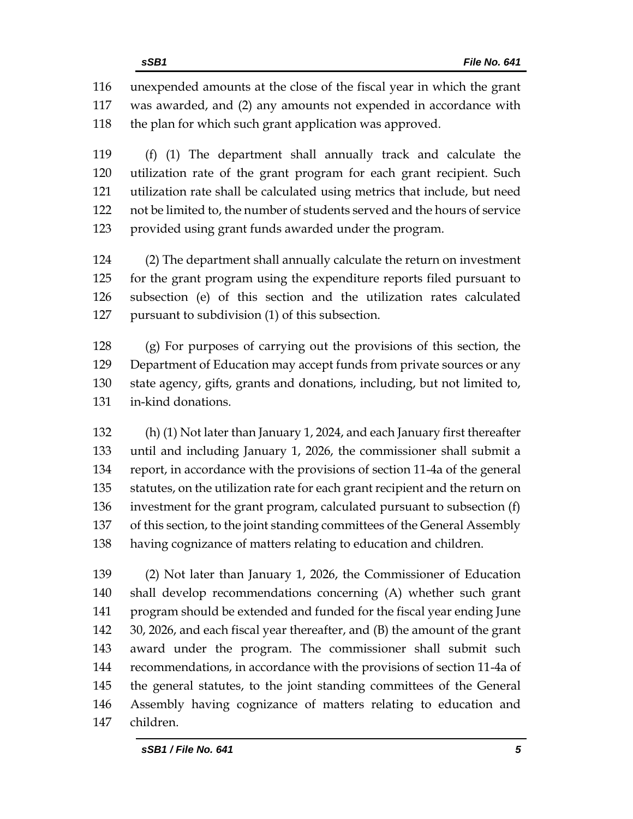unexpended amounts at the close of the fiscal year in which the grant was awarded, and (2) any amounts not expended in accordance with 118 the plan for which such grant application was approved.

 (f) (1) The department shall annually track and calculate the utilization rate of the grant program for each grant recipient. Such utilization rate shall be calculated using metrics that include, but need not be limited to, the number of students served and the hours of service provided using grant funds awarded under the program.

 (2) The department shall annually calculate the return on investment for the grant program using the expenditure reports filed pursuant to subsection (e) of this section and the utilization rates calculated pursuant to subdivision (1) of this subsection.

 (g) For purposes of carrying out the provisions of this section, the Department of Education may accept funds from private sources or any state agency, gifts, grants and donations, including, but not limited to, in-kind donations.

 (h) (1) Not later than January 1, 2024, and each January first thereafter until and including January 1, 2026, the commissioner shall submit a report, in accordance with the provisions of section 11-4a of the general statutes, on the utilization rate for each grant recipient and the return on investment for the grant program, calculated pursuant to subsection (f) of this section, to the joint standing committees of the General Assembly having cognizance of matters relating to education and children.

 (2) Not later than January 1, 2026, the Commissioner of Education shall develop recommendations concerning (A) whether such grant program should be extended and funded for the fiscal year ending June 30, 2026, and each fiscal year thereafter, and (B) the amount of the grant award under the program. The commissioner shall submit such recommendations, in accordance with the provisions of section 11-4a of the general statutes, to the joint standing committees of the General Assembly having cognizance of matters relating to education and children.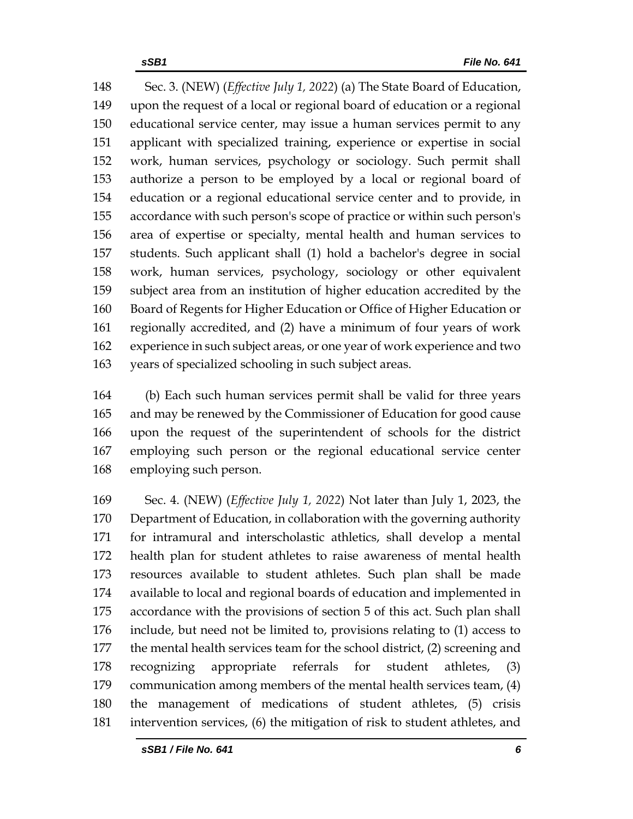Sec. 3. (NEW) (*Effective July 1, 2022*) (a) The State Board of Education, upon the request of a local or regional board of education or a regional educational service center, may issue a human services permit to any applicant with specialized training, experience or expertise in social work, human services, psychology or sociology. Such permit shall authorize a person to be employed by a local or regional board of education or a regional educational service center and to provide, in accordance with such person's scope of practice or within such person's area of expertise or specialty, mental health and human services to students. Such applicant shall (1) hold a bachelor's degree in social work, human services, psychology, sociology or other equivalent subject area from an institution of higher education accredited by the Board of Regents for Higher Education or Office of Higher Education or regionally accredited, and (2) have a minimum of four years of work experience in such subject areas, or one year of work experience and two years of specialized schooling in such subject areas.

 (b) Each such human services permit shall be valid for three years and may be renewed by the Commissioner of Education for good cause upon the request of the superintendent of schools for the district employing such person or the regional educational service center employing such person.

 Sec. 4. (NEW) (*Effective July 1, 2022*) Not later than July 1, 2023, the Department of Education, in collaboration with the governing authority for intramural and interscholastic athletics, shall develop a mental health plan for student athletes to raise awareness of mental health resources available to student athletes. Such plan shall be made available to local and regional boards of education and implemented in accordance with the provisions of section 5 of this act. Such plan shall include, but need not be limited to, provisions relating to (1) access to the mental health services team for the school district, (2) screening and recognizing appropriate referrals for student athletes, (3) communication among members of the mental health services team, (4) the management of medications of student athletes, (5) crisis intervention services, (6) the mitigation of risk to student athletes, and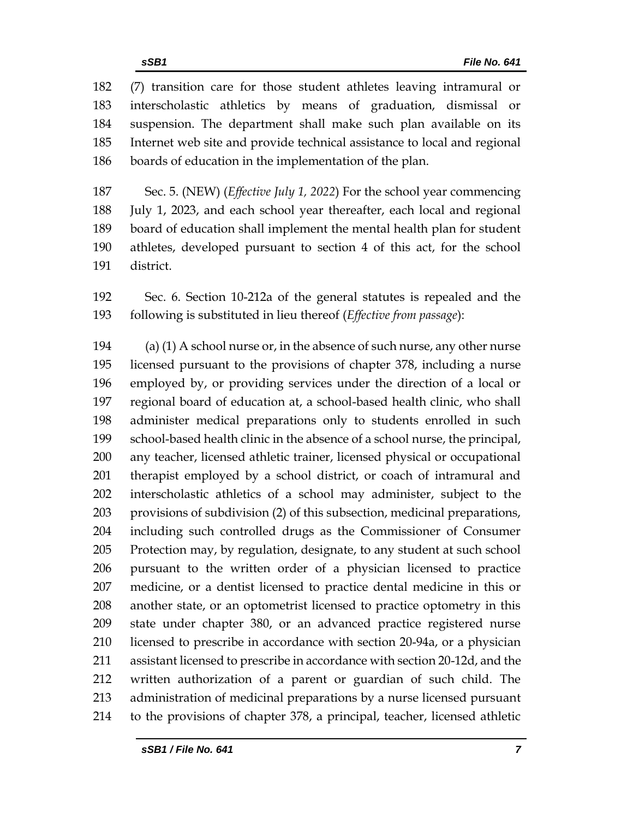(7) transition care for those student athletes leaving intramural or interscholastic athletics by means of graduation, dismissal or suspension. The department shall make such plan available on its Internet web site and provide technical assistance to local and regional boards of education in the implementation of the plan.

 Sec. 5. (NEW) (*Effective July 1, 2022*) For the school year commencing July 1, 2023, and each school year thereafter, each local and regional board of education shall implement the mental health plan for student athletes, developed pursuant to section 4 of this act, for the school district.

 Sec. 6. Section 10-212a of the general statutes is repealed and the following is substituted in lieu thereof (*Effective from passage*):

194 (a) (1) A school nurse or, in the absence of such nurse, any other nurse licensed pursuant to the provisions of chapter 378, including a nurse employed by, or providing services under the direction of a local or regional board of education at, a school-based health clinic, who shall administer medical preparations only to students enrolled in such school-based health clinic in the absence of a school nurse, the principal, any teacher, licensed athletic trainer, licensed physical or occupational therapist employed by a school district, or coach of intramural and interscholastic athletics of a school may administer, subject to the provisions of subdivision (2) of this subsection, medicinal preparations, including such controlled drugs as the Commissioner of Consumer Protection may, by regulation, designate, to any student at such school pursuant to the written order of a physician licensed to practice medicine, or a dentist licensed to practice dental medicine in this or another state, or an optometrist licensed to practice optometry in this state under chapter 380, or an advanced practice registered nurse licensed to prescribe in accordance with section 20-94a, or a physician assistant licensed to prescribe in accordance with section 20-12d, and the written authorization of a parent or guardian of such child. The administration of medicinal preparations by a nurse licensed pursuant to the provisions of chapter 378, a principal, teacher, licensed athletic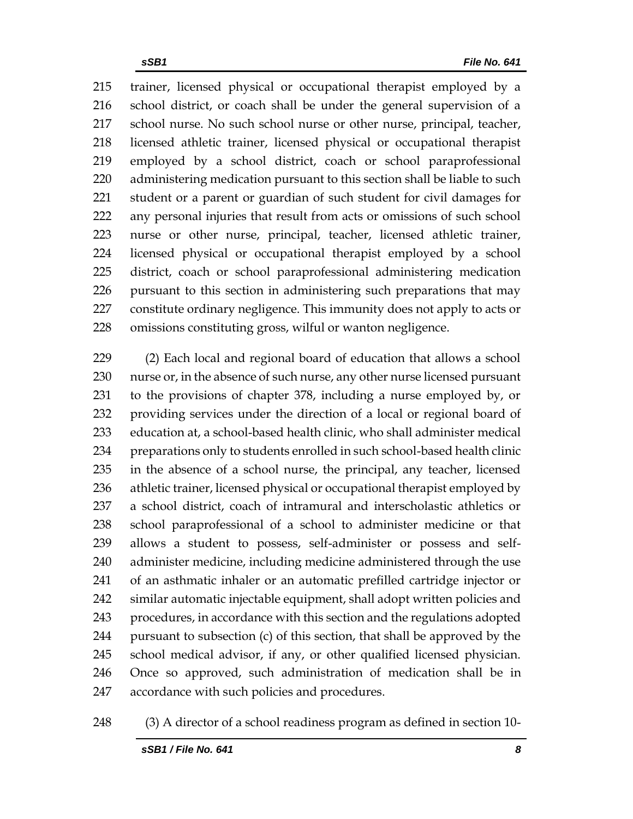trainer, licensed physical or occupational therapist employed by a school district, or coach shall be under the general supervision of a school nurse. No such school nurse or other nurse, principal, teacher, licensed athletic trainer, licensed physical or occupational therapist employed by a school district, coach or school paraprofessional administering medication pursuant to this section shall be liable to such student or a parent or guardian of such student for civil damages for any personal injuries that result from acts or omissions of such school nurse or other nurse, principal, teacher, licensed athletic trainer, licensed physical or occupational therapist employed by a school district, coach or school paraprofessional administering medication pursuant to this section in administering such preparations that may constitute ordinary negligence. This immunity does not apply to acts or omissions constituting gross, wilful or wanton negligence.

 (2) Each local and regional board of education that allows a school nurse or, in the absence of such nurse, any other nurse licensed pursuant to the provisions of chapter 378, including a nurse employed by, or providing services under the direction of a local or regional board of education at, a school-based health clinic, who shall administer medical preparations only to students enrolled in such school-based health clinic in the absence of a school nurse, the principal, any teacher, licensed athletic trainer, licensed physical or occupational therapist employed by a school district, coach of intramural and interscholastic athletics or school paraprofessional of a school to administer medicine or that allows a student to possess, self-administer or possess and self- administer medicine, including medicine administered through the use of an asthmatic inhaler or an automatic prefilled cartridge injector or similar automatic injectable equipment, shall adopt written policies and procedures, in accordance with this section and the regulations adopted pursuant to subsection (c) of this section, that shall be approved by the school medical advisor, if any, or other qualified licensed physician. Once so approved, such administration of medication shall be in accordance with such policies and procedures.

(3) A director of a school readiness program as defined in section 10-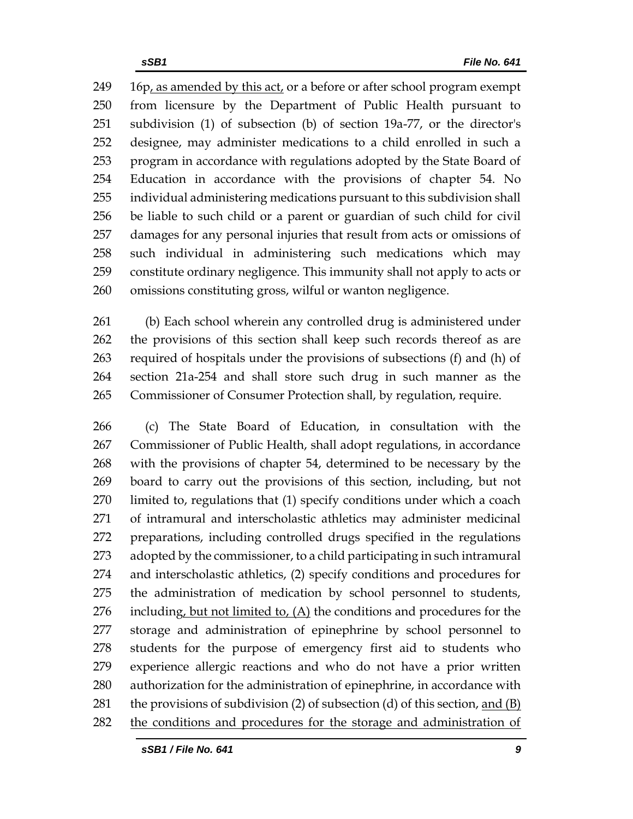16p, as amended by this act, or a before or after school program exempt from licensure by the Department of Public Health pursuant to subdivision (1) of subsection (b) of section 19a-77, or the director's designee, may administer medications to a child enrolled in such a program in accordance with regulations adopted by the State Board of Education in accordance with the provisions of chapter 54. No individual administering medications pursuant to this subdivision shall be liable to such child or a parent or guardian of such child for civil damages for any personal injuries that result from acts or omissions of such individual in administering such medications which may constitute ordinary negligence. This immunity shall not apply to acts or omissions constituting gross, wilful or wanton negligence.

 (b) Each school wherein any controlled drug is administered under the provisions of this section shall keep such records thereof as are required of hospitals under the provisions of subsections (f) and (h) of section 21a-254 and shall store such drug in such manner as the Commissioner of Consumer Protection shall, by regulation, require.

 (c) The State Board of Education, in consultation with the Commissioner of Public Health, shall adopt regulations, in accordance with the provisions of chapter 54, determined to be necessary by the board to carry out the provisions of this section, including, but not limited to, regulations that (1) specify conditions under which a coach of intramural and interscholastic athletics may administer medicinal preparations, including controlled drugs specified in the regulations adopted by the commissioner, to a child participating in such intramural and interscholastic athletics, (2) specify conditions and procedures for the administration of medication by school personnel to students, 276 including, but not limited to,  $(A)$  the conditions and procedures for the storage and administration of epinephrine by school personnel to students for the purpose of emergency first aid to students who experience allergic reactions and who do not have a prior written authorization for the administration of epinephrine, in accordance with the provisions of subdivision (2) of subsection (d) of this section, and (B) the conditions and procedures for the storage and administration of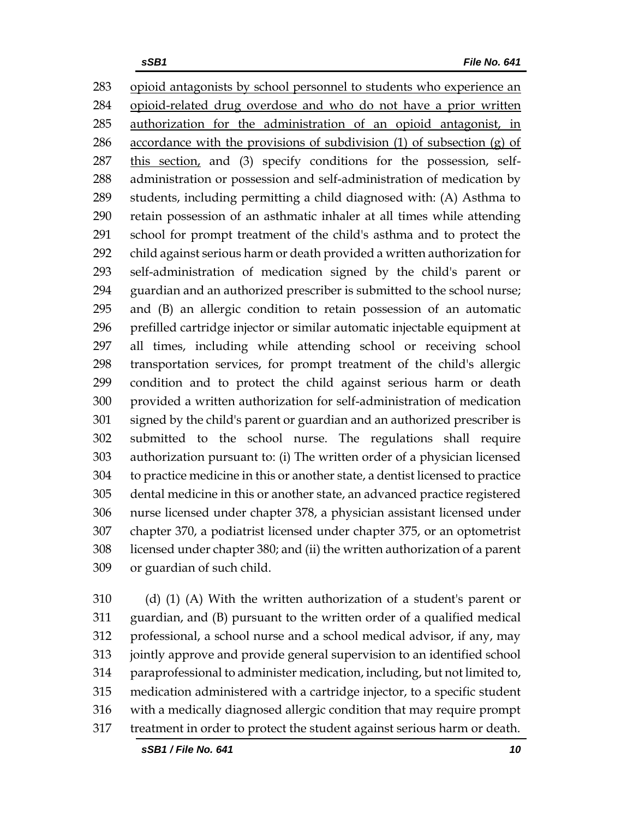283 opioid antagonists by school personnel to students who experience an opioid-related drug overdose and who do not have a prior written authorization for the administration of an opioid antagonist, in 286 accordance with the provisions of subdivision  $(1)$  of subsection  $(g)$  of 287 this section, and (3) specify conditions for the possession, self- administration or possession and self-administration of medication by students, including permitting a child diagnosed with: (A) Asthma to retain possession of an asthmatic inhaler at all times while attending school for prompt treatment of the child's asthma and to protect the child against serious harm or death provided a written authorization for self-administration of medication signed by the child's parent or guardian and an authorized prescriber is submitted to the school nurse; and (B) an allergic condition to retain possession of an automatic prefilled cartridge injector or similar automatic injectable equipment at all times, including while attending school or receiving school transportation services, for prompt treatment of the child's allergic condition and to protect the child against serious harm or death provided a written authorization for self-administration of medication signed by the child's parent or guardian and an authorized prescriber is submitted to the school nurse. The regulations shall require authorization pursuant to: (i) The written order of a physician licensed to practice medicine in this or another state, a dentist licensed to practice dental medicine in this or another state, an advanced practice registered nurse licensed under chapter 378, a physician assistant licensed under chapter 370, a podiatrist licensed under chapter 375, or an optometrist licensed under chapter 380; and (ii) the written authorization of a parent or guardian of such child.

 (d) (1) (A) With the written authorization of a student's parent or guardian, and (B) pursuant to the written order of a qualified medical professional, a school nurse and a school medical advisor, if any, may jointly approve and provide general supervision to an identified school paraprofessional to administer medication, including, but not limited to, medication administered with a cartridge injector, to a specific student with a medically diagnosed allergic condition that may require prompt treatment in order to protect the student against serious harm or death.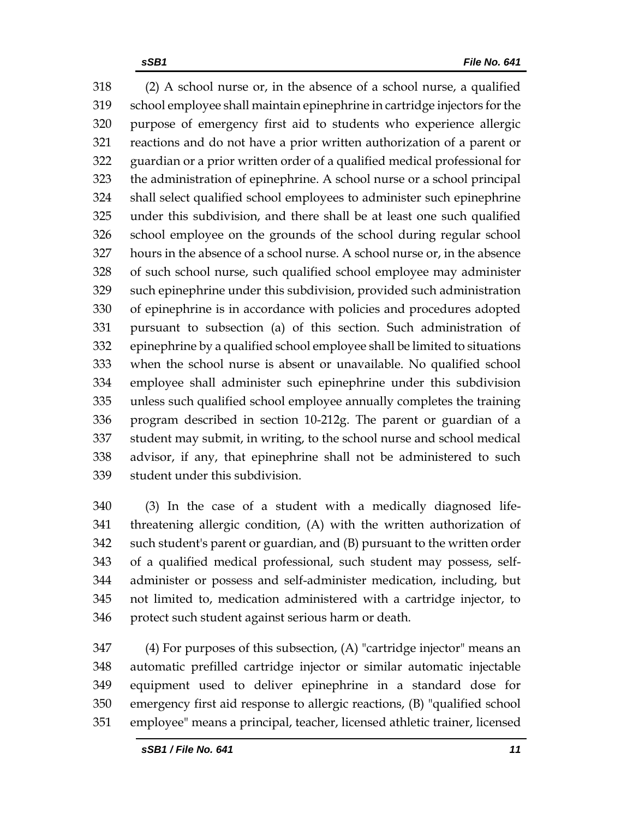(2) A school nurse or, in the absence of a school nurse, a qualified school employee shall maintain epinephrine in cartridge injectors for the purpose of emergency first aid to students who experience allergic reactions and do not have a prior written authorization of a parent or guardian or a prior written order of a qualified medical professional for the administration of epinephrine. A school nurse or a school principal shall select qualified school employees to administer such epinephrine under this subdivision, and there shall be at least one such qualified school employee on the grounds of the school during regular school hours in the absence of a school nurse. A school nurse or, in the absence of such school nurse, such qualified school employee may administer such epinephrine under this subdivision, provided such administration of epinephrine is in accordance with policies and procedures adopted pursuant to subsection (a) of this section. Such administration of epinephrine by a qualified school employee shall be limited to situations when the school nurse is absent or unavailable. No qualified school employee shall administer such epinephrine under this subdivision unless such qualified school employee annually completes the training program described in section 10-212g. The parent or guardian of a student may submit, in writing, to the school nurse and school medical advisor, if any, that epinephrine shall not be administered to such student under this subdivision.

 (3) In the case of a student with a medically diagnosed life- threatening allergic condition, (A) with the written authorization of such student's parent or guardian, and (B) pursuant to the written order of a qualified medical professional, such student may possess, self- administer or possess and self-administer medication, including, but not limited to, medication administered with a cartridge injector, to protect such student against serious harm or death.

 (4) For purposes of this subsection, (A) "cartridge injector" means an automatic prefilled cartridge injector or similar automatic injectable equipment used to deliver epinephrine in a standard dose for emergency first aid response to allergic reactions, (B) "qualified school employee" means a principal, teacher, licensed athletic trainer, licensed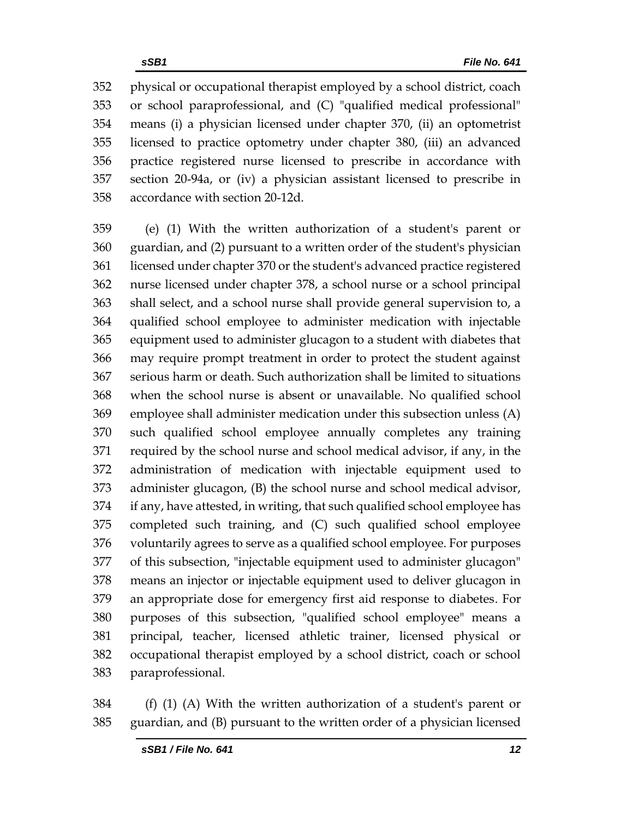physical or occupational therapist employed by a school district, coach or school paraprofessional, and (C) "qualified medical professional" means (i) a physician licensed under chapter 370, (ii) an optometrist licensed to practice optometry under chapter 380, (iii) an advanced practice registered nurse licensed to prescribe in accordance with section 20-94a, or (iv) a physician assistant licensed to prescribe in accordance with section 20-12d.

 (e) (1) With the written authorization of a student's parent or guardian, and (2) pursuant to a written order of the student's physician licensed under chapter 370 or the student's advanced practice registered nurse licensed under chapter 378, a school nurse or a school principal shall select, and a school nurse shall provide general supervision to, a qualified school employee to administer medication with injectable equipment used to administer glucagon to a student with diabetes that may require prompt treatment in order to protect the student against serious harm or death. Such authorization shall be limited to situations when the school nurse is absent or unavailable. No qualified school employee shall administer medication under this subsection unless (A) such qualified school employee annually completes any training required by the school nurse and school medical advisor, if any, in the administration of medication with injectable equipment used to administer glucagon, (B) the school nurse and school medical advisor, if any, have attested, in writing, that such qualified school employee has completed such training, and (C) such qualified school employee voluntarily agrees to serve as a qualified school employee. For purposes of this subsection, "injectable equipment used to administer glucagon" means an injector or injectable equipment used to deliver glucagon in an appropriate dose for emergency first aid response to diabetes. For purposes of this subsection, "qualified school employee" means a principal, teacher, licensed athletic trainer, licensed physical or occupational therapist employed by a school district, coach or school paraprofessional.

 (f) (1) (A) With the written authorization of a student's parent or guardian, and (B) pursuant to the written order of a physician licensed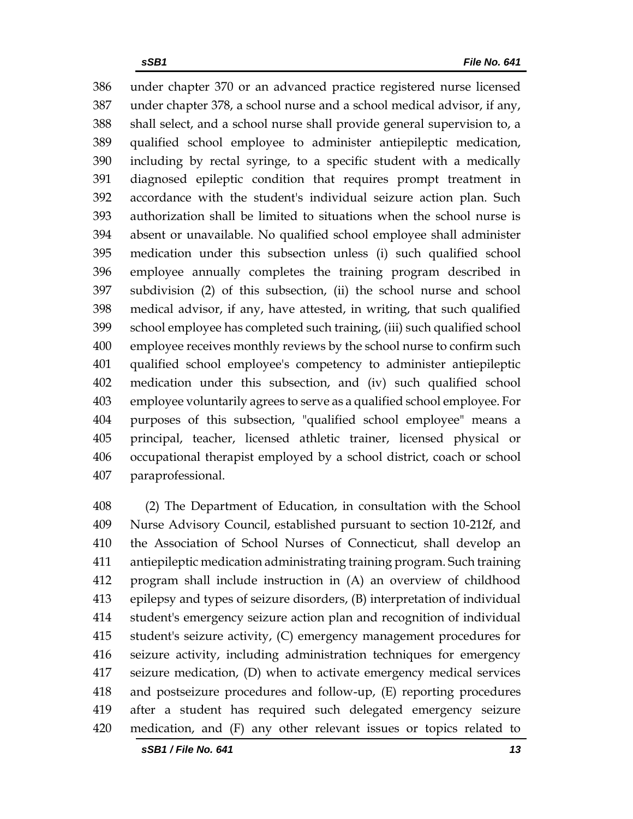under chapter 370 or an advanced practice registered nurse licensed under chapter 378, a school nurse and a school medical advisor, if any, shall select, and a school nurse shall provide general supervision to, a qualified school employee to administer antiepileptic medication, including by rectal syringe, to a specific student with a medically diagnosed epileptic condition that requires prompt treatment in accordance with the student's individual seizure action plan. Such authorization shall be limited to situations when the school nurse is absent or unavailable. No qualified school employee shall administer medication under this subsection unless (i) such qualified school employee annually completes the training program described in subdivision (2) of this subsection, (ii) the school nurse and school medical advisor, if any, have attested, in writing, that such qualified school employee has completed such training, (iii) such qualified school employee receives monthly reviews by the school nurse to confirm such qualified school employee's competency to administer antiepileptic medication under this subsection, and (iv) such qualified school employee voluntarily agrees to serve as a qualified school employee. For purposes of this subsection, "qualified school employee" means a principal, teacher, licensed athletic trainer, licensed physical or occupational therapist employed by a school district, coach or school paraprofessional.

 (2) The Department of Education, in consultation with the School Nurse Advisory Council, established pursuant to section 10-212f, and the Association of School Nurses of Connecticut, shall develop an antiepileptic medication administrating training program. Such training program shall include instruction in (A) an overview of childhood epilepsy and types of seizure disorders, (B) interpretation of individual student's emergency seizure action plan and recognition of individual student's seizure activity, (C) emergency management procedures for seizure activity, including administration techniques for emergency seizure medication, (D) when to activate emergency medical services and postseizure procedures and follow-up, (E) reporting procedures after a student has required such delegated emergency seizure medication, and (F) any other relevant issues or topics related to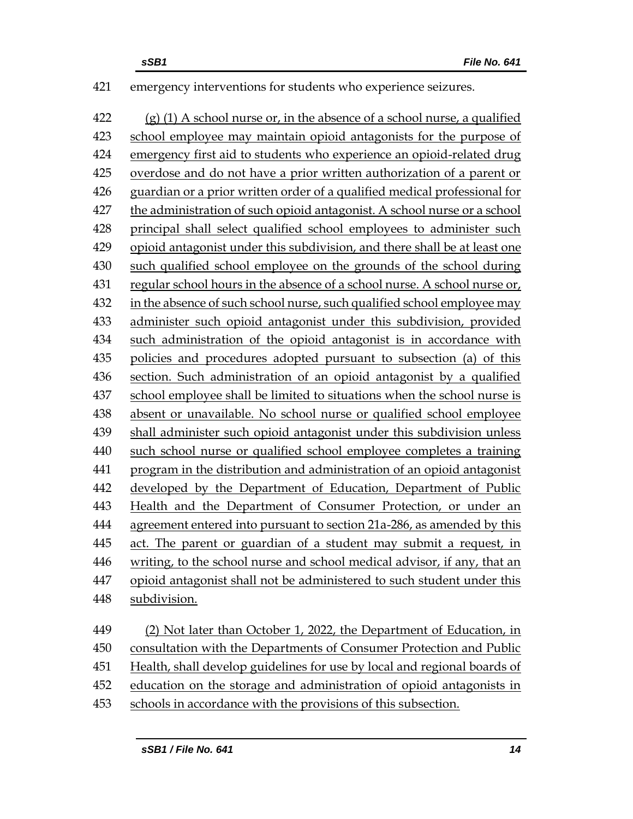emergency interventions for students who experience seizures.

 (g) (1) A school nurse or, in the absence of a school nurse, a qualified school employee may maintain opioid antagonists for the purpose of emergency first aid to students who experience an opioid-related drug overdose and do not have a prior written authorization of a parent or guardian or a prior written order of a qualified medical professional for the administration of such opioid antagonist. A school nurse or a school principal shall select qualified school employees to administer such opioid antagonist under this subdivision, and there shall be at least one such qualified school employee on the grounds of the school during regular school hours in the absence of a school nurse. A school nurse or, in the absence of such school nurse, such qualified school employee may administer such opioid antagonist under this subdivision, provided such administration of the opioid antagonist is in accordance with policies and procedures adopted pursuant to subsection (a) of this section. Such administration of an opioid antagonist by a qualified school employee shall be limited to situations when the school nurse is absent or unavailable. No school nurse or qualified school employee shall administer such opioid antagonist under this subdivision unless such school nurse or qualified school employee completes a training program in the distribution and administration of an opioid antagonist developed by the Department of Education, Department of Public Health and the Department of Consumer Protection, or under an agreement entered into pursuant to section 21a-286, as amended by this 445 act. The parent or guardian of a student may submit a request, in writing, to the school nurse and school medical advisor, if any, that an opioid antagonist shall not be administered to such student under this subdivision. (2) Not later than October 1, 2022, the Department of Education, in consultation with the Departments of Consumer Protection and Public Health, shall develop guidelines for use by local and regional boards of education on the storage and administration of opioid antagonists in

schools in accordance with the provisions of this subsection.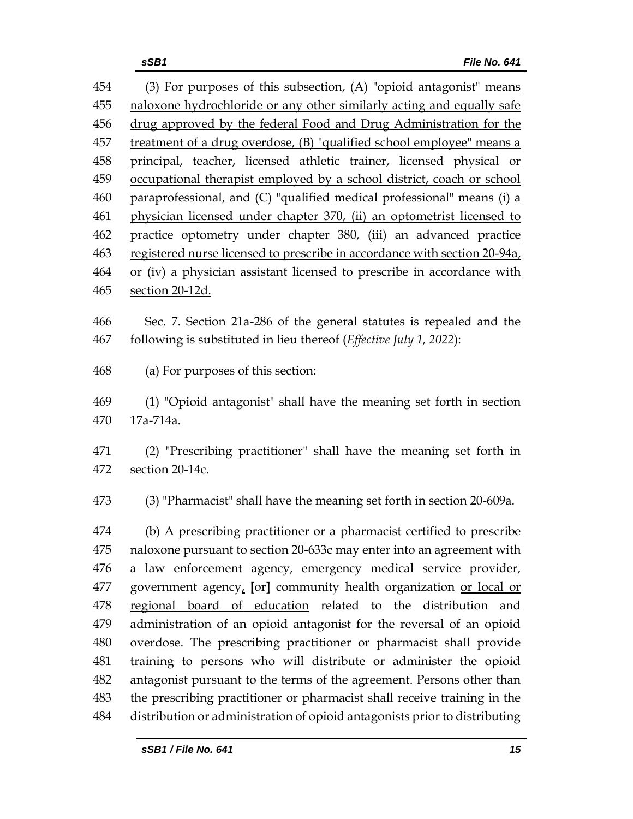| 454 | (3) For purposes of this subsection, (A) "opioid antagonist" means         |  |  |  |
|-----|----------------------------------------------------------------------------|--|--|--|
| 455 | naloxone hydrochloride or any other similarly acting and equally safe      |  |  |  |
| 456 | drug approved by the federal Food and Drug Administration for the          |  |  |  |
| 457 | treatment of a drug overdose, (B) "qualified school employee" means a      |  |  |  |
| 458 | principal, teacher, licensed athletic trainer, licensed physical or        |  |  |  |
| 459 | occupational therapist employed by a school district, coach or school      |  |  |  |
| 460 | paraprofessional, and (C) "qualified medical professional" means (i) a     |  |  |  |
| 461 | physician licensed under chapter 370, (ii) an optometrist licensed to      |  |  |  |
| 462 | practice optometry under chapter 380, (iii) an advanced practice           |  |  |  |
| 463 | registered nurse licensed to prescribe in accordance with section 20-94a,  |  |  |  |
| 464 | or (iv) a physician assistant licensed to prescribe in accordance with     |  |  |  |
| 465 | section 20-12d.                                                            |  |  |  |
| 466 | Sec. 7. Section 21a-286 of the general statutes is repealed and the        |  |  |  |
| 467 | following is substituted in lieu thereof (Effective July 1, 2022):         |  |  |  |
| 468 | (a) For purposes of this section:                                          |  |  |  |
| 469 | (1) "Opioid antagonist" shall have the meaning set forth in section        |  |  |  |
| 470 | 17a-714a.                                                                  |  |  |  |
| 471 | (2) "Prescribing practitioner" shall have the meaning set forth in         |  |  |  |
| 472 | section 20-14c.                                                            |  |  |  |
| 473 | (3) "Pharmacist" shall have the meaning set forth in section 20-609a.      |  |  |  |
| 474 | (b) A prescribing practitioner or a pharmacist certified to prescribe      |  |  |  |
| 475 | naloxone pursuant to section 20-633c may enter into an agreement with      |  |  |  |
| 476 | a law enforcement agency, emergency medical service provider,              |  |  |  |
| 477 | government agency, [or] community health organization or local or          |  |  |  |
| 478 | regional board of education related to the distribution and                |  |  |  |
| 479 | administration of an opioid antagonist for the reversal of an opioid       |  |  |  |
| 480 | overdose. The prescribing practitioner or pharmacist shall provide         |  |  |  |
| 481 | training to persons who will distribute or administer the opioid           |  |  |  |
| 482 | antagonist pursuant to the terms of the agreement. Persons other than      |  |  |  |
| 483 | the prescribing practitioner or pharmacist shall receive training in the   |  |  |  |
| 484 | distribution or administration of opioid antagonists prior to distributing |  |  |  |
|     |                                                                            |  |  |  |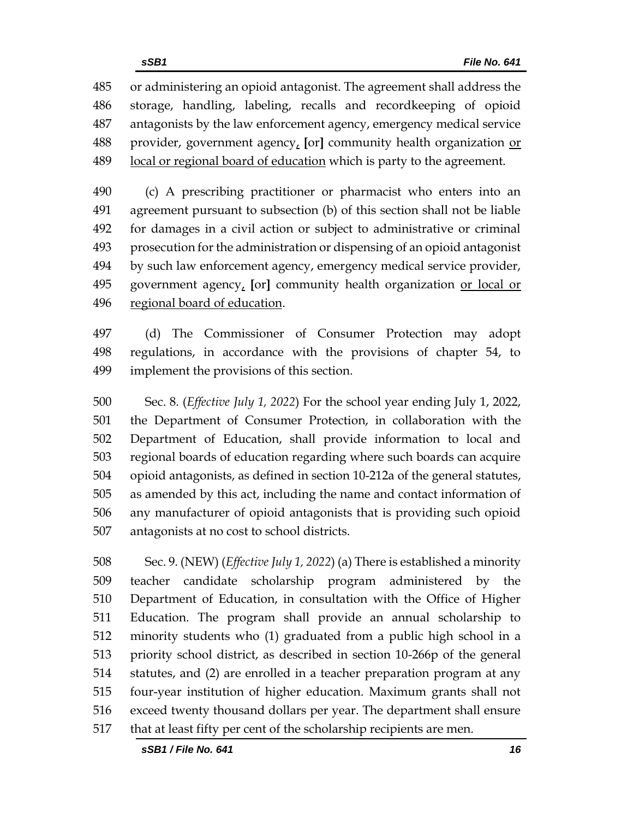or administering an opioid antagonist. The agreement shall address the storage, handling, labeling, recalls and recordkeeping of opioid antagonists by the law enforcement agency, emergency medical service provider, government agency, **[**or**]** community health organization or 489 local or regional board of education which is party to the agreement.

 (c) A prescribing practitioner or pharmacist who enters into an agreement pursuant to subsection (b) of this section shall not be liable for damages in a civil action or subject to administrative or criminal prosecution for the administration or dispensing of an opioid antagonist by such law enforcement agency, emergency medical service provider, government agency, **[**or**]** community health organization or local or regional board of education.

 (d) The Commissioner of Consumer Protection may adopt regulations, in accordance with the provisions of chapter 54, to implement the provisions of this section.

 Sec. 8. (*Effective July 1, 2022*) For the school year ending July 1, 2022, the Department of Consumer Protection, in collaboration with the Department of Education, shall provide information to local and regional boards of education regarding where such boards can acquire opioid antagonists, as defined in section 10-212a of the general statutes, as amended by this act, including the name and contact information of any manufacturer of opioid antagonists that is providing such opioid antagonists at no cost to school districts.

 Sec. 9. (NEW) (*Effective July 1, 2022*) (a) There is established a minority teacher candidate scholarship program administered by the Department of Education, in consultation with the Office of Higher Education. The program shall provide an annual scholarship to minority students who (1) graduated from a public high school in a priority school district, as described in section 10-266p of the general statutes, and (2) are enrolled in a teacher preparation program at any four-year institution of higher education. Maximum grants shall not exceed twenty thousand dollars per year. The department shall ensure that at least fifty per cent of the scholarship recipients are men.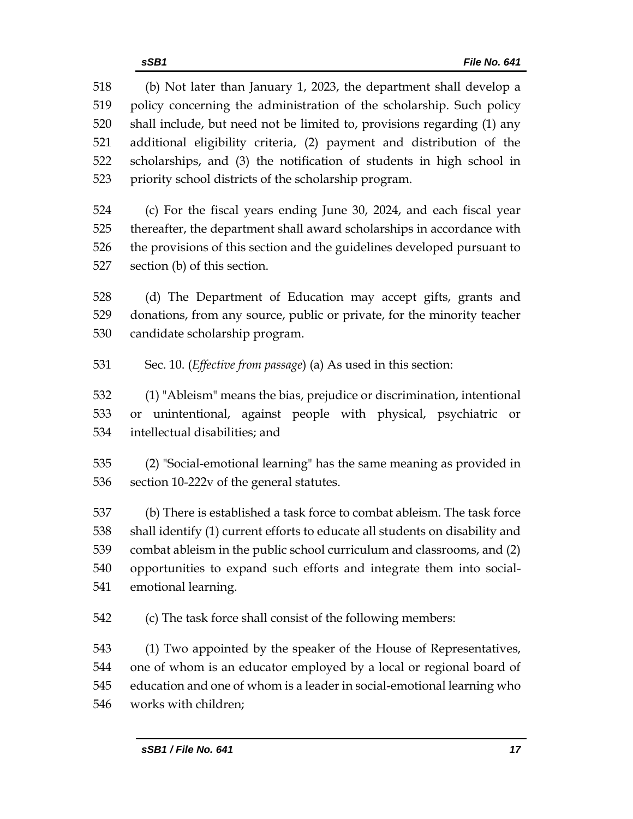(b) Not later than January 1, 2023, the department shall develop a policy concerning the administration of the scholarship. Such policy shall include, but need not be limited to, provisions regarding (1) any additional eligibility criteria, (2) payment and distribution of the scholarships, and (3) the notification of students in high school in priority school districts of the scholarship program. (c) For the fiscal years ending June 30, 2024, and each fiscal year thereafter, the department shall award scholarships in accordance with the provisions of this section and the guidelines developed pursuant to section (b) of this section. (d) The Department of Education may accept gifts, grants and donations, from any source, public or private, for the minority teacher candidate scholarship program. Sec. 10. (*Effective from passage*) (a) As used in this section: (1) "Ableism" means the bias, prejudice or discrimination, intentional or unintentional, against people with physical, psychiatric or intellectual disabilities; and (2) "Social-emotional learning" has the same meaning as provided in section 10-222v of the general statutes. (b) There is established a task force to combat ableism. The task force shall identify (1) current efforts to educate all students on disability and combat ableism in the public school curriculum and classrooms, and (2) opportunities to expand such efforts and integrate them into social- emotional learning. (c) The task force shall consist of the following members: (1) Two appointed by the speaker of the House of Representatives, one of whom is an educator employed by a local or regional board of education and one of whom is a leader in social-emotional learning who works with children;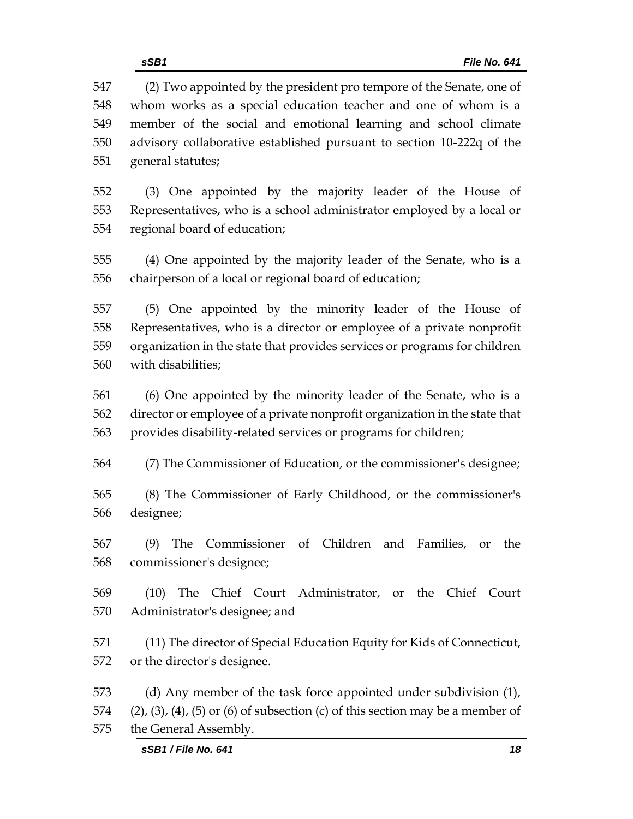(2) Two appointed by the president pro tempore of the Senate, one of whom works as a special education teacher and one of whom is a member of the social and emotional learning and school climate advisory collaborative established pursuant to section 10-222q of the general statutes;

 (3) One appointed by the majority leader of the House of Representatives, who is a school administrator employed by a local or regional board of education;

 (4) One appointed by the majority leader of the Senate, who is a chairperson of a local or regional board of education;

 (5) One appointed by the minority leader of the House of Representatives, who is a director or employee of a private nonprofit organization in the state that provides services or programs for children with disabilities;

 (6) One appointed by the minority leader of the Senate, who is a director or employee of a private nonprofit organization in the state that provides disability-related services or programs for children;

(7) The Commissioner of Education, or the commissioner's designee;

 (8) The Commissioner of Early Childhood, or the commissioner's designee;

 (9) The Commissioner of Children and Families, or the commissioner's designee;

 (10) The Chief Court Administrator, or the Chief Court Administrator's designee; and

 (11) The director of Special Education Equity for Kids of Connecticut, or the director's designee.

 (d) Any member of the task force appointed under subdivision (1), 574 (2), (3), (4), (5) or (6) of subsection (c) of this section may be a member of the General Assembly.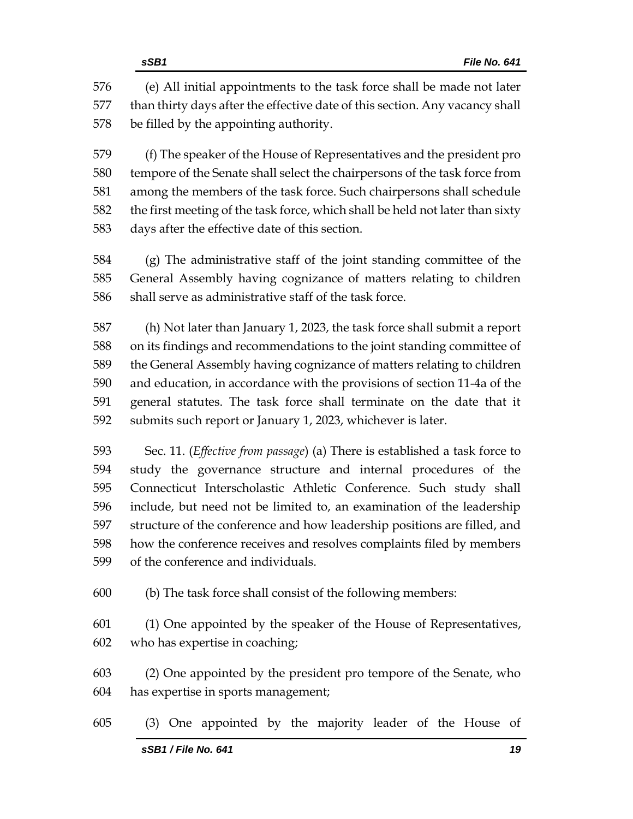(e) All initial appointments to the task force shall be made not later than thirty days after the effective date of this section. Any vacancy shall be filled by the appointing authority.

 (f) The speaker of the House of Representatives and the president pro tempore of the Senate shall select the chairpersons of the task force from among the members of the task force. Such chairpersons shall schedule the first meeting of the task force, which shall be held not later than sixty days after the effective date of this section.

 (g) The administrative staff of the joint standing committee of the General Assembly having cognizance of matters relating to children shall serve as administrative staff of the task force.

 (h) Not later than January 1, 2023, the task force shall submit a report on its findings and recommendations to the joint standing committee of the General Assembly having cognizance of matters relating to children and education, in accordance with the provisions of section 11-4a of the general statutes. The task force shall terminate on the date that it submits such report or January 1, 2023, whichever is later.

 Sec. 11. (*Effective from passage*) (a) There is established a task force to study the governance structure and internal procedures of the Connecticut Interscholastic Athletic Conference. Such study shall include, but need not be limited to, an examination of the leadership structure of the conference and how leadership positions are filled, and how the conference receives and resolves complaints filed by members of the conference and individuals.

(b) The task force shall consist of the following members:

 (1) One appointed by the speaker of the House of Representatives, who has expertise in coaching;

 (2) One appointed by the president pro tempore of the Senate, who has expertise in sports management;

(3) One appointed by the majority leader of the House of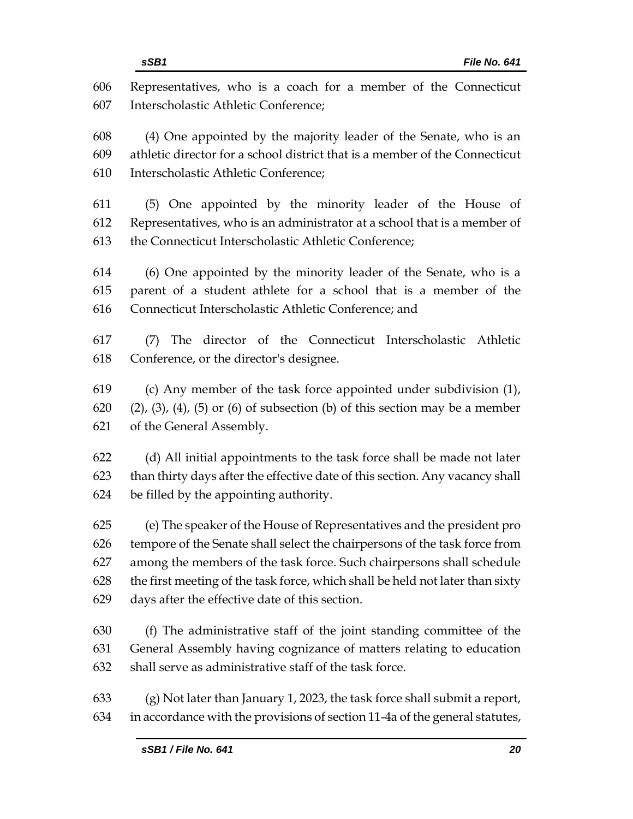| 606 | Representatives, who is a coach for a member of the Connecticut                            |  |  |  |
|-----|--------------------------------------------------------------------------------------------|--|--|--|
| 607 | Interscholastic Athletic Conference;                                                       |  |  |  |
| 608 | (4) One appointed by the majority leader of the Senate, who is an                          |  |  |  |
| 609 | athletic director for a school district that is a member of the Connecticut                |  |  |  |
| 610 | Interscholastic Athletic Conference;                                                       |  |  |  |
| 611 | (5) One appointed by the minority leader of the House of                                   |  |  |  |
| 612 | Representatives, who is an administrator at a school that is a member of                   |  |  |  |
| 613 | the Connecticut Interscholastic Athletic Conference;                                       |  |  |  |
| 614 | (6) One appointed by the minority leader of the Senate, who is a                           |  |  |  |
| 615 | parent of a student athlete for a school that is a member of the                           |  |  |  |
| 616 | Connecticut Interscholastic Athletic Conference; and                                       |  |  |  |
| 617 | The director of the Connecticut Interscholastic Athletic<br>(7)                            |  |  |  |
| 618 | Conference, or the director's designee.                                                    |  |  |  |
| 619 | (c) Any member of the task force appointed under subdivision (1),                          |  |  |  |
| 620 | $(2)$ , $(3)$ , $(4)$ , $(5)$ or $(6)$ of subsection $(b)$ of this section may be a member |  |  |  |
| 621 | of the General Assembly.                                                                   |  |  |  |
| 622 | (d) All initial appointments to the task force shall be made not later                     |  |  |  |
| 623 | than thirty days after the effective date of this section. Any vacancy shall               |  |  |  |
| 624 | be filled by the appointing authority.                                                     |  |  |  |
| 625 | (e) The speaker of the House of Representatives and the president pro                      |  |  |  |
| 626 | tempore of the Senate shall select the chairpersons of the task force from                 |  |  |  |
| 627 | among the members of the task force. Such chairpersons shall schedule                      |  |  |  |
| 628 | the first meeting of the task force, which shall be held not later than sixty              |  |  |  |
| 629 | days after the effective date of this section.                                             |  |  |  |
| 630 | (f) The administrative staff of the joint standing committee of the                        |  |  |  |
| 631 | General Assembly having cognizance of matters relating to education                        |  |  |  |
| 632 | shall serve as administrative staff of the task force.                                     |  |  |  |
| 633 | (g) Not later than January 1, 2023, the task force shall submit a report,                  |  |  |  |

in accordance with the provisions of section 11-4a of the general statutes,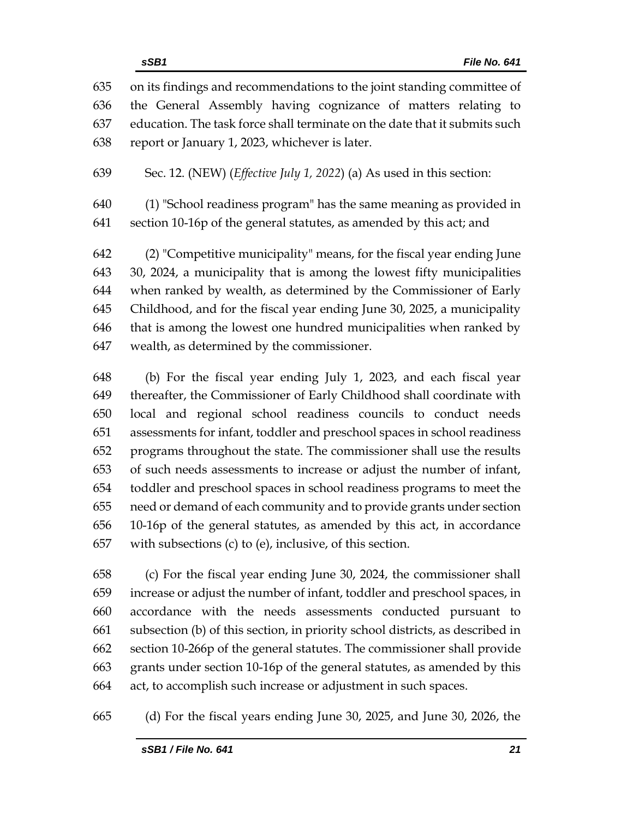on its findings and recommendations to the joint standing committee of the General Assembly having cognizance of matters relating to education. The task force shall terminate on the date that it submits such report or January 1, 2023, whichever is later.

Sec. 12. (NEW) (*Effective July 1, 2022*) (a) As used in this section:

 (1) "School readiness program" has the same meaning as provided in section 10-16p of the general statutes, as amended by this act; and

 (2) "Competitive municipality" means, for the fiscal year ending June 30, 2024, a municipality that is among the lowest fifty municipalities when ranked by wealth, as determined by the Commissioner of Early Childhood, and for the fiscal year ending June 30, 2025, a municipality that is among the lowest one hundred municipalities when ranked by wealth, as determined by the commissioner.

 (b) For the fiscal year ending July 1, 2023, and each fiscal year thereafter, the Commissioner of Early Childhood shall coordinate with local and regional school readiness councils to conduct needs assessments for infant, toddler and preschool spaces in school readiness programs throughout the state. The commissioner shall use the results of such needs assessments to increase or adjust the number of infant, toddler and preschool spaces in school readiness programs to meet the need or demand of each community and to provide grants under section 10-16p of the general statutes, as amended by this act, in accordance with subsections (c) to (e), inclusive, of this section.

 (c) For the fiscal year ending June 30, 2024, the commissioner shall increase or adjust the number of infant, toddler and preschool spaces, in accordance with the needs assessments conducted pursuant to subsection (b) of this section, in priority school districts, as described in section 10-266p of the general statutes. The commissioner shall provide grants under section 10-16p of the general statutes, as amended by this act, to accomplish such increase or adjustment in such spaces.

(d) For the fiscal years ending June 30, 2025, and June 30, 2026, the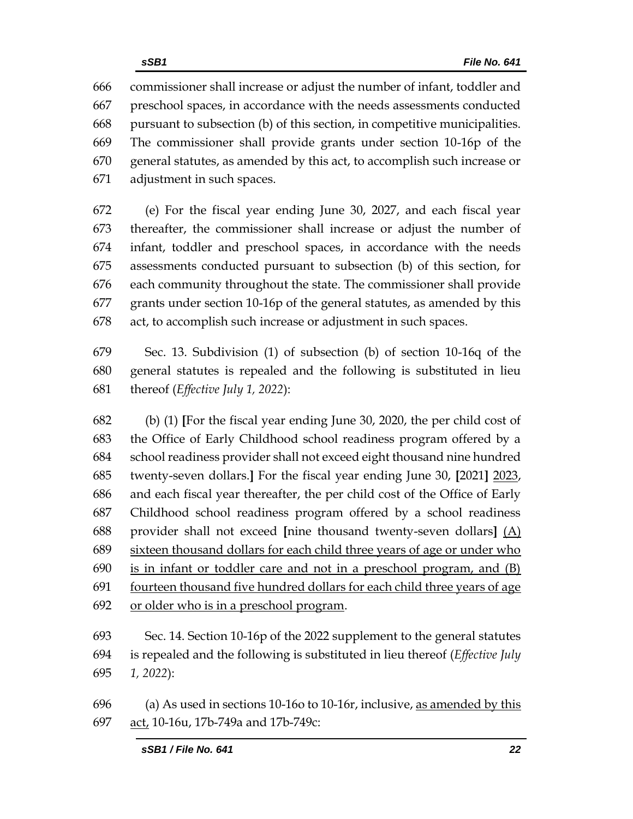commissioner shall increase or adjust the number of infant, toddler and preschool spaces, in accordance with the needs assessments conducted pursuant to subsection (b) of this section, in competitive municipalities. The commissioner shall provide grants under section 10-16p of the general statutes, as amended by this act, to accomplish such increase or adjustment in such spaces.

 (e) For the fiscal year ending June 30, 2027, and each fiscal year thereafter, the commissioner shall increase or adjust the number of infant, toddler and preschool spaces, in accordance with the needs assessments conducted pursuant to subsection (b) of this section, for each community throughout the state. The commissioner shall provide grants under section 10-16p of the general statutes, as amended by this act, to accomplish such increase or adjustment in such spaces.

 Sec. 13. Subdivision (1) of subsection (b) of section 10-16q of the general statutes is repealed and the following is substituted in lieu thereof (*Effective July 1, 2022*):

 (b) (1) **[**For the fiscal year ending June 30, 2020, the per child cost of the Office of Early Childhood school readiness program offered by a school readiness provider shall not exceed eight thousand nine hundred twenty-seven dollars.**]** For the fiscal year ending June 30, **[**2021**]** 2023, and each fiscal year thereafter, the per child cost of the Office of Early Childhood school readiness program offered by a school readiness provider shall not exceed **[**nine thousand twenty-seven dollars**]** (A) sixteen thousand dollars for each child three years of age or under who is in infant or toddler care and not in a preschool program, and (B) fourteen thousand five hundred dollars for each child three years of age or older who is in a preschool program.

 Sec. 14. Section 10-16p of the 2022 supplement to the general statutes is repealed and the following is substituted in lieu thereof (*Effective July 1, 2022*):

 (a) As used in sections 10-16o to 10-16r, inclusive, as amended by this act, 10-16u, 17b-749a and 17b-749c: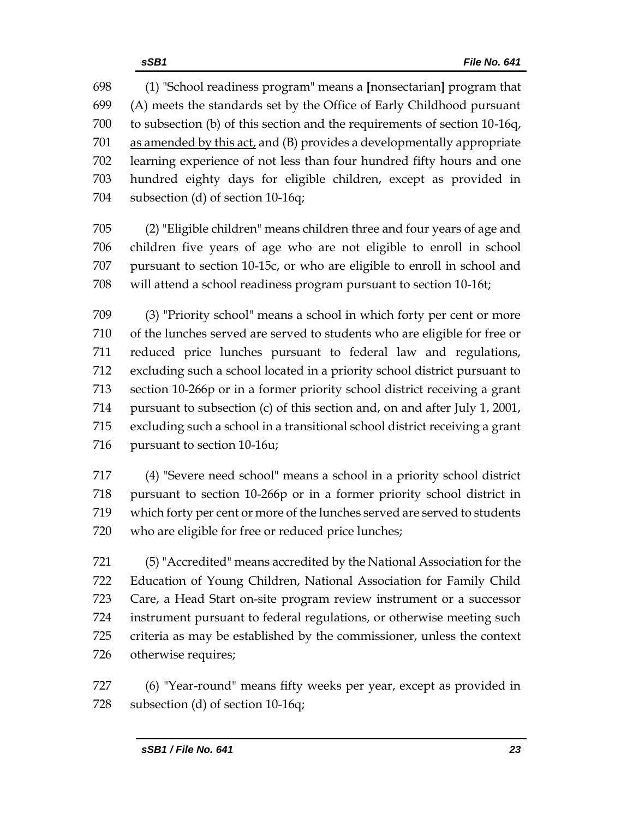(1) "School readiness program" means a **[**nonsectarian**]** program that (A) meets the standards set by the Office of Early Childhood pursuant to subsection (b) of this section and the requirements of section 10-16q, as amended by this act, and (B) provides a developmentally appropriate learning experience of not less than four hundred fifty hours and one hundred eighty days for eligible children, except as provided in subsection (d) of section 10-16q;

 (2) "Eligible children" means children three and four years of age and children five years of age who are not eligible to enroll in school pursuant to section 10-15c, or who are eligible to enroll in school and will attend a school readiness program pursuant to section 10-16t;

 (3) "Priority school" means a school in which forty per cent or more of the lunches served are served to students who are eligible for free or reduced price lunches pursuant to federal law and regulations, excluding such a school located in a priority school district pursuant to section 10-266p or in a former priority school district receiving a grant pursuant to subsection (c) of this section and, on and after July 1, 2001, excluding such a school in a transitional school district receiving a grant pursuant to section 10-16u;

 (4) "Severe need school" means a school in a priority school district pursuant to section 10-266p or in a former priority school district in which forty per cent or more of the lunches served are served to students who are eligible for free or reduced price lunches;

 (5) "Accredited" means accredited by the National Association for the Education of Young Children, National Association for Family Child Care, a Head Start on-site program review instrument or a successor instrument pursuant to federal regulations, or otherwise meeting such criteria as may be established by the commissioner, unless the context otherwise requires;

 (6) "Year-round" means fifty weeks per year, except as provided in 728 subsection (d) of section 10-16q;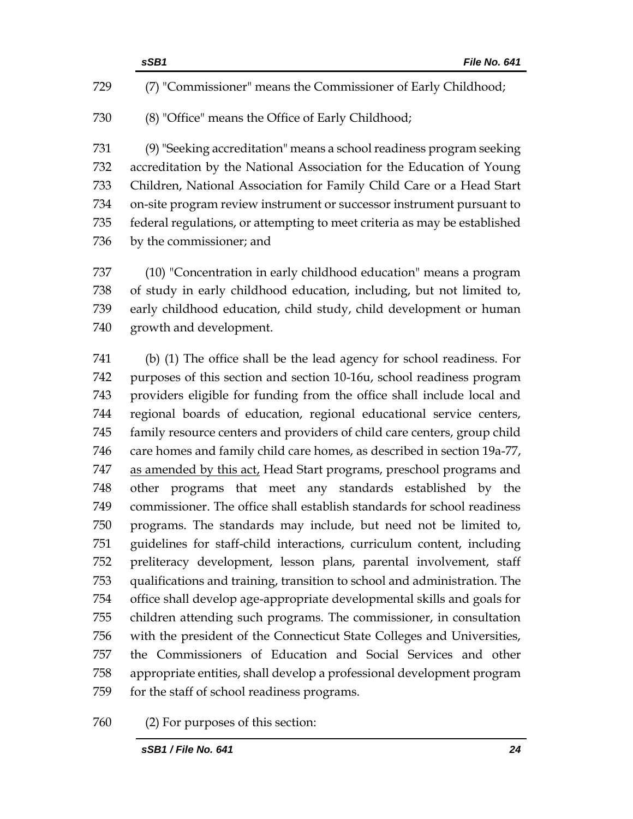|     | sSB1<br>File No. 641                                                      |
|-----|---------------------------------------------------------------------------|
| 729 | (7) "Commissioner" means the Commissioner of Early Childhood;             |
| 730 | (8) "Office" means the Office of Early Childhood;                         |
| 731 | (9) "Seeking accreditation" means a school readiness program seeking      |
| 732 | accreditation by the National Association for the Education of Young      |
| 733 | Children, National Association for Family Child Care or a Head Start      |
| 734 | on-site program review instrument or successor instrument pursuant to     |
| 735 | federal regulations, or attempting to meet criteria as may be established |
| 736 | by the commissioner; and                                                  |
| 737 | (10) "Concentration in early childhood education" means a program         |
| 738 | of study in early childhood education, including, but not limited to,     |
| 739 | early childhood education, child study, child development or human        |

growth and development.

 (b) (1) The office shall be the lead agency for school readiness. For purposes of this section and section 10-16u, school readiness program providers eligible for funding from the office shall include local and regional boards of education, regional educational service centers, family resource centers and providers of child care centers, group child care homes and family child care homes, as described in section 19a-77, 747 as amended by this act, Head Start programs, preschool programs and other programs that meet any standards established by the commissioner. The office shall establish standards for school readiness programs. The standards may include, but need not be limited to, guidelines for staff-child interactions, curriculum content, including preliteracy development, lesson plans, parental involvement, staff qualifications and training, transition to school and administration. The office shall develop age-appropriate developmental skills and goals for children attending such programs. The commissioner, in consultation with the president of the Connecticut State Colleges and Universities, the Commissioners of Education and Social Services and other appropriate entities, shall develop a professional development program for the staff of school readiness programs.

(2) For purposes of this section: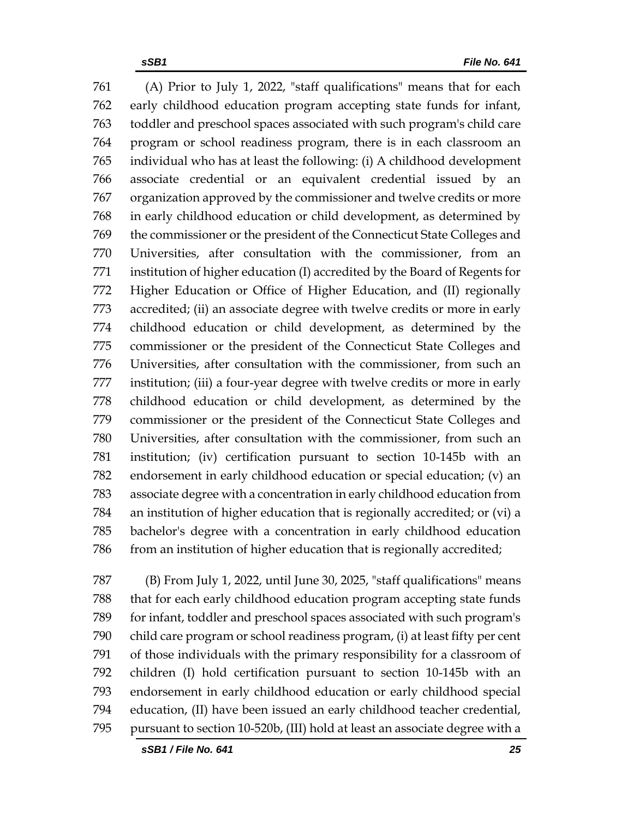(A) Prior to July 1, 2022, "staff qualifications" means that for each early childhood education program accepting state funds for infant, toddler and preschool spaces associated with such program's child care program or school readiness program, there is in each classroom an individual who has at least the following: (i) A childhood development associate credential or an equivalent credential issued by an organization approved by the commissioner and twelve credits or more in early childhood education or child development, as determined by the commissioner or the president of the Connecticut State Colleges and Universities, after consultation with the commissioner, from an institution of higher education (I) accredited by the Board of Regents for Higher Education or Office of Higher Education, and (II) regionally accredited; (ii) an associate degree with twelve credits or more in early childhood education or child development, as determined by the commissioner or the president of the Connecticut State Colleges and Universities, after consultation with the commissioner, from such an institution; (iii) a four-year degree with twelve credits or more in early childhood education or child development, as determined by the commissioner or the president of the Connecticut State Colleges and Universities, after consultation with the commissioner, from such an institution; (iv) certification pursuant to section 10-145b with an endorsement in early childhood education or special education; (v) an associate degree with a concentration in early childhood education from an institution of higher education that is regionally accredited; or (vi) a bachelor's degree with a concentration in early childhood education from an institution of higher education that is regionally accredited;

 (B) From July 1, 2022, until June 30, 2025, "staff qualifications" means that for each early childhood education program accepting state funds for infant, toddler and preschool spaces associated with such program's child care program or school readiness program, (i) at least fifty per cent of those individuals with the primary responsibility for a classroom of children (I) hold certification pursuant to section 10-145b with an endorsement in early childhood education or early childhood special education, (II) have been issued an early childhood teacher credential, pursuant to section 10-520b, (III) hold at least an associate degree with a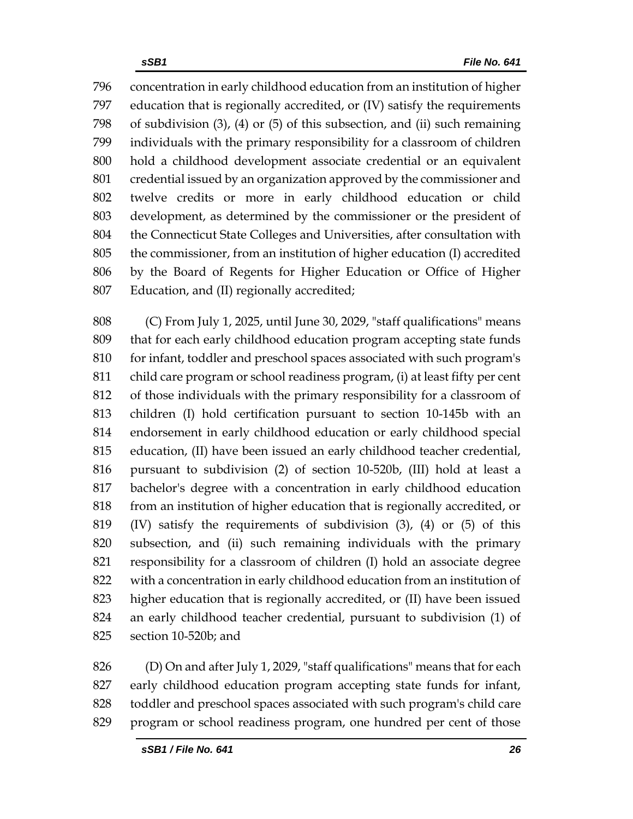concentration in early childhood education from an institution of higher education that is regionally accredited, or (IV) satisfy the requirements of subdivision (3), (4) or (5) of this subsection, and (ii) such remaining individuals with the primary responsibility for a classroom of children hold a childhood development associate credential or an equivalent credential issued by an organization approved by the commissioner and twelve credits or more in early childhood education or child development, as determined by the commissioner or the president of the Connecticut State Colleges and Universities, after consultation with the commissioner, from an institution of higher education (I) accredited by the Board of Regents for Higher Education or Office of Higher Education, and (II) regionally accredited;

 (C) From July 1, 2025, until June 30, 2029, "staff qualifications" means that for each early childhood education program accepting state funds 810 for infant, toddler and preschool spaces associated with such program's child care program or school readiness program, (i) at least fifty per cent of those individuals with the primary responsibility for a classroom of children (I) hold certification pursuant to section 10-145b with an endorsement in early childhood education or early childhood special education, (II) have been issued an early childhood teacher credential, pursuant to subdivision (2) of section 10-520b, (III) hold at least a bachelor's degree with a concentration in early childhood education from an institution of higher education that is regionally accredited, or (IV) satisfy the requirements of subdivision (3), (4) or (5) of this subsection, and (ii) such remaining individuals with the primary responsibility for a classroom of children (I) hold an associate degree with a concentration in early childhood education from an institution of higher education that is regionally accredited, or (II) have been issued an early childhood teacher credential, pursuant to subdivision (1) of section 10-520b; and

 (D) On and after July 1, 2029, "staff qualifications" means that for each early childhood education program accepting state funds for infant, toddler and preschool spaces associated with such program's child care program or school readiness program, one hundred per cent of those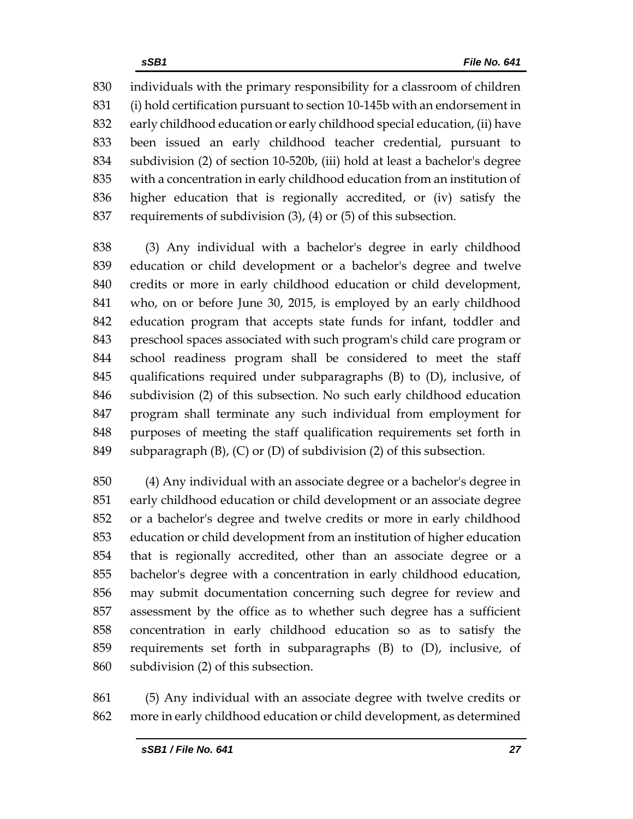individuals with the primary responsibility for a classroom of children (i) hold certification pursuant to section 10-145b with an endorsement in early childhood education or early childhood special education, (ii) have been issued an early childhood teacher credential, pursuant to subdivision (2) of section 10-520b, (iii) hold at least a bachelor's degree with a concentration in early childhood education from an institution of higher education that is regionally accredited, or (iv) satisfy the requirements of subdivision (3), (4) or (5) of this subsection.

 (3) Any individual with a bachelor's degree in early childhood education or child development or a bachelor's degree and twelve credits or more in early childhood education or child development, who, on or before June 30, 2015, is employed by an early childhood education program that accepts state funds for infant, toddler and preschool spaces associated with such program's child care program or school readiness program shall be considered to meet the staff qualifications required under subparagraphs (B) to (D), inclusive, of subdivision (2) of this subsection. No such early childhood education program shall terminate any such individual from employment for purposes of meeting the staff qualification requirements set forth in subparagraph (B), (C) or (D) of subdivision (2) of this subsection.

 (4) Any individual with an associate degree or a bachelor's degree in early childhood education or child development or an associate degree or a bachelor's degree and twelve credits or more in early childhood education or child development from an institution of higher education that is regionally accredited, other than an associate degree or a bachelor's degree with a concentration in early childhood education, may submit documentation concerning such degree for review and assessment by the office as to whether such degree has a sufficient concentration in early childhood education so as to satisfy the requirements set forth in subparagraphs (B) to (D), inclusive, of subdivision (2) of this subsection.

 (5) Any individual with an associate degree with twelve credits or more in early childhood education or child development, as determined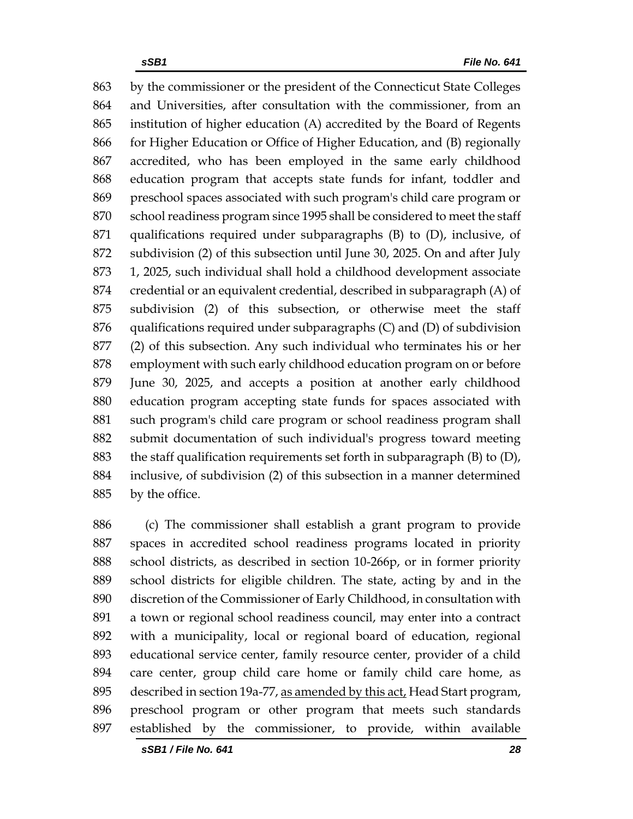by the commissioner or the president of the Connecticut State Colleges and Universities, after consultation with the commissioner, from an institution of higher education (A) accredited by the Board of Regents for Higher Education or Office of Higher Education, and (B) regionally accredited, who has been employed in the same early childhood education program that accepts state funds for infant, toddler and preschool spaces associated with such program's child care program or school readiness program since 1995 shall be considered to meet the staff qualifications required under subparagraphs (B) to (D), inclusive, of subdivision (2) of this subsection until June 30, 2025. On and after July 1, 2025, such individual shall hold a childhood development associate credential or an equivalent credential, described in subparagraph (A) of subdivision (2) of this subsection, or otherwise meet the staff qualifications required under subparagraphs (C) and (D) of subdivision (2) of this subsection. Any such individual who terminates his or her employment with such early childhood education program on or before June 30, 2025, and accepts a position at another early childhood education program accepting state funds for spaces associated with such program's child care program or school readiness program shall submit documentation of such individual's progress toward meeting the staff qualification requirements set forth in subparagraph (B) to (D), inclusive, of subdivision (2) of this subsection in a manner determined by the office.

 (c) The commissioner shall establish a grant program to provide spaces in accredited school readiness programs located in priority school districts, as described in section 10-266p, or in former priority school districts for eligible children. The state, acting by and in the discretion of the Commissioner of Early Childhood, in consultation with a town or regional school readiness council, may enter into a contract with a municipality, local or regional board of education, regional educational service center, family resource center, provider of a child care center, group child care home or family child care home, as described in section 19a-77, as amended by this act, Head Start program, preschool program or other program that meets such standards established by the commissioner, to provide, within available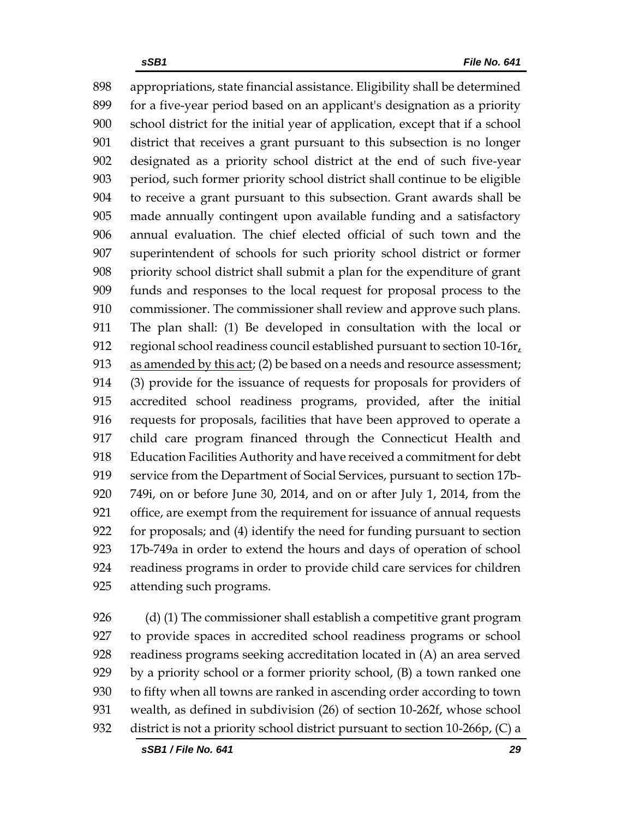appropriations, state financial assistance. Eligibility shall be determined for a five-year period based on an applicant's designation as a priority school district for the initial year of application, except that if a school district that receives a grant pursuant to this subsection is no longer designated as a priority school district at the end of such five-year period, such former priority school district shall continue to be eligible to receive a grant pursuant to this subsection. Grant awards shall be made annually contingent upon available funding and a satisfactory annual evaluation. The chief elected official of such town and the superintendent of schools for such priority school district or former priority school district shall submit a plan for the expenditure of grant funds and responses to the local request for proposal process to the commissioner. The commissioner shall review and approve such plans. The plan shall: (1) Be developed in consultation with the local or 912 regional school readiness council established pursuant to section  $10-16r<sub>t</sub>$  as amended by this act; (2) be based on a needs and resource assessment; (3) provide for the issuance of requests for proposals for providers of accredited school readiness programs, provided, after the initial requests for proposals, facilities that have been approved to operate a child care program financed through the Connecticut Health and Education Facilities Authority and have received a commitment for debt service from the Department of Social Services, pursuant to section 17b- 749i, on or before June 30, 2014, and on or after July 1, 2014, from the office, are exempt from the requirement for issuance of annual requests for proposals; and (4) identify the need for funding pursuant to section 17b-749a in order to extend the hours and days of operation of school readiness programs in order to provide child care services for children attending such programs.

926 (d) (1) The commissioner shall establish a competitive grant program to provide spaces in accredited school readiness programs or school readiness programs seeking accreditation located in (A) an area served by a priority school or a former priority school, (B) a town ranked one to fifty when all towns are ranked in ascending order according to town wealth, as defined in subdivision (26) of section 10-262f, whose school district is not a priority school district pursuant to section 10-266p, (C) a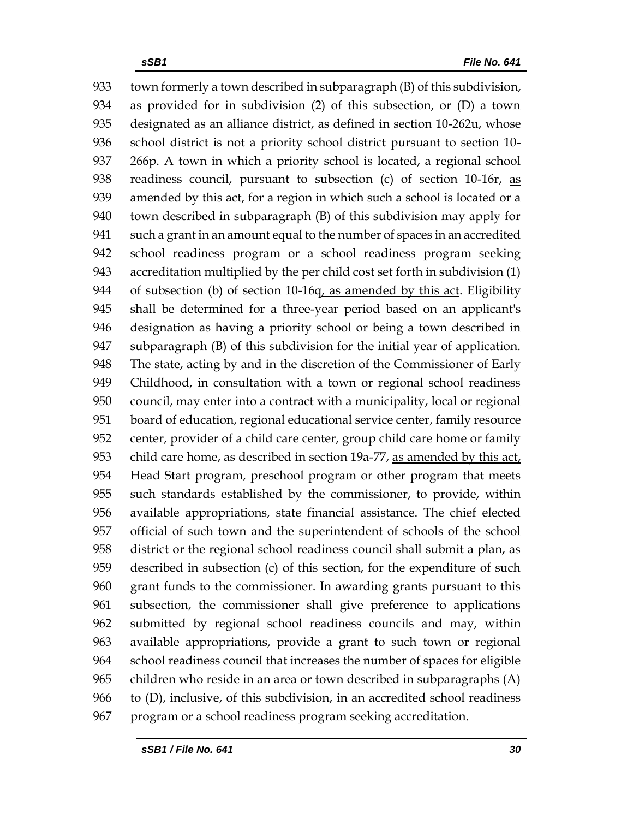town formerly a town described in subparagraph (B) of this subdivision, as provided for in subdivision (2) of this subsection, or (D) a town designated as an alliance district, as defined in section 10-262u, whose school district is not a priority school district pursuant to section 10- 266p. A town in which a priority school is located, a regional school 938 readiness council, pursuant to subsection (c) of section 10-16r, as 939 amended by this act, for a region in which such a school is located or a town described in subparagraph (B) of this subdivision may apply for such a grant in an amount equal to the number of spaces in an accredited school readiness program or a school readiness program seeking accreditation multiplied by the per child cost set forth in subdivision (1) of subsection (b) of section 10-16q, as amended by this act. Eligibility shall be determined for a three-year period based on an applicant's designation as having a priority school or being a town described in subparagraph (B) of this subdivision for the initial year of application. The state, acting by and in the discretion of the Commissioner of Early Childhood, in consultation with a town or regional school readiness council, may enter into a contract with a municipality, local or regional board of education, regional educational service center, family resource center, provider of a child care center, group child care home or family child care home, as described in section 19a-77, as amended by this act, Head Start program, preschool program or other program that meets such standards established by the commissioner, to provide, within available appropriations, state financial assistance. The chief elected official of such town and the superintendent of schools of the school district or the regional school readiness council shall submit a plan, as described in subsection (c) of this section, for the expenditure of such grant funds to the commissioner. In awarding grants pursuant to this subsection, the commissioner shall give preference to applications submitted by regional school readiness councils and may, within available appropriations, provide a grant to such town or regional school readiness council that increases the number of spaces for eligible children who reside in an area or town described in subparagraphs (A) to (D), inclusive, of this subdivision, in an accredited school readiness program or a school readiness program seeking accreditation.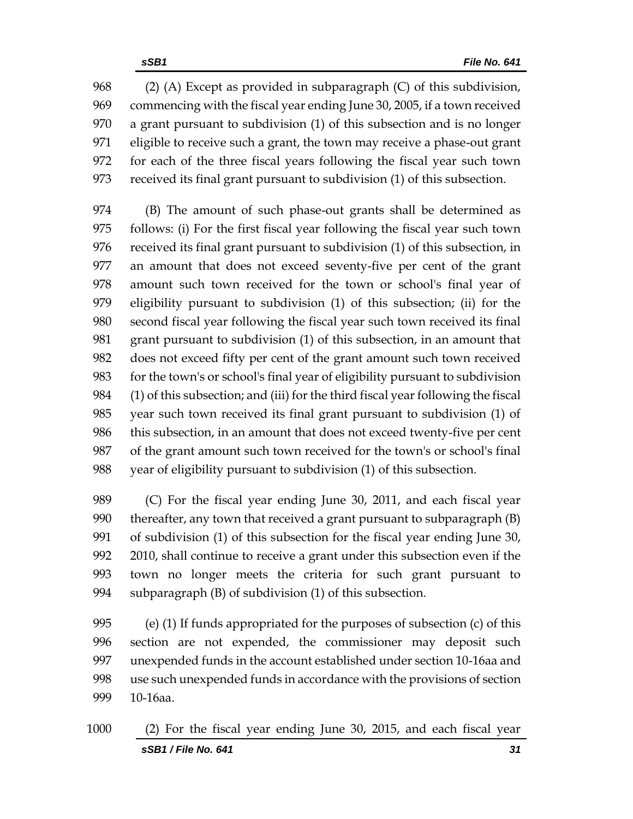(2) (A) Except as provided in subparagraph (C) of this subdivision, commencing with the fiscal year ending June 30, 2005, if a town received a grant pursuant to subdivision (1) of this subsection and is no longer eligible to receive such a grant, the town may receive a phase-out grant for each of the three fiscal years following the fiscal year such town received its final grant pursuant to subdivision (1) of this subsection.

 (B) The amount of such phase-out grants shall be determined as follows: (i) For the first fiscal year following the fiscal year such town received its final grant pursuant to subdivision (1) of this subsection, in an amount that does not exceed seventy-five per cent of the grant amount such town received for the town or school's final year of eligibility pursuant to subdivision (1) of this subsection; (ii) for the second fiscal year following the fiscal year such town received its final grant pursuant to subdivision (1) of this subsection, in an amount that does not exceed fifty per cent of the grant amount such town received for the town's or school's final year of eligibility pursuant to subdivision (1) of this subsection; and (iii) for the third fiscal year following the fiscal year such town received its final grant pursuant to subdivision (1) of this subsection, in an amount that does not exceed twenty-five per cent of the grant amount such town received for the town's or school's final year of eligibility pursuant to subdivision (1) of this subsection.

 (C) For the fiscal year ending June 30, 2011, and each fiscal year thereafter, any town that received a grant pursuant to subparagraph (B) of subdivision (1) of this subsection for the fiscal year ending June 30, 2010, shall continue to receive a grant under this subsection even if the town no longer meets the criteria for such grant pursuant to subparagraph (B) of subdivision (1) of this subsection.

 (e) (1) If funds appropriated for the purposes of subsection (c) of this section are not expended, the commissioner may deposit such unexpended funds in the account established under section 10-16aa and use such unexpended funds in accordance with the provisions of section 10-16aa.

*sSB1 / File No. 641 31* (2) For the fiscal year ending June 30, 2015, and each fiscal year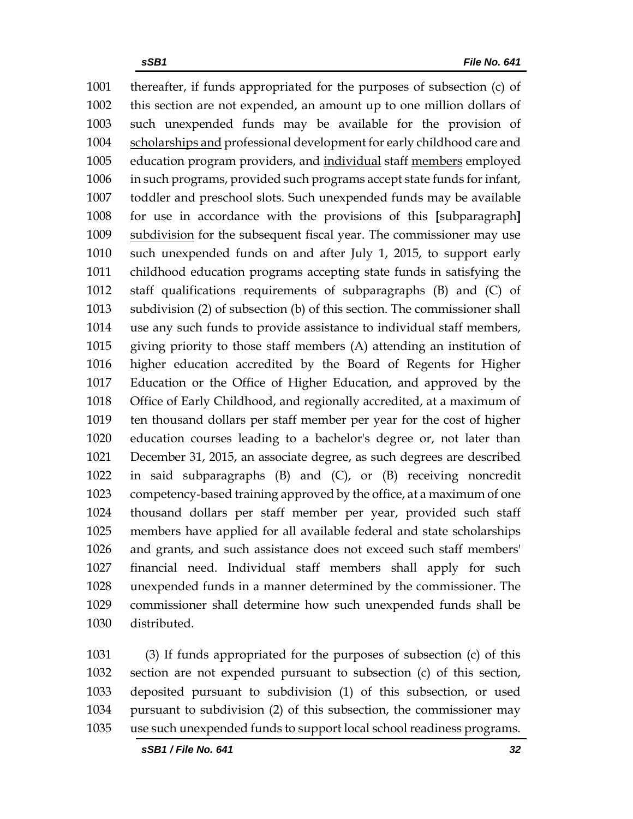thereafter, if funds appropriated for the purposes of subsection (c) of this section are not expended, an amount up to one million dollars of such unexpended funds may be available for the provision of scholarships and professional development for early childhood care and education program providers, and individual staff members employed in such programs, provided such programs accept state funds for infant, toddler and preschool slots. Such unexpended funds may be available for use in accordance with the provisions of this **[**subparagraph**]** subdivision for the subsequent fiscal year. The commissioner may use such unexpended funds on and after July 1, 2015, to support early childhood education programs accepting state funds in satisfying the staff qualifications requirements of subparagraphs (B) and (C) of subdivision (2) of subsection (b) of this section. The commissioner shall use any such funds to provide assistance to individual staff members, giving priority to those staff members (A) attending an institution of higher education accredited by the Board of Regents for Higher Education or the Office of Higher Education, and approved by the Office of Early Childhood, and regionally accredited, at a maximum of ten thousand dollars per staff member per year for the cost of higher education courses leading to a bachelor's degree or, not later than December 31, 2015, an associate degree, as such degrees are described in said subparagraphs (B) and (C), or (B) receiving noncredit competency-based training approved by the office, at a maximum of one thousand dollars per staff member per year, provided such staff members have applied for all available federal and state scholarships and grants, and such assistance does not exceed such staff members' financial need. Individual staff members shall apply for such unexpended funds in a manner determined by the commissioner. The commissioner shall determine how such unexpended funds shall be distributed.

 (3) If funds appropriated for the purposes of subsection (c) of this section are not expended pursuant to subsection (c) of this section, deposited pursuant to subdivision (1) of this subsection, or used pursuant to subdivision (2) of this subsection, the commissioner may use such unexpended funds to support local school readiness programs.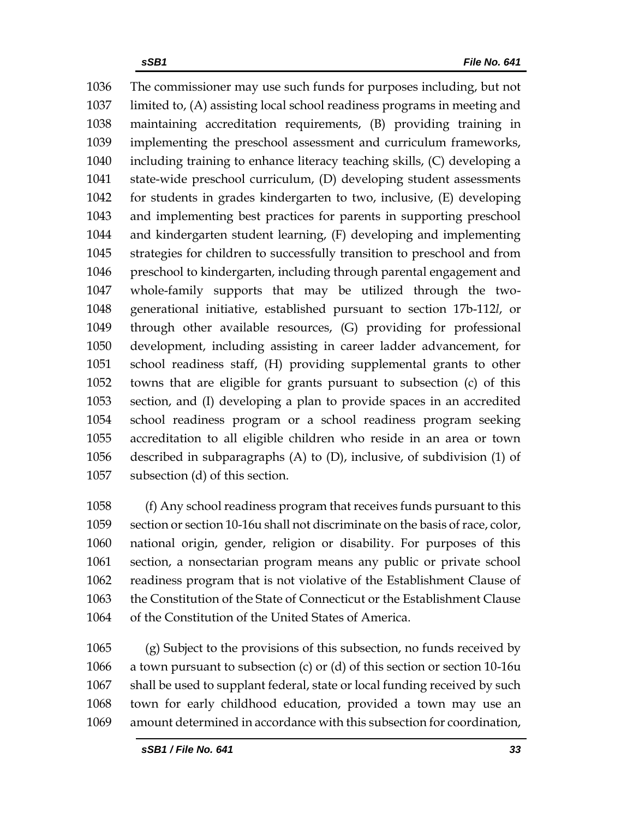The commissioner may use such funds for purposes including, but not limited to, (A) assisting local school readiness programs in meeting and maintaining accreditation requirements, (B) providing training in implementing the preschool assessment and curriculum frameworks, including training to enhance literacy teaching skills, (C) developing a state-wide preschool curriculum, (D) developing student assessments for students in grades kindergarten to two, inclusive, (E) developing and implementing best practices for parents in supporting preschool and kindergarten student learning, (F) developing and implementing strategies for children to successfully transition to preschool and from preschool to kindergarten, including through parental engagement and whole-family supports that may be utilized through the two- generational initiative, established pursuant to section 17b-112*l*, or through other available resources, (G) providing for professional development, including assisting in career ladder advancement, for school readiness staff, (H) providing supplemental grants to other towns that are eligible for grants pursuant to subsection (c) of this section, and (I) developing a plan to provide spaces in an accredited school readiness program or a school readiness program seeking accreditation to all eligible children who reside in an area or town described in subparagraphs (A) to (D), inclusive, of subdivision (1) of subsection (d) of this section.

 (f) Any school readiness program that receives funds pursuant to this section or section 10-16u shall not discriminate on the basis of race, color, national origin, gender, religion or disability. For purposes of this section, a nonsectarian program means any public or private school readiness program that is not violative of the Establishment Clause of the Constitution of the State of Connecticut or the Establishment Clause of the Constitution of the United States of America.

 (g) Subject to the provisions of this subsection, no funds received by a town pursuant to subsection (c) or (d) of this section or section 10-16u shall be used to supplant federal, state or local funding received by such town for early childhood education, provided a town may use an amount determined in accordance with this subsection for coordination,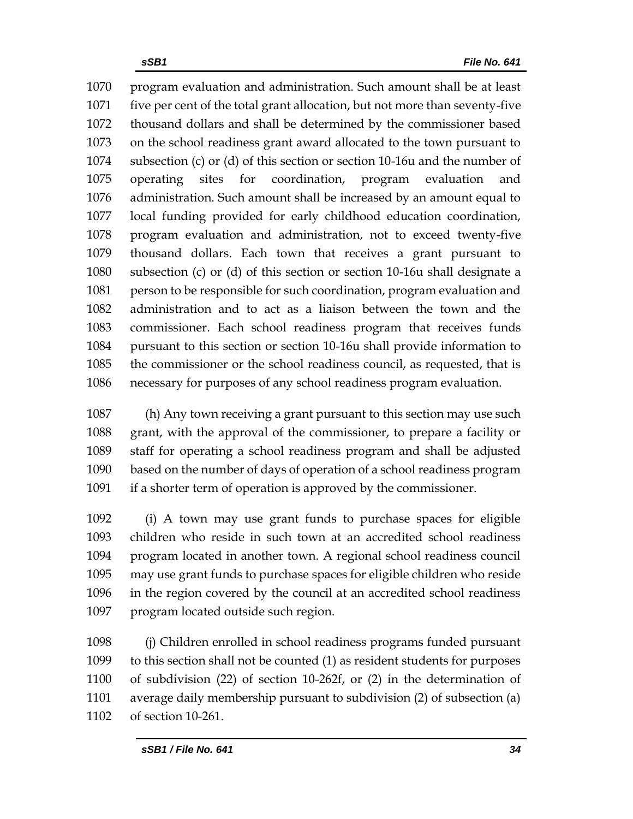program evaluation and administration. Such amount shall be at least five per cent of the total grant allocation, but not more than seventy-five thousand dollars and shall be determined by the commissioner based on the school readiness grant award allocated to the town pursuant to subsection (c) or (d) of this section or section 10-16u and the number of operating sites for coordination, program evaluation and administration. Such amount shall be increased by an amount equal to local funding provided for early childhood education coordination, program evaluation and administration, not to exceed twenty-five thousand dollars. Each town that receives a grant pursuant to subsection (c) or (d) of this section or section 10-16u shall designate a person to be responsible for such coordination, program evaluation and administration and to act as a liaison between the town and the commissioner. Each school readiness program that receives funds pursuant to this section or section 10-16u shall provide information to the commissioner or the school readiness council, as requested, that is necessary for purposes of any school readiness program evaluation.

 (h) Any town receiving a grant pursuant to this section may use such grant, with the approval of the commissioner, to prepare a facility or staff for operating a school readiness program and shall be adjusted based on the number of days of operation of a school readiness program if a shorter term of operation is approved by the commissioner.

 (i) A town may use grant funds to purchase spaces for eligible children who reside in such town at an accredited school readiness program located in another town. A regional school readiness council may use grant funds to purchase spaces for eligible children who reside in the region covered by the council at an accredited school readiness program located outside such region.

 (j) Children enrolled in school readiness programs funded pursuant to this section shall not be counted (1) as resident students for purposes of subdivision (22) of section 10-262f, or (2) in the determination of average daily membership pursuant to subdivision (2) of subsection (a) of section 10-261.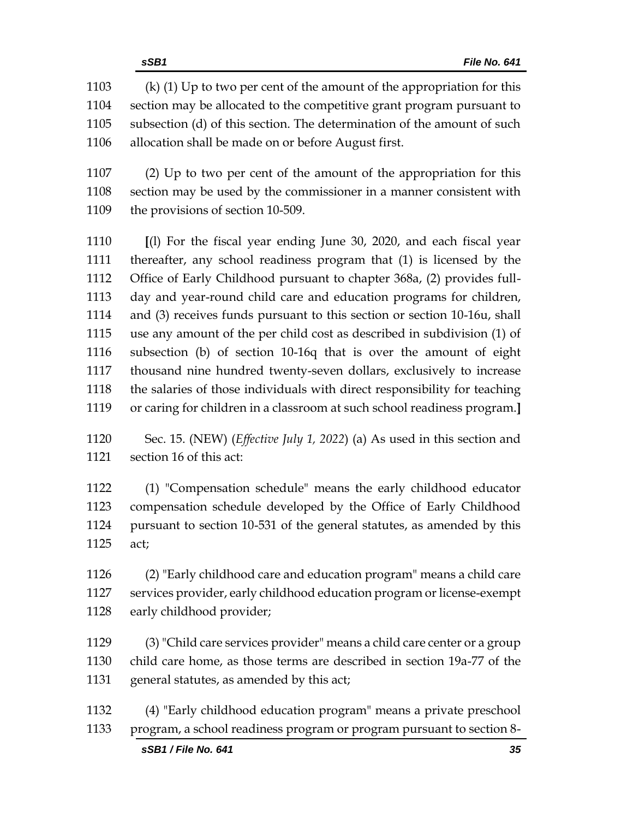allocation shall be made on or before August first.

 (2) Up to two per cent of the amount of the appropriation for this section may be used by the commissioner in a manner consistent with the provisions of section 10-509.

 **[**(l) For the fiscal year ending June 30, 2020, and each fiscal year thereafter, any school readiness program that (1) is licensed by the Office of Early Childhood pursuant to chapter 368a, (2) provides full- day and year-round child care and education programs for children, and (3) receives funds pursuant to this section or section 10-16u, shall use any amount of the per child cost as described in subdivision (1) of subsection (b) of section 10-16q that is over the amount of eight thousand nine hundred twenty-seven dollars, exclusively to increase the salaries of those individuals with direct responsibility for teaching or caring for children in a classroom at such school readiness program.**]**

 Sec. 15. (NEW) (*Effective July 1, 2022*) (a) As used in this section and section 16 of this act:

 (1) "Compensation schedule" means the early childhood educator compensation schedule developed by the Office of Early Childhood pursuant to section 10-531 of the general statutes, as amended by this act;

 (2) "Early childhood care and education program" means a child care services provider, early childhood education program or license-exempt early childhood provider;

 (3) "Child care services provider" means a child care center or a group child care home, as those terms are described in section 19a-77 of the general statutes, as amended by this act;

 (4) "Early childhood education program" means a private preschool program, a school readiness program or program pursuant to section 8-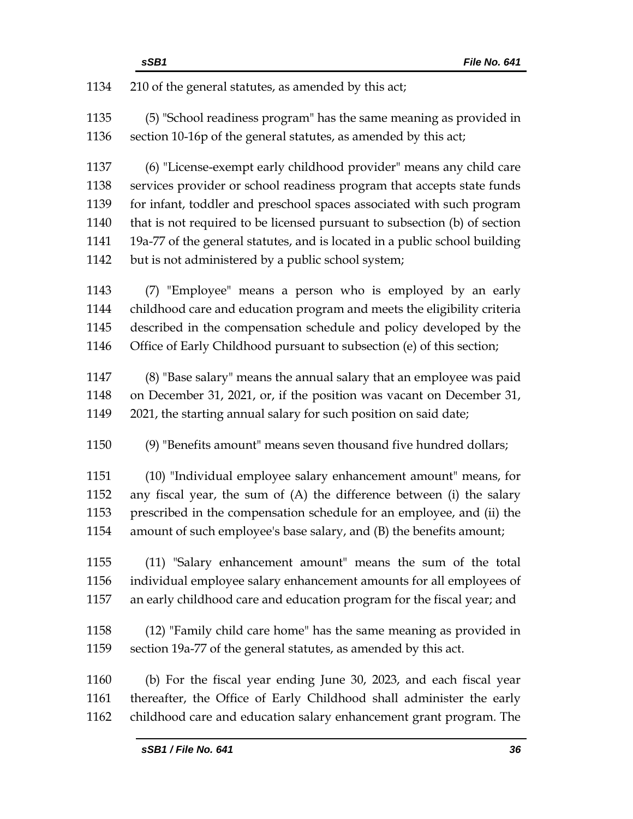| 1134 | 210 of the general statutes, as amended by this act;                       |  |  |
|------|----------------------------------------------------------------------------|--|--|
| 1135 | (5) "School readiness program" has the same meaning as provided in         |  |  |
| 1136 | section 10-16p of the general statutes, as amended by this act;            |  |  |
| 1137 | (6) "License-exempt early childhood provider" means any child care         |  |  |
| 1138 | services provider or school readiness program that accepts state funds     |  |  |
| 1139 | for infant, toddler and preschool spaces associated with such program      |  |  |
| 1140 | that is not required to be licensed pursuant to subsection (b) of section  |  |  |
| 1141 | 19a-77 of the general statutes, and is located in a public school building |  |  |
| 1142 | but is not administered by a public school system;                         |  |  |
| 1143 | (7) "Employee" means a person who is employed by an early                  |  |  |
| 1144 | childhood care and education program and meets the eligibility criteria    |  |  |
| 1145 | described in the compensation schedule and policy developed by the         |  |  |
| 1146 | Office of Early Childhood pursuant to subsection (e) of this section;      |  |  |
| 1147 | (8) "Base salary" means the annual salary that an employee was paid        |  |  |
| 1148 | on December 31, 2021, or, if the position was vacant on December 31,       |  |  |
| 1149 | 2021, the starting annual salary for such position on said date;           |  |  |
| 1150 | (9) "Benefits amount" means seven thousand five hundred dollars;           |  |  |
| 1151 | (10) "Individual employee salary enhancement amount" means, for            |  |  |
| 1152 | any fiscal year, the sum of (A) the difference between (i) the salary      |  |  |
| 1153 | prescribed in the compensation schedule for an employee, and (ii) the      |  |  |
| 1154 | amount of such employee's base salary, and (B) the benefits amount;        |  |  |
| 1155 | (11) "Salary enhancement amount" means the sum of the total                |  |  |
| 1156 | individual employee salary enhancement amounts for all employees of        |  |  |
| 1157 | an early childhood care and education program for the fiscal year; and     |  |  |
| 1158 | (12) "Family child care home" has the same meaning as provided in          |  |  |
| 1159 | section 19a-77 of the general statutes, as amended by this act.            |  |  |
| 1160 | (b) For the fiscal year ending June 30, 2023, and each fiscal year         |  |  |
| 1161 | thereafter, the Office of Early Childhood shall administer the early       |  |  |
| 1162 | childhood care and education salary enhancement grant program. The         |  |  |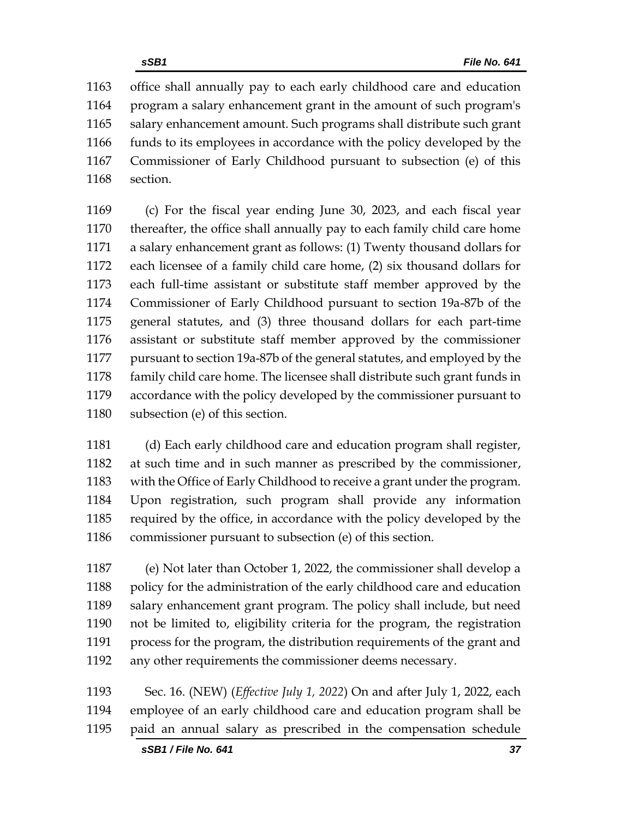office shall annually pay to each early childhood care and education program a salary enhancement grant in the amount of such program's salary enhancement amount. Such programs shall distribute such grant funds to its employees in accordance with the policy developed by the Commissioner of Early Childhood pursuant to subsection (e) of this section.

 (c) For the fiscal year ending June 30, 2023, and each fiscal year thereafter, the office shall annually pay to each family child care home a salary enhancement grant as follows: (1) Twenty thousand dollars for each licensee of a family child care home, (2) six thousand dollars for each full-time assistant or substitute staff member approved by the Commissioner of Early Childhood pursuant to section 19a-87b of the general statutes, and (3) three thousand dollars for each part-time assistant or substitute staff member approved by the commissioner pursuant to section 19a-87b of the general statutes, and employed by the family child care home. The licensee shall distribute such grant funds in accordance with the policy developed by the commissioner pursuant to subsection (e) of this section.

 (d) Each early childhood care and education program shall register, at such time and in such manner as prescribed by the commissioner, with the Office of Early Childhood to receive a grant under the program. Upon registration, such program shall provide any information required by the office, in accordance with the policy developed by the commissioner pursuant to subsection (e) of this section.

 (e) Not later than October 1, 2022, the commissioner shall develop a 1188 policy for the administration of the early childhood care and education salary enhancement grant program. The policy shall include, but need not be limited to, eligibility criteria for the program, the registration process for the program, the distribution requirements of the grant and any other requirements the commissioner deems necessary.

 Sec. 16. (NEW) (*Effective July 1, 2022*) On and after July 1, 2022, each employee of an early childhood care and education program shall be paid an annual salary as prescribed in the compensation schedule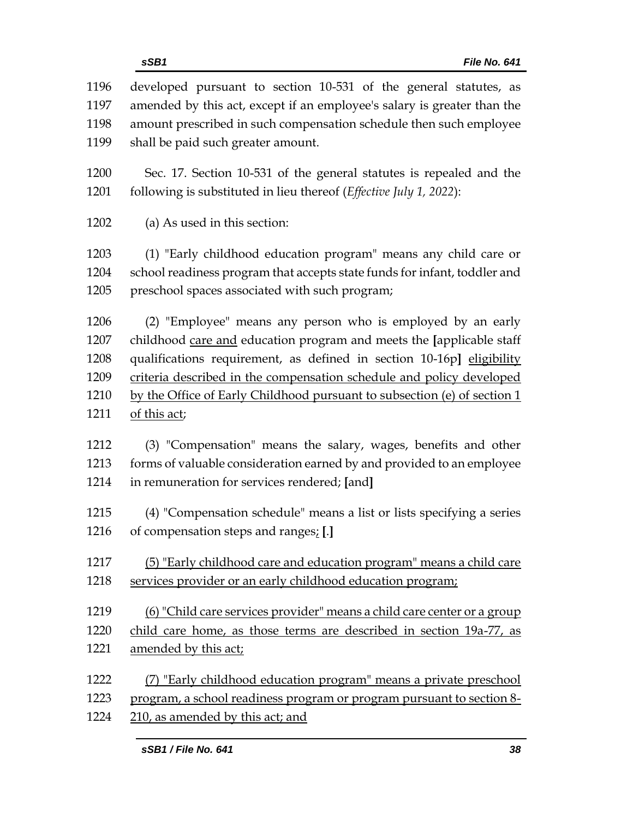| 1196 | developed pursuant to section 10-531 of the general statutes, as          |
|------|---------------------------------------------------------------------------|
| 1197 | amended by this act, except if an employee's salary is greater than the   |
| 1198 | amount prescribed in such compensation schedule then such employee        |
| 1199 | shall be paid such greater amount.                                        |
| 1200 | Sec. 17. Section 10-531 of the general statutes is repealed and the       |
| 1201 | following is substituted in lieu thereof (Effective July 1, 2022):        |
| 1202 | (a) As used in this section:                                              |
| 1203 | (1) "Early childhood education program" means any child care or           |
| 1204 | school readiness program that accepts state funds for infant, toddler and |
| 1205 | preschool spaces associated with such program;                            |
| 1206 | (2) "Employee" means any person who is employed by an early               |
| 1207 | childhood care and education program and meets the [applicable staff      |
| 1208 | qualifications requirement, as defined in section 10-16p] eligibility     |
| 1209 | criteria described in the compensation schedule and policy developed      |
| 1210 | by the Office of Early Childhood pursuant to subsection (e) of section 1  |
| 1211 | of this act;                                                              |
| 1212 | (3) "Compensation" means the salary, wages, benefits and other            |
| 1213 | forms of valuable consideration earned by and provided to an employee     |
| 1214 | in remuneration for services rendered; [and]                              |
| 1215 | (4) "Compensation schedule" means a list or lists specifying a series     |
| 1216 | of compensation steps and ranges; [.]                                     |
| 1217 | (5) "Early childhood care and education program" means a child care       |
| 1218 | services provider or an early childhood education program;                |
| 1219 | (6) "Child care services provider" means a child care center or a group   |
| 1220 | child care home, as those terms are described in section 19a-77, as       |
| 1221 | amended by this act;                                                      |
| 1222 | (7) "Early childhood education program" means a private preschool         |
| 1223 | program, a school readiness program or program pursuant to section 8-     |
| 1224 | 210, as amended by this act; and                                          |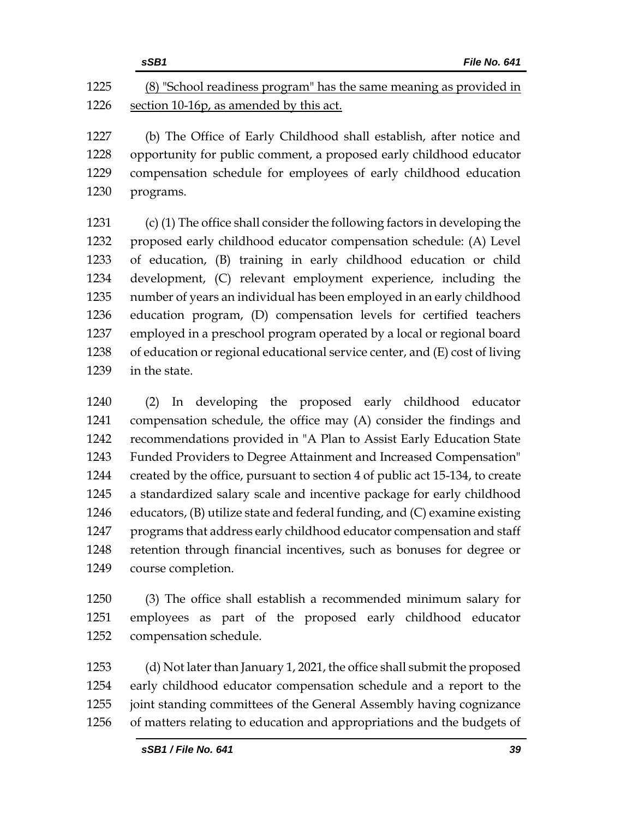|      | sSB1<br>File No. 641                                                |
|------|---------------------------------------------------------------------|
| 1225 | (8) "School readiness program" has the same meaning as provided in  |
| 1226 | section 10-16p, as amended by this act.                             |
| 1227 | (b) The Office of Early Childhood shall establish, after notice and |
|      | conceptunity for public commont a proposed early childhood educator |

 opportunity for public comment, a proposed early childhood educator compensation schedule for employees of early childhood education programs.

 (c) (1) The office shall consider the following factors in developing the proposed early childhood educator compensation schedule: (A) Level of education, (B) training in early childhood education or child development, (C) relevant employment experience, including the number of years an individual has been employed in an early childhood education program, (D) compensation levels for certified teachers employed in a preschool program operated by a local or regional board of education or regional educational service center, and (E) cost of living in the state.

 (2) In developing the proposed early childhood educator compensation schedule, the office may (A) consider the findings and recommendations provided in "A Plan to Assist Early Education State Funded Providers to Degree Attainment and Increased Compensation" created by the office, pursuant to section 4 of public act 15-134, to create a standardized salary scale and incentive package for early childhood educators, (B) utilize state and federal funding, and (C) examine existing programs that address early childhood educator compensation and staff retention through financial incentives, such as bonuses for degree or course completion.

 (3) The office shall establish a recommended minimum salary for employees as part of the proposed early childhood educator compensation schedule.

 (d) Not later than January 1, 2021, the office shall submit the proposed early childhood educator compensation schedule and a report to the joint standing committees of the General Assembly having cognizance of matters relating to education and appropriations and the budgets of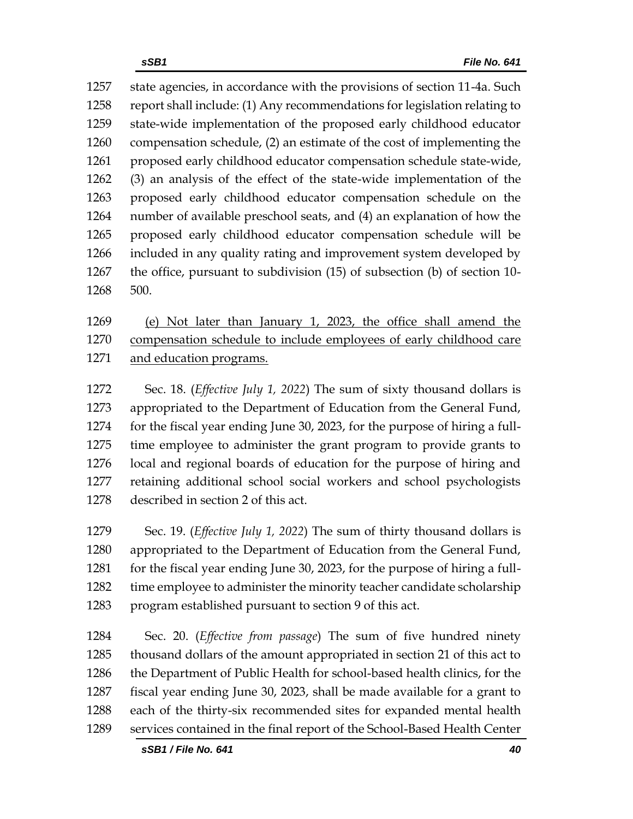state agencies, in accordance with the provisions of section 11-4a. Such report shall include: (1) Any recommendations for legislation relating to state-wide implementation of the proposed early childhood educator compensation schedule, (2) an estimate of the cost of implementing the proposed early childhood educator compensation schedule state-wide, (3) an analysis of the effect of the state-wide implementation of the proposed early childhood educator compensation schedule on the number of available preschool seats, and (4) an explanation of how the proposed early childhood educator compensation schedule will be included in any quality rating and improvement system developed by the office, pursuant to subdivision (15) of subsection (b) of section 10- 500.

 (e) Not later than January 1, 2023, the office shall amend the compensation schedule to include employees of early childhood care and education programs.

 Sec. 18. (*Effective July 1, 2022*) The sum of sixty thousand dollars is appropriated to the Department of Education from the General Fund, for the fiscal year ending June 30, 2023, for the purpose of hiring a full- time employee to administer the grant program to provide grants to local and regional boards of education for the purpose of hiring and retaining additional school social workers and school psychologists described in section 2 of this act.

 Sec. 19. (*Effective July 1, 2022*) The sum of thirty thousand dollars is appropriated to the Department of Education from the General Fund, 1281 for the fiscal year ending June 30, 2023, for the purpose of hiring a full-1282 time employee to administer the minority teacher candidate scholarship program established pursuant to section 9 of this act.

 Sec. 20. (*Effective from passage*) The sum of five hundred ninety thousand dollars of the amount appropriated in section 21 of this act to the Department of Public Health for school-based health clinics, for the fiscal year ending June 30, 2023, shall be made available for a grant to each of the thirty-six recommended sites for expanded mental health services contained in the final report of the School-Based Health Center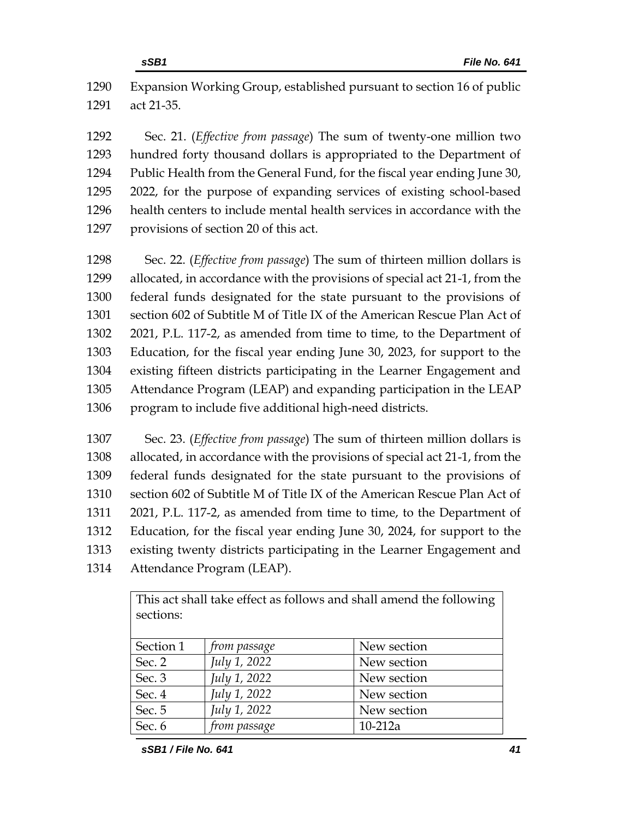Expansion Working Group, established pursuant to section 16 of public act 21-35.

 Sec. 21. (*Effective from passage*) The sum of twenty-one million two hundred forty thousand dollars is appropriated to the Department of Public Health from the General Fund, for the fiscal year ending June 30, 2022, for the purpose of expanding services of existing school-based health centers to include mental health services in accordance with the provisions of section 20 of this act.

 Sec. 22. (*Effective from passage*) The sum of thirteen million dollars is allocated, in accordance with the provisions of special act 21-1, from the federal funds designated for the state pursuant to the provisions of section 602 of Subtitle M of Title IX of the American Rescue Plan Act of 2021, P.L. 117-2, as amended from time to time, to the Department of Education, for the fiscal year ending June 30, 2023, for support to the existing fifteen districts participating in the Learner Engagement and Attendance Program (LEAP) and expanding participation in the LEAP program to include five additional high-need districts.

 Sec. 23. (*Effective from passage*) The sum of thirteen million dollars is allocated, in accordance with the provisions of special act 21-1, from the federal funds designated for the state pursuant to the provisions of section 602 of Subtitle M of Title IX of the American Rescue Plan Act of 2021, P.L. 117-2, as amended from time to time, to the Department of Education, for the fiscal year ending June 30, 2024, for support to the existing twenty districts participating in the Learner Engagement and Attendance Program (LEAP).

> This act shall take effect as follows and shall amend the following sections:

| Section 1 | from passage | New section |
|-----------|--------------|-------------|
| Sec. 2    | July 1, 2022 | New section |
| Sec. 3    | July 1, 2022 | New section |
| Sec. 4    | July 1, 2022 | New section |
| Sec. 5    | July 1, 2022 | New section |
| Sec. 6    | from passage | $10-212a$   |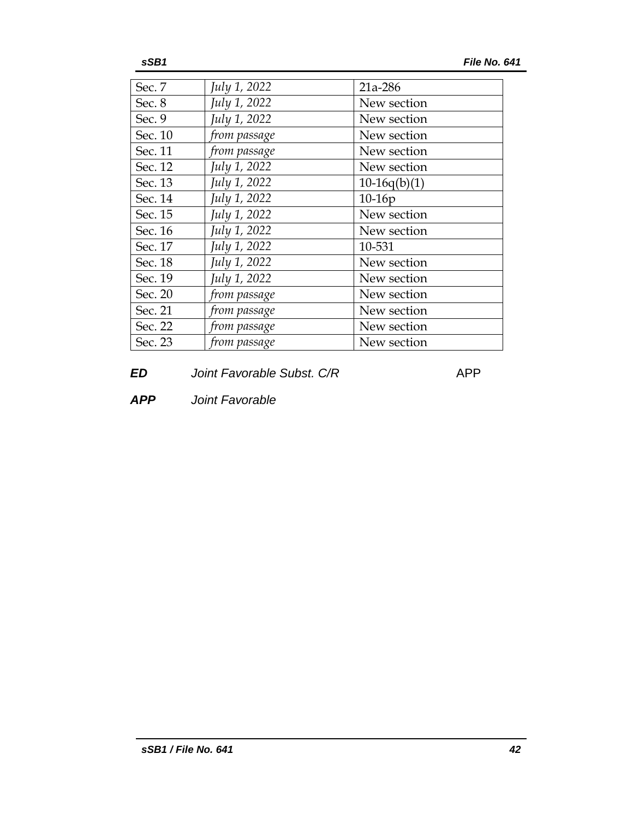| Sec. 7  | July 1, 2022 | 21a-286        |
|---------|--------------|----------------|
| Sec. 8  | July 1, 2022 | New section    |
| Sec. 9  | July 1, 2022 | New section    |
| Sec. 10 | from passage | New section    |
| Sec. 11 | from passage | New section    |
| Sec. 12 | July 1, 2022 | New section    |
| Sec. 13 | July 1, 2022 | $10-16q(b)(1)$ |
| Sec. 14 | July 1, 2022 | $10-16p$       |
| Sec. 15 | July 1, 2022 | New section    |
| Sec. 16 | July 1, 2022 | New section    |
| Sec. 17 | July 1, 2022 | 10-531         |
| Sec. 18 | July 1, 2022 | New section    |
| Sec. 19 | July 1, 2022 | New section    |
| Sec. 20 | from passage | New section    |
| Sec. 21 | from passage | New section    |
| Sec. 22 | from passage | New section    |
| Sec. 23 | from passage | New section    |

**ED** *Joint Favorable Subst. C/R* APP

*APP Joint Favorable*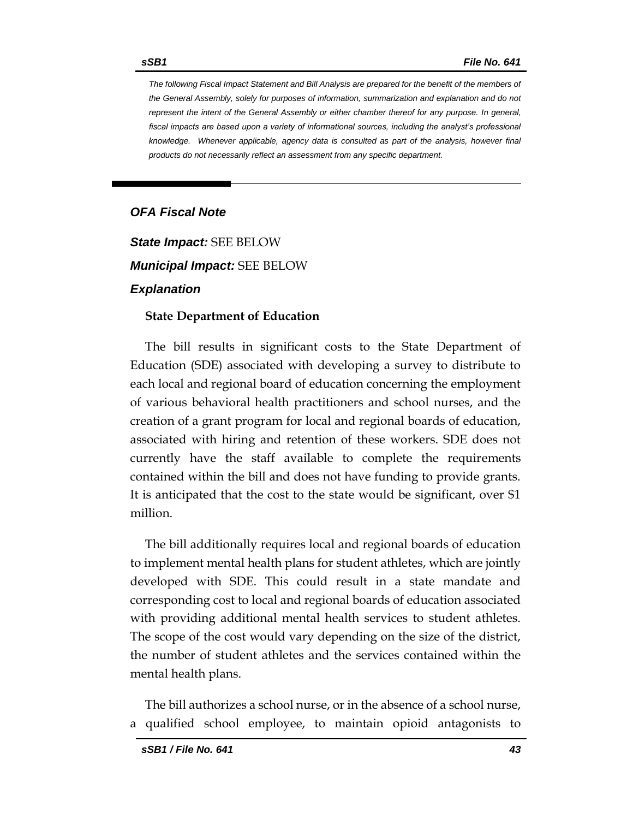*The following Fiscal Impact Statement and Bill Analysis are prepared for the benefit of the members of the General Assembly, solely for purposes of information, summarization and explanation and do not represent the intent of the General Assembly or either chamber thereof for any purpose. In general,*  fiscal impacts are based upon a variety of informational sources, including the analyst's professional *knowledge. Whenever applicable, agency data is consulted as part of the analysis, however final products do not necessarily reflect an assessment from any specific department.*

# *OFA Fiscal Note*

*State Impact:* SEE BELOW *Municipal Impact:* SEE BELOW *Explanation*

## **State Department of Education**

The bill results in significant costs to the State Department of Education (SDE) associated with developing a survey to distribute to each local and regional board of education concerning the employment of various behavioral health practitioners and school nurses, and the creation of a grant program for local and regional boards of education, associated with hiring and retention of these workers. SDE does not currently have the staff available to complete the requirements contained within the bill and does not have funding to provide grants. It is anticipated that the cost to the state would be significant, over \$1 million.

The bill additionally requires local and regional boards of education to implement mental health plans for student athletes, which are jointly developed with SDE. This could result in a state mandate and corresponding cost to local and regional boards of education associated with providing additional mental health services to student athletes. The scope of the cost would vary depending on the size of the district, the number of student athletes and the services contained within the mental health plans.

The bill authorizes a school nurse, or in the absence of a school nurse, a qualified school employee, to maintain opioid antagonists to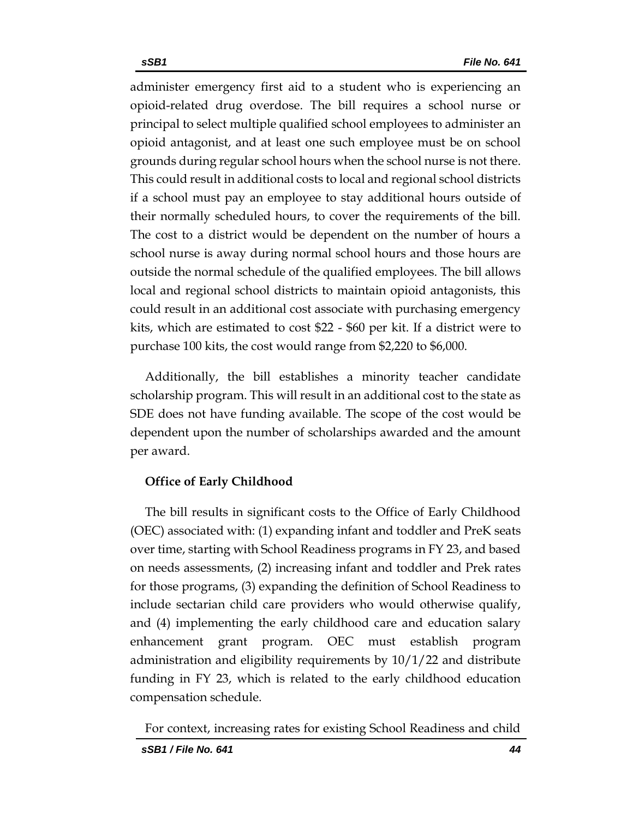administer emergency first aid to a student who is experiencing an opioid-related drug overdose. The bill requires a school nurse or principal to select multiple qualified school employees to administer an opioid antagonist, and at least one such employee must be on school grounds during regular school hours when the school nurse is not there. This could result in additional costs to local and regional school districts if a school must pay an employee to stay additional hours outside of their normally scheduled hours, to cover the requirements of the bill. The cost to a district would be dependent on the number of hours a school nurse is away during normal school hours and those hours are outside the normal schedule of the qualified employees. The bill allows local and regional school districts to maintain opioid antagonists, this could result in an additional cost associate with purchasing emergency kits, which are estimated to cost \$22 - \$60 per kit. If a district were to purchase 100 kits, the cost would range from \$2,220 to \$6,000.

Additionally, the bill establishes a minority teacher candidate scholarship program. This will result in an additional cost to the state as SDE does not have funding available. The scope of the cost would be dependent upon the number of scholarships awarded and the amount per award.

# **Office of Early Childhood**

The bill results in significant costs to the Office of Early Childhood (OEC) associated with: (1) expanding infant and toddler and PreK seats over time, starting with School Readiness programs in FY 23, and based on needs assessments, (2) increasing infant and toddler and Prek rates for those programs, (3) expanding the definition of School Readiness to include sectarian child care providers who would otherwise qualify, and (4) implementing the early childhood care and education salary enhancement grant program. OEC must establish program administration and eligibility requirements by 10/1/22 and distribute funding in FY 23, which is related to the early childhood education compensation schedule.

For context, increasing rates for existing School Readiness and child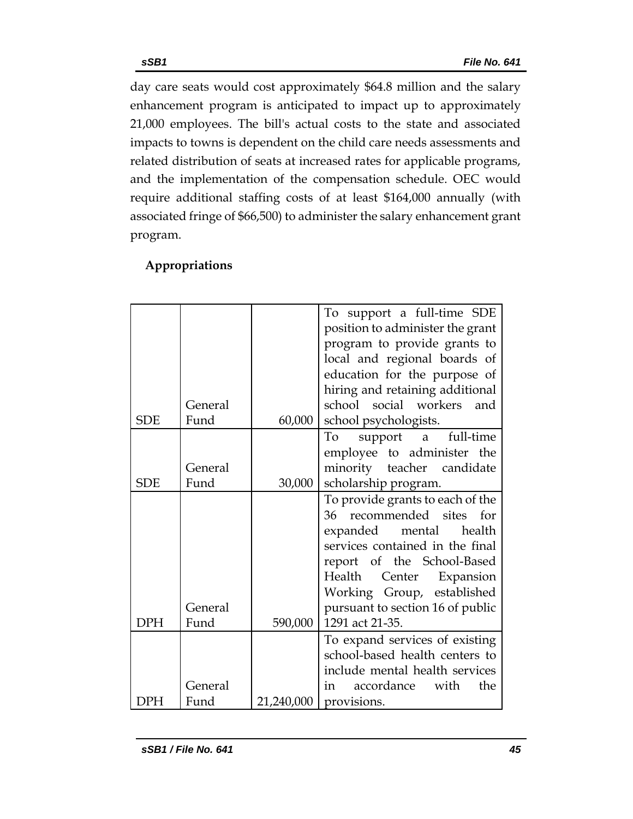day care seats would cost approximately \$64.8 million and the salary enhancement program is anticipated to impact up to approximately 21,000 employees. The bill's actual costs to the state and associated impacts to towns is dependent on the child care needs assessments and related distribution of seats at increased rates for applicable programs, and the implementation of the compensation schedule. OEC would require additional staffing costs of at least \$164,000 annually (with associated fringe of \$66,500) to administer the salary enhancement grant program.

|            |         |            | To support a full-time SDE       |
|------------|---------|------------|----------------------------------|
|            |         |            | position to administer the grant |
|            |         |            | program to provide grants to     |
|            |         |            | local and regional boards of     |
|            |         |            | education for the purpose of     |
|            |         |            | hiring and retaining additional  |
|            | General |            | school social workers and        |
| <b>SDE</b> | Fund    | 60,000     | school psychologists.            |
|            |         |            | support a full-time<br>To        |
|            |         |            | employee to administer the       |
|            | General |            | minority teacher candidate       |
| <b>SDE</b> | Fund    | 30,000     | scholarship program.             |
|            |         |            | To provide grants to each of the |
|            |         |            | 36 recommended sites for         |
|            |         |            | expanded mental health           |
|            |         |            | services contained in the final  |
|            |         |            | report of the School-Based       |
|            |         |            | Health<br>Center Expansion       |
|            |         |            | Working Group, established       |
|            | General |            | pursuant to section 16 of public |
| <b>DPH</b> | Fund    | 590,000    | 1291 act 21-35.                  |
|            |         |            | To expand services of existing   |
|            |         |            | school-based health centers to   |
|            |         |            | include mental health services   |
|            | General |            | accordance with<br>the<br>in     |
| )PH        | Fund    | 21,240,000 | provisions.                      |

# **Appropriations**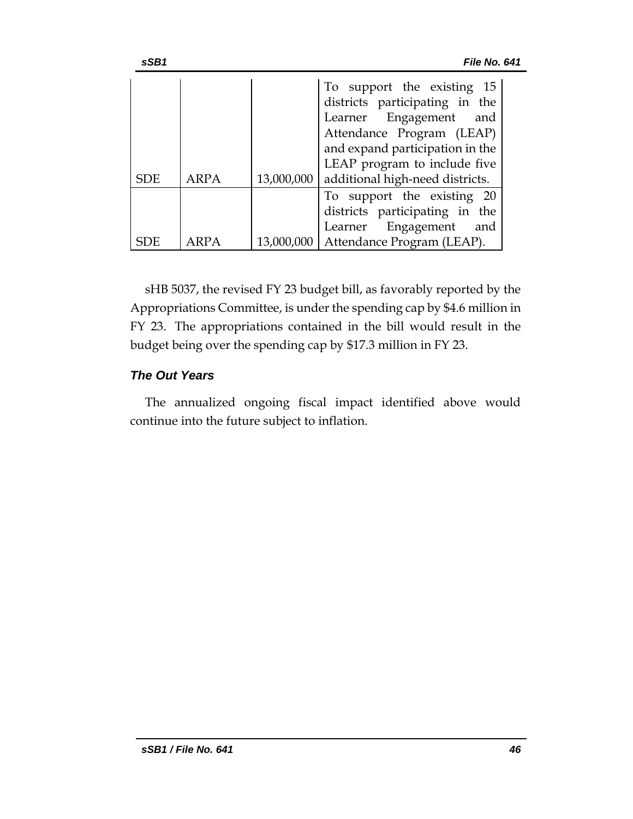| sSB1       |      |            | File No. 641                                                                                                                                                                                                                 |
|------------|------|------------|------------------------------------------------------------------------------------------------------------------------------------------------------------------------------------------------------------------------------|
| <b>SDE</b> | ARPA | 13,000,000 | To support the existing 15<br>districts participating in the<br>Learner Engagement<br>and<br>Attendance Program (LEAP)<br>and expand participation in the<br>LEAP program to include five<br>additional high-need districts. |
|            |      | 13,000,000 | To support the existing 20<br>districts participating in the<br>Learner Engagement<br>and<br>Attendance Program (LEAP).                                                                                                      |

sHB 5037, the revised FY 23 budget bill, as favorably reported by the Appropriations Committee, is under the spending cap by \$4.6 million in FY 23. The appropriations contained in the bill would result in the budget being over the spending cap by \$17.3 million in FY 23.

# *The Out Years*

The annualized ongoing fiscal impact identified above would continue into the future subject to inflation.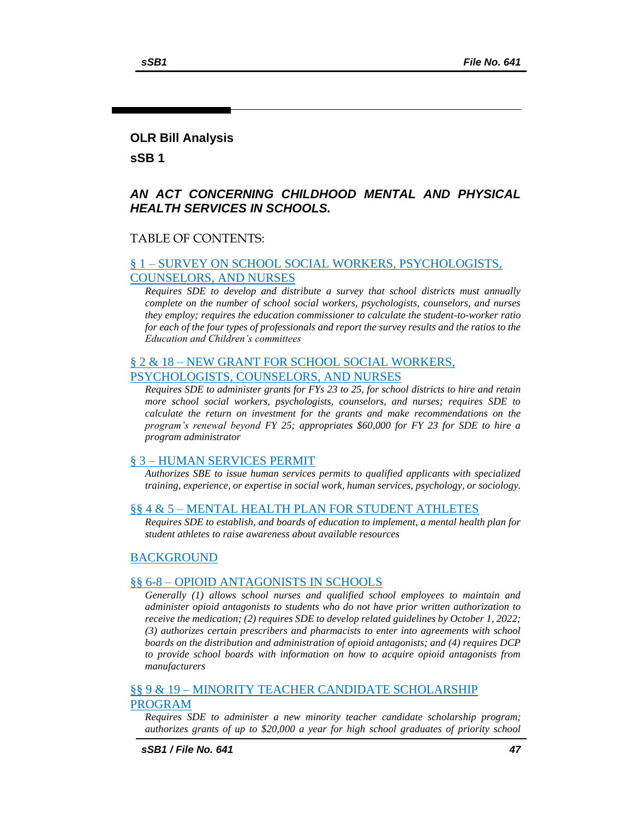## **OLR Bill Analysis**

**sSB 1**

## *AN ACT CONCERNING CHILDHOOD MENTAL AND PHYSICAL HEALTH SERVICES IN SCHOOLS.*

## TABLE OF CONTENTS:

## § 1 – [SURVEY ON SCHOOL SOCIAL WORKERS, PSYCHOLOGISTS,](#page-48-0)  [COUNSELORS, AND NURSES](#page-48-0)

*[Requires SDE to develop and distribute a survey that school districts must annually](#page-48-1)  [complete on the number of school social workers, psychologists, counselors, and nurses](#page-48-1)  [they employ; requires the education commissioner to calculate the student-to-worker ratio](#page-48-1)  [for each of the four types of professionals and report the survey results and the ratios to the](#page-48-1)  [Education and Children's committees](#page-48-1)*

## § 2 & 18 – [NEW GRANT FOR SCHOOL SOCIAL WORKERS,](#page-49-0)  [PSYCHOLOGISTS, COUNSELORS, AND NURSES](#page-49-0)

*[Requires SDE to administer grants for FYs 23 to 25, for school districts to hire and retain](#page-49-1)  [more school social workers, psychologists, counselors, and nurses; requires SDE to](#page-49-1)  [calculate the return on investment for the grants and make recommendations on the](#page-49-1)  program's renewal beyond [FY 25; appropriates \\$60,000 for FY 23 for SDE to hire a](#page-49-1)  [program administrator](#page-49-1)*

## § 3 – [HUMAN SERVICES PERMIT](#page-52-0)

*[Authorizes SBE to issue human services permits to qualified applicants with specialized](#page-52-1)  [training, experience, or expertise in social work, human services, psychology, or sociology.](#page-52-1)*

#### §§ 4 & 5 – [MENTAL HEALTH PLAN FOR STUDENT ATHLETES](#page-52-2)

*[Requires SDE to establish, and boards of education to implement, a mental health plan for](#page-52-3)  [student athletes to raise awareness about available resources](#page-52-3)*

## **[BACKGROUND](#page-53-0)**

## §§ 6-8 – [OPIOID ANTAGONISTS IN SCHOOLS](#page-53-1)

*[Generally \(1\) allows school nurses and qualified school employees to maintain and](#page-53-2)  [administer opioid antagonists to students who do not have prior written authorization to](#page-53-2)  [receive the medication; \(2\) requires SDE to develop related guidelines by October 1, 2022;](#page-53-2)  [\(3\) authorizes certain prescribers and pharmacists to enter into agreements with school](#page-53-2)  [boards on the distribution and administration of opioid antagonists; and \(4\) requires DCP](#page-53-2)  [to provide school boards with information on how to acquire opioid antagonists from](#page-53-2)  [manufacturers](#page-53-2)*

## §§ 9 & 19 – [MINORITY TEACHER CANDIDATE SCHOLARSHIP](#page-56-0)  [PROGRAM](#page-56-0)

*[Requires SDE to administer a new minority teacher candidate scholarship program;](#page-56-1)  [authorizes grants of up to \\$20,000 a year for high school graduates of priority school](#page-56-1)*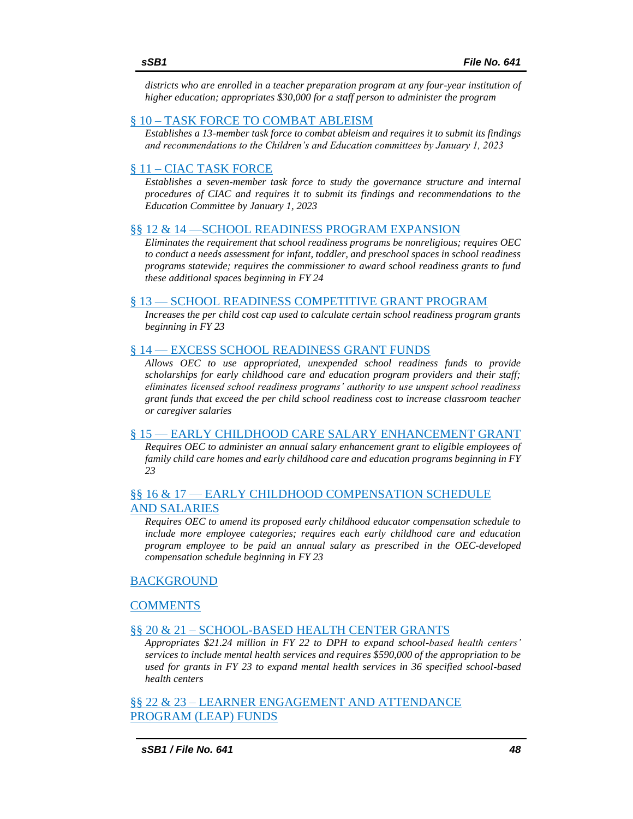*[districts who are enrolled in a teacher preparation program at any four-year institution of](#page-56-1)  [higher education; appropriates \\$30,000 for a staff person to administer the program](#page-56-1)*

## § 10 – [TASK FORCE TO COMBAT ABLEISM](#page-57-0)

*[Establishes a 13-member task force to combat ableism and requires it to submit its findings](#page-57-1)  [and recommendations to the Children's and Education committees by January 1, 2023](#page-57-1)*

## § 11 – [CIAC TASK FORCE](#page-58-0)

*[Establishes a seven-member task force to study the governance structure and internal](#page-58-1)  [procedures of CIAC and requires it to submit its findings and recommendations to the](#page-58-1)  [Education Committee by January 1, 2023](#page-58-1)*

#### [§§ 12 & 14 —SCHOOL READINESS PROGRAM EXPANSION](#page-60-0)

*[Eliminates the requirement that school readiness programs be nonreligious; requires OEC](#page-60-1)  [to conduct a needs assessment for infant, toddler, and preschool spaces in school readiness](#page-60-1)  [programs statewide; requires the commissioner to award school readiness grants to fund](#page-60-1)  [these additional spaces beginning in FY 24](#page-60-1)*

## § 13 — [SCHOOL READINESS COMPETITIVE GRANT PROGRAM](#page-61-0)

*[Increases the per child cost cap used to calculate certain school readiness program grants](#page-61-1)  [beginning in FY 23](#page-61-1)*

## § 14 — [EXCESS SCHOOL READINESS](#page-62-0) GRANT FUNDS

*[Allows OEC to use appropriated, unexpended school readiness funds to provide](#page-62-1)  [scholarships for early childhood care and education program providers and their staff;](#page-62-1)  [eliminates licensed school readiness programs' authority to use unspent school readiness](#page-62-1)  [grant funds that exceed the per child school readiness cost to increase classroom teacher](#page-62-1)  [or caregiver salaries](#page-62-1)*

#### § 15 — [EARLY CHILDHOOD CARE SALARY ENHANCEMENT GRANT](#page-63-0)

*[Requires OEC to administer an annual salary enhancement grant to eligible employees of](#page-63-1)  [family child care homes and early childhood care and education programs beginning in FY](#page-63-1) [23](#page-63-1)*

## §§ 16 & 17 — [EARLY CHILDHOOD COMPENSATION SCHEDULE](#page-65-0)  [AND SALARIES](#page-65-0)

*[Requires OEC to amend its proposed early childhood educator compensation schedule to](#page-65-1)  [include more employee categories; requires each early childhood care and education](#page-65-1)  [program employee to be paid an annual salary as prescribed in the OEC-developed](#page-65-1)  [compensation schedule beginning in FY 23](#page-65-1)*

#### [BACKGROUND](#page-66-0)

## [COMMENTS](#page-67-0)

#### §§ 20 & 21 – [SCHOOL-BASED HEALTH CENTER GRANTS](#page-68-0)

*[Appropriates \\$21.24 million in FY 22 to DPH to expand school-based health centers'](#page-68-1)  [services to include mental health services and requires \\$590,000 of the appropriation to be](#page-68-1)  [used for grants in FY 23 to expand mental health services in 36 specified school-based](#page-68-1)  [health centers](#page-68-1)*

§§ 22 & 23 – [LEARNER ENGAGEMENT AND ATTENDANCE](#page-69-0)  [PROGRAM \(LEAP\) FUNDS](#page-69-0)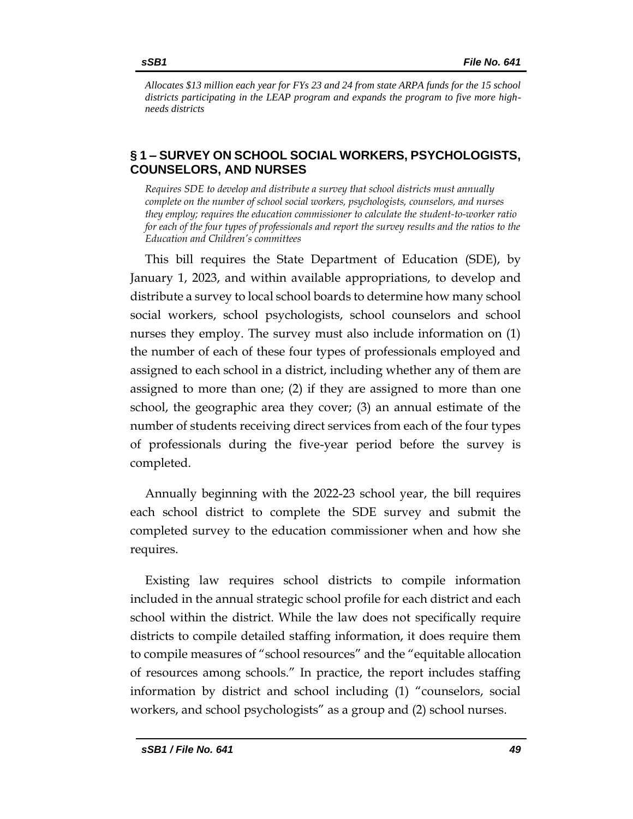*[Allocates \\$13 million each year for FYs 23 and 24 from state ARPA funds for the 15 school](#page-69-1)  [districts participating in the LEAP program and expands the program to five more high](#page-69-1)[needs districts](#page-69-1)*

# <span id="page-48-0"></span>**§ 1 – SURVEY ON SCHOOL SOCIAL WORKERS, PSYCHOLOGISTS, COUNSELORS, AND NURSES**

<span id="page-48-1"></span>*Requires SDE to develop and distribute a survey that school districts must annually complete on the number of school social workers, psychologists, counselors, and nurses they employ; requires the education commissioner to calculate the student-to-worker ratio for each of the four types of professionals and report the survey results and the ratios to the Education and Children's committees* 

This bill requires the State Department of Education (SDE), by January 1, 2023, and within available appropriations, to develop and distribute a survey to local school boards to determine how many school social workers, school psychologists, school counselors and school nurses they employ. The survey must also include information on (1) the number of each of these four types of professionals employed and assigned to each school in a district, including whether any of them are assigned to more than one; (2) if they are assigned to more than one school, the geographic area they cover; (3) an annual estimate of the number of students receiving direct services from each of the four types of professionals during the five-year period before the survey is completed.

Annually beginning with the 2022-23 school year, the bill requires each school district to complete the SDE survey and submit the completed survey to the education commissioner when and how she requires.

Existing law requires school districts to compile information included in the annual strategic school profile for each district and each school within the district. While the law does not specifically require districts to compile detailed staffing information, it does require them to compile measures of "school resources" and the "equitable allocation of resources among schools." In practice, the report includes staffing information by district and school including (1) "counselors, social workers, and school psychologists" as a group and (2) school nurses.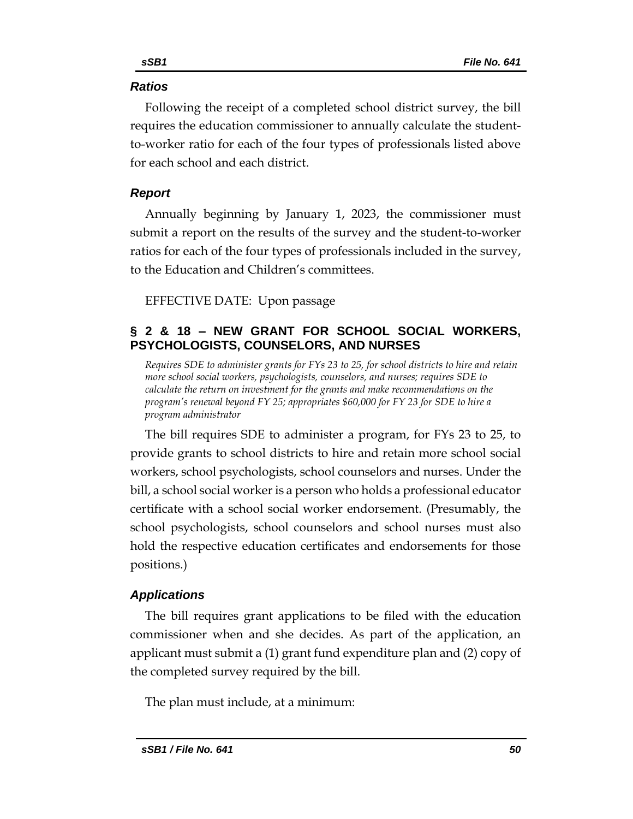# *Ratios*

Following the receipt of a completed school district survey, the bill requires the education commissioner to annually calculate the studentto-worker ratio for each of the four types of professionals listed above for each school and each district.

# *Report*

Annually beginning by January 1, 2023, the commissioner must submit a report on the results of the survey and the student-to-worker ratios for each of the four types of professionals included in the survey, to the Education and Children's committees.

EFFECTIVE DATE: Upon passage

# <span id="page-49-0"></span>**§ 2 & 18 – NEW GRANT FOR SCHOOL SOCIAL WORKERS, PSYCHOLOGISTS, COUNSELORS, AND NURSES**

<span id="page-49-1"></span>*Requires SDE to administer grants for FYs 23 to 25, for school districts to hire and retain more school social workers, psychologists, counselors, and nurses; requires SDE to calculate the return on investment for the grants and make recommendations on the program's renewal beyond FY 25; appropriates \$60,000 for FY 23 for SDE to hire a program administrator* 

The bill requires SDE to administer a program, for FYs 23 to 25, to provide grants to school districts to hire and retain more school social workers, school psychologists, school counselors and nurses. Under the bill, a school social worker is a person who holds a professional educator certificate with a school social worker endorsement. (Presumably, the school psychologists, school counselors and school nurses must also hold the respective education certificates and endorsements for those positions.)

# *Applications*

The bill requires grant applications to be filed with the education commissioner when and she decides. As part of the application, an applicant must submit a (1) grant fund expenditure plan and (2) copy of the completed survey required by the bill.

The plan must include, at a minimum: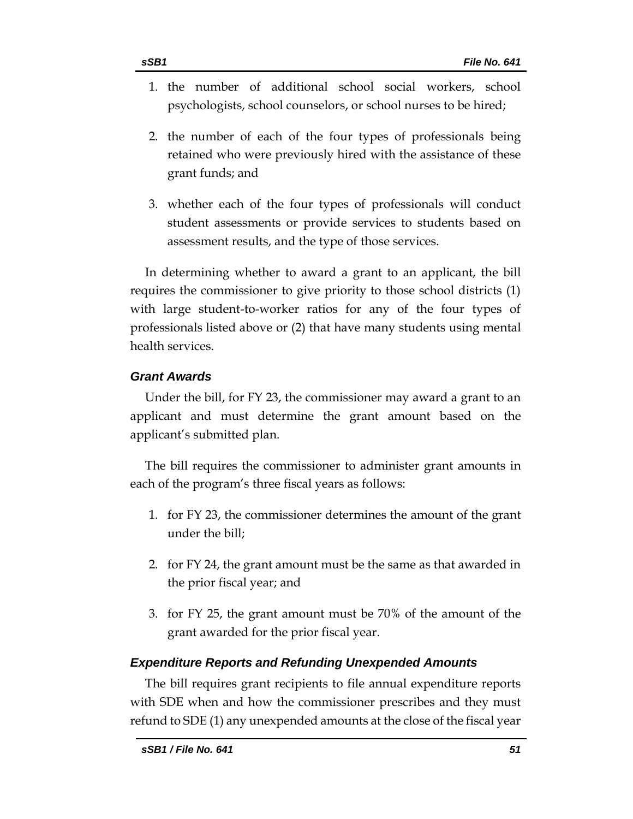- 1. the number of additional school social workers, school psychologists, school counselors, or school nurses to be hired;
- 2. the number of each of the four types of professionals being retained who were previously hired with the assistance of these grant funds; and
- 3. whether each of the four types of professionals will conduct student assessments or provide services to students based on assessment results, and the type of those services.

In determining whether to award a grant to an applicant, the bill requires the commissioner to give priority to those school districts (1) with large student-to-worker ratios for any of the four types of professionals listed above or (2) that have many students using mental health services.

# *Grant Awards*

Under the bill, for FY 23, the commissioner may award a grant to an applicant and must determine the grant amount based on the applicant's submitted plan.

The bill requires the commissioner to administer grant amounts in each of the program's three fiscal years as follows:

- 1. for FY 23, the commissioner determines the amount of the grant under the bill;
- 2. for FY 24, the grant amount must be the same as that awarded in the prior fiscal year; and
- 3. for FY 25, the grant amount must be 70% of the amount of the grant awarded for the prior fiscal year.

# *Expenditure Reports and Refunding Unexpended Amounts*

The bill requires grant recipients to file annual expenditure reports with SDE when and how the commissioner prescribes and they must refund to SDE (1) any unexpended amounts at the close of the fiscal year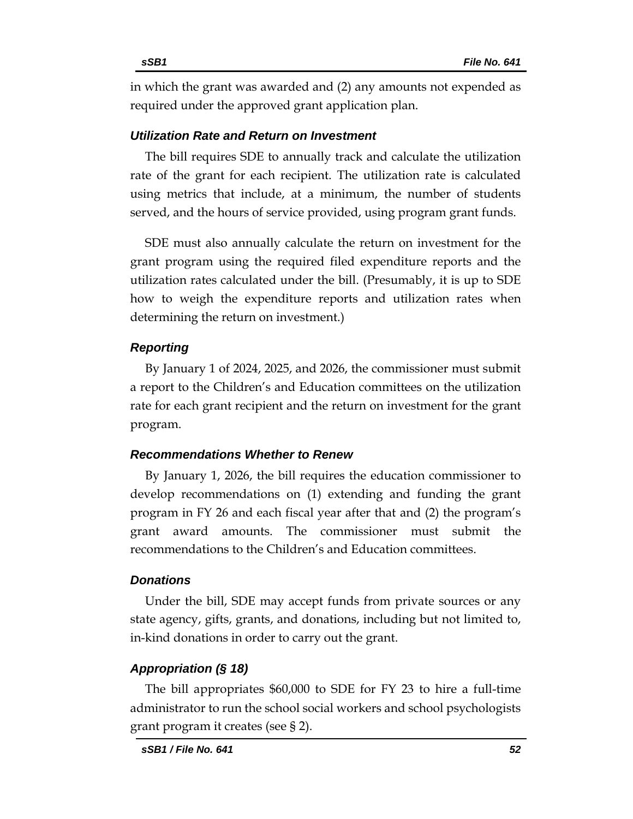in which the grant was awarded and (2) any amounts not expended as required under the approved grant application plan.

# *Utilization Rate and Return on Investment*

The bill requires SDE to annually track and calculate the utilization rate of the grant for each recipient. The utilization rate is calculated using metrics that include, at a minimum, the number of students served, and the hours of service provided, using program grant funds.

SDE must also annually calculate the return on investment for the grant program using the required filed expenditure reports and the utilization rates calculated under the bill. (Presumably, it is up to SDE how to weigh the expenditure reports and utilization rates when determining the return on investment.)

# *Reporting*

By January 1 of 2024, 2025, and 2026, the commissioner must submit a report to the Children's and Education committees on the utilization rate for each grant recipient and the return on investment for the grant program.

## *Recommendations Whether to Renew*

By January 1, 2026, the bill requires the education commissioner to develop recommendations on (1) extending and funding the grant program in FY 26 and each fiscal year after that and (2) the program's grant award amounts. The commissioner must submit the recommendations to the Children's and Education committees.

## *Donations*

Under the bill, SDE may accept funds from private sources or any state agency, gifts, grants, and donations, including but not limited to, in-kind donations in order to carry out the grant.

## *Appropriation (§ 18)*

The bill appropriates \$60,000 to SDE for FY 23 to hire a full-time administrator to run the school social workers and school psychologists grant program it creates (see § 2).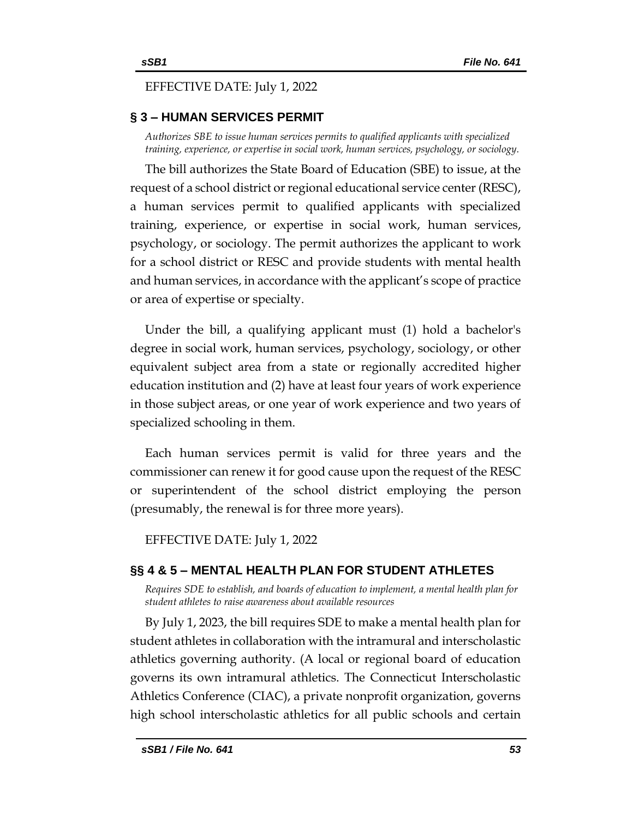# EFFECTIVE DATE: July 1, 2022

# <span id="page-52-0"></span>**§ 3 – HUMAN SERVICES PERMIT**

<span id="page-52-1"></span>*Authorizes SBE to issue human services permits to qualified applicants with specialized training, experience, or expertise in social work, human services, psychology, or sociology.*

The bill authorizes the State Board of Education (SBE) to issue, at the request of a school district or regional educational service center (RESC), a human services permit to qualified applicants with specialized training, experience, or expertise in social work, human services, psychology, or sociology. The permit authorizes the applicant to work for a school district or RESC and provide students with mental health and human services, in accordance with the applicant's scope of practice or area of expertise or specialty.

Under the bill, a qualifying applicant must (1) hold a bachelor's degree in social work, human services, psychology, sociology, or other equivalent subject area from a state or regionally accredited higher education institution and (2) have at least four years of work experience in those subject areas, or one year of work experience and two years of specialized schooling in them.

Each human services permit is valid for three years and the commissioner can renew it for good cause upon the request of the RESC or superintendent of the school district employing the person (presumably, the renewal is for three more years).

EFFECTIVE DATE: July 1, 2022

# <span id="page-52-2"></span>**§§ 4 & 5 – MENTAL HEALTH PLAN FOR STUDENT ATHLETES**

<span id="page-52-3"></span>*Requires SDE to establish, and boards of education to implement, a mental health plan for student athletes to raise awareness about available resources*

By July 1, 2023, the bill requires SDE to make a mental health plan for student athletes in collaboration with the intramural and interscholastic athletics governing authority. (A local or regional board of education governs its own intramural athletics. The Connecticut Interscholastic Athletics Conference (CIAC), a private nonprofit organization, governs high school interscholastic athletics for all public schools and certain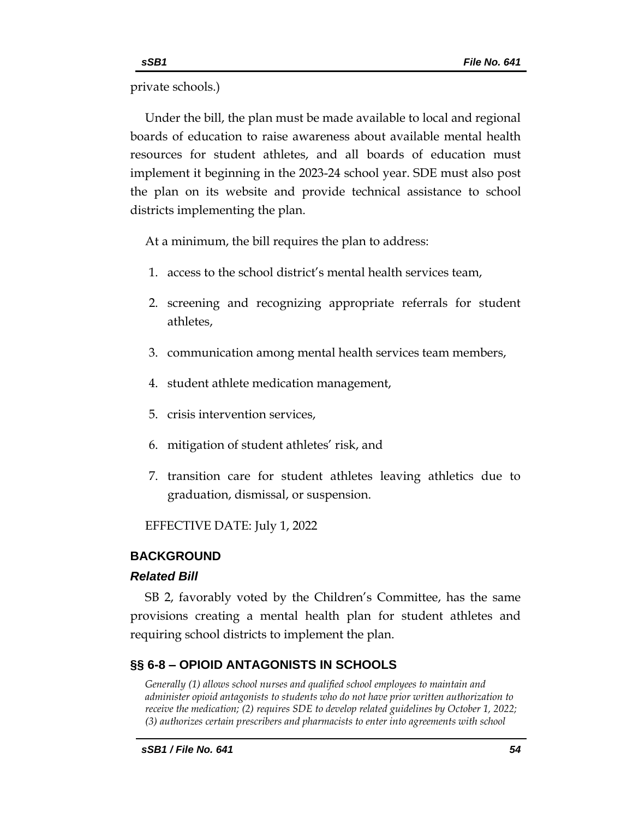private schools.)

Under the bill, the plan must be made available to local and regional boards of education to raise awareness about available mental health resources for student athletes, and all boards of education must implement it beginning in the 2023-24 school year. SDE must also post the plan on its website and provide technical assistance to school districts implementing the plan.

At a minimum, the bill requires the plan to address:

- 1. access to the school district's mental health services team,
- 2. screening and recognizing appropriate referrals for student athletes,
- 3. communication among mental health services team members,
- 4. student athlete medication management,
- 5. crisis intervention services,
- 6. mitigation of student athletes' risk, and
- 7. transition care for student athletes leaving athletics due to graduation, dismissal, or suspension.

EFFECTIVE DATE: July 1, 2022

# <span id="page-53-0"></span>**BACKGROUND**

# *Related Bill*

SB 2, favorably voted by the Children's Committee, has the same provisions creating a mental health plan for student athletes and requiring school districts to implement the plan.

# <span id="page-53-1"></span>**§§ 6-8 – OPIOID ANTAGONISTS IN SCHOOLS**

<span id="page-53-2"></span>*Generally (1) allows school nurses and qualified school employees to maintain and administer opioid antagonists to students who do not have prior written authorization to receive the medication; (2) requires SDE to develop related guidelines by October 1, 2022; (3) authorizes certain prescribers and pharmacists to enter into agreements with school*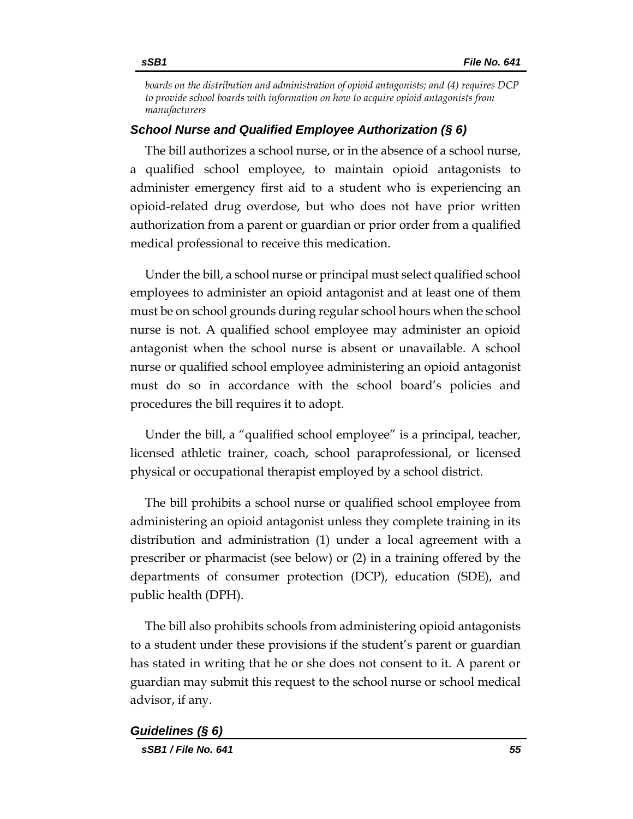*boards on the distribution and administration of opioid antagonists; and (4) requires DCP to provide school boards with information on how to acquire opioid antagonists from manufacturers*

## *School Nurse and Qualified Employee Authorization (§ 6)*

The bill authorizes a school nurse, or in the absence of a school nurse, a qualified school employee, to maintain opioid antagonists to administer emergency first aid to a student who is experiencing an opioid-related drug overdose, but who does not have prior written authorization from a parent or guardian or prior order from a qualified medical professional to receive this medication.

Under the bill, a school nurse or principal must select qualified school employees to administer an opioid antagonist and at least one of them must be on school grounds during regular school hours when the school nurse is not. A qualified school employee may administer an opioid antagonist when the school nurse is absent or unavailable. A school nurse or qualified school employee administering an opioid antagonist must do so in accordance with the school board's policies and procedures the bill requires it to adopt.

Under the bill, a "qualified school employee" is a principal, teacher, licensed athletic trainer, coach, school paraprofessional, or licensed physical or occupational therapist employed by a school district.

The bill prohibits a school nurse or qualified school employee from administering an opioid antagonist unless they complete training in its distribution and administration (1) under a local agreement with a prescriber or pharmacist (see below) or (2) in a training offered by the departments of consumer protection (DCP), education (SDE), and public health (DPH).

The bill also prohibits schools from administering opioid antagonists to a student under these provisions if the student's parent or guardian has stated in writing that he or she does not consent to it. A parent or guardian may submit this request to the school nurse or school medical advisor, if any.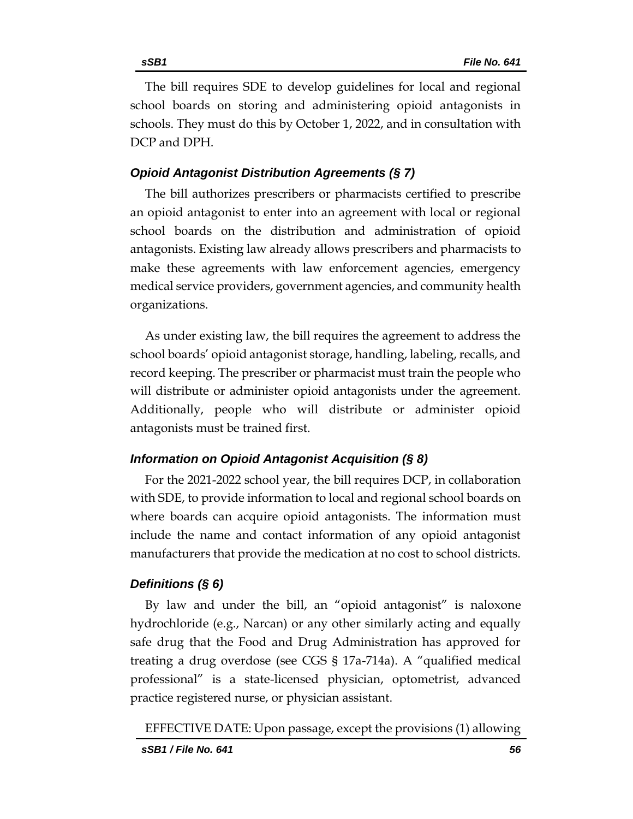The bill requires SDE to develop guidelines for local and regional school boards on storing and administering opioid antagonists in schools. They must do this by October 1, 2022, and in consultation with DCP and DPH.

# *Opioid Antagonist Distribution Agreements (§ 7)*

The bill authorizes prescribers or pharmacists certified to prescribe an opioid antagonist to enter into an agreement with local or regional school boards on the distribution and administration of opioid antagonists. Existing law already allows prescribers and pharmacists to make these agreements with law enforcement agencies, emergency medical service providers, government agencies, and community health organizations.

As under existing law, the bill requires the agreement to address the school boards' opioid antagonist storage, handling, labeling, recalls, and record keeping. The prescriber or pharmacist must train the people who will distribute or administer opioid antagonists under the agreement. Additionally, people who will distribute or administer opioid antagonists must be trained first.

# *Information on Opioid Antagonist Acquisition (§ 8)*

For the 2021-2022 school year, the bill requires DCP, in collaboration with SDE, to provide information to local and regional school boards on where boards can acquire opioid antagonists. The information must include the name and contact information of any opioid antagonist manufacturers that provide the medication at no cost to school districts.

# *Definitions (§ 6)*

By law and under the bill, an "opioid antagonist" is naloxone hydrochloride (e.g., Narcan) or any other similarly acting and equally safe drug that the Food and Drug Administration has approved for treating a drug overdose (see CGS § 17a-714a). A "qualified medical professional" is a state-licensed physician, optometrist, advanced practice registered nurse, or physician assistant.

EFFECTIVE DATE: Upon passage, except the provisions (1) allowing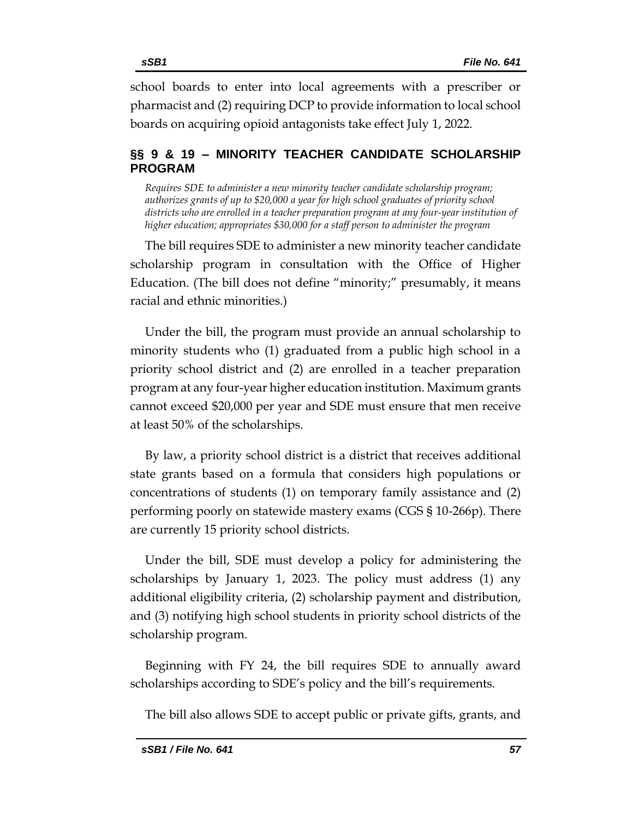school boards to enter into local agreements with a prescriber or pharmacist and (2) requiring DCP to provide information to local school boards on acquiring opioid antagonists take effect July 1, 2022.

# <span id="page-56-0"></span>**§§ 9 & 19 – MINORITY TEACHER CANDIDATE SCHOLARSHIP PROGRAM**

<span id="page-56-1"></span>*Requires SDE to administer a new minority teacher candidate scholarship program; authorizes grants of up to \$20,000 a year for high school graduates of priority school districts who are enrolled in a teacher preparation program at any four-year institution of higher education; appropriates \$30,000 for a staff person to administer the program* 

The bill requires SDE to administer a new minority teacher candidate scholarship program in consultation with the Office of Higher Education. (The bill does not define "minority;" presumably, it means racial and ethnic minorities.)

Under the bill, the program must provide an annual scholarship to minority students who (1) graduated from a public high school in a priority school district and (2) are enrolled in a teacher preparation program at any four-year higher education institution. Maximum grants cannot exceed \$20,000 per year and SDE must ensure that men receive at least 50% of the scholarships.

By law, a priority school district is a district that receives additional state grants based on a formula that considers high populations or concentrations of students (1) on temporary family assistance and (2) performing poorly on statewide mastery exams (CGS § 10-266p). There are currently 15 priority school districts.

Under the bill, SDE must develop a policy for administering the scholarships by January 1, 2023. The policy must address (1) any additional eligibility criteria, (2) scholarship payment and distribution, and (3) notifying high school students in priority school districts of the scholarship program.

Beginning with FY 24, the bill requires SDE to annually award scholarships according to SDE's policy and the bill's requirements.

The bill also allows SDE to accept public or private gifts, grants, and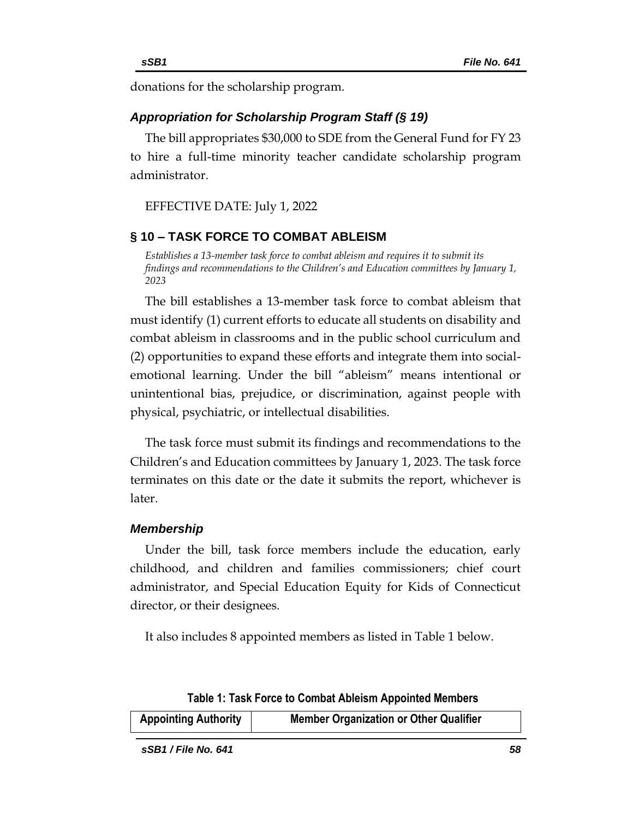donations for the scholarship program.

# *Appropriation for Scholarship Program Staff (§ 19)*

The bill appropriates \$30,000 to SDE from the General Fund for FY 23 to hire a full-time minority teacher candidate scholarship program administrator.

EFFECTIVE DATE: July 1, 2022

# <span id="page-57-0"></span>**§ 10 – TASK FORCE TO COMBAT ABLEISM**

<span id="page-57-1"></span>*Establishes a 13-member task force to combat ableism and requires it to submit its findings and recommendations to the Children's and Education committees by January 1, 2023*

The bill establishes a 13-member task force to combat ableism that must identify (1) current efforts to educate all students on disability and combat ableism in classrooms and in the public school curriculum and (2) opportunities to expand these efforts and integrate them into socialemotional learning. Under the bill "ableism" means intentional or unintentional bias, prejudice, or discrimination, against people with physical, psychiatric, or intellectual disabilities.

The task force must submit its findings and recommendations to the Children's and Education committees by January 1, 2023. The task force terminates on this date or the date it submits the report, whichever is later.

## *Membership*

Under the bill, task force members include the education, early childhood, and children and families commissioners; chief court administrator, and Special Education Equity for Kids of Connecticut director, or their designees.

It also includes 8 appointed members as listed in Table 1 below.

**Table 1: Task Force to Combat Ableism Appointed Members**

| <b>Appointing Authority</b> | <b>Member Organization or Other Qualifier</b> |
|-----------------------------|-----------------------------------------------|
|-----------------------------|-----------------------------------------------|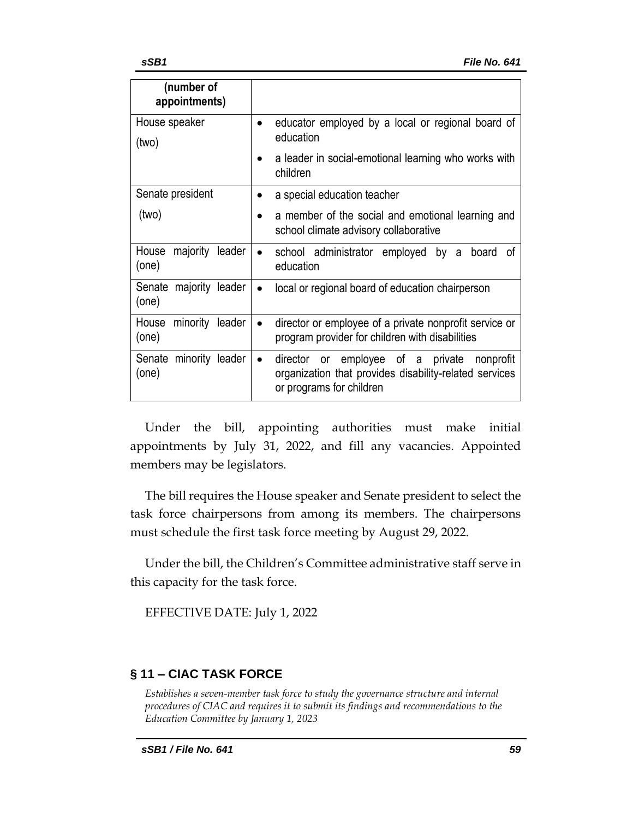| (number of<br>appointments)          |                                                                                    |
|--------------------------------------|------------------------------------------------------------------------------------|
| House speaker                        | educator employed by a local or regional board of                                  |
| (two)                                | education                                                                          |
|                                      | a leader in social-emotional learning who works with<br>children                   |
| Senate president                     | a special education teacher                                                        |
| (two)                                | a member of the social and emotional learning and                                  |
|                                      | school climate advisory collaborative                                              |
| House<br>majority<br>leader<br>(one) | school administrator employed by a<br>board<br>οt<br>education                     |
|                                      |                                                                                    |
| Senate majority leader               | local or regional board of education chairperson                                   |
| (one)                                |                                                                                    |
| House minority leader                | director or employee of a private nonprofit service or                             |
| (one)                                | program provider for children with disabilities                                    |
| Senate minority leader               | employee of a private<br>director<br>nonprofit<br>or<br>$\bullet$                  |
| (one)                                | organization that provides disability-related services<br>or programs for children |

Under the bill, appointing authorities must make initial appointments by July 31, 2022, and fill any vacancies. Appointed members may be legislators.

The bill requires the House speaker and Senate president to select the task force chairpersons from among its members. The chairpersons must schedule the first task force meeting by August 29, 2022.

Under the bill, the Children's Committee administrative staff serve in this capacity for the task force.

EFFECTIVE DATE: July 1, 2022

# <span id="page-58-0"></span>**§ 11 – CIAC TASK FORCE**

<span id="page-58-1"></span>*Establishes a seven-member task force to study the governance structure and internal procedures of CIAC and requires it to submit its findings and recommendations to the Education Committee by January 1, 2023*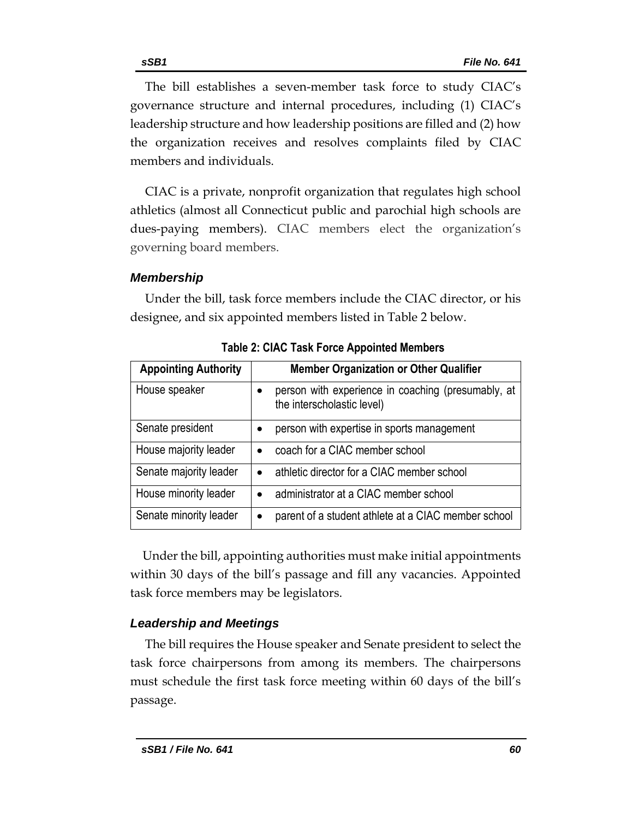The bill establishes a seven-member task force to study CIAC's governance structure and internal procedures, including (1) CIAC's leadership structure and how leadership positions are filled and (2) how the organization receives and resolves complaints filed by CIAC members and individuals.

CIAC is a private, nonprofit organization that regulates high school athletics (almost all Connecticut public and parochial high schools are dues-paying members). CIAC members elect the organization's governing board members.

# *Membership*

Under the bill, task force members include the CIAC director, or his designee, and six appointed members listed in Table 2 below.

| <b>Appointing Authority</b> | <b>Member Organization or Other Qualifier</b>                                    |
|-----------------------------|----------------------------------------------------------------------------------|
| House speaker               | person with experience in coaching (presumably, at<br>the interscholastic level) |
| Senate president            | person with expertise in sports management                                       |
| House majority leader       | coach for a CIAC member school                                                   |
| Senate majority leader      | athletic director for a CIAC member school<br>$\bullet$                          |
| House minority leader       | administrator at a CIAC member school<br>$\bullet$                               |
| Senate minority leader      | parent of a student athlete at a CIAC member school                              |

**Table 2: CIAC Task Force Appointed Members**

 Under the bill, appointing authorities must make initial appointments within 30 days of the bill's passage and fill any vacancies. Appointed task force members may be legislators.

# *Leadership and Meetings*

The bill requires the House speaker and Senate president to select the task force chairpersons from among its members. The chairpersons must schedule the first task force meeting within 60 days of the bill's passage.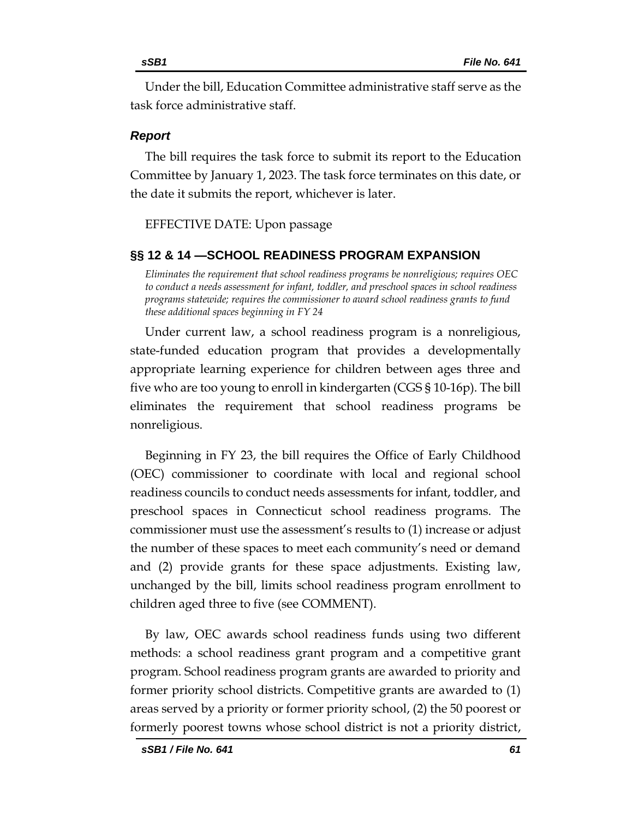Under the bill, Education Committee administrative staff serve as the task force administrative staff.

# *Report*

The bill requires the task force to submit its report to the Education Committee by January 1, 2023. The task force terminates on this date, or the date it submits the report, whichever is later.

# EFFECTIVE DATE: Upon passage

# <span id="page-60-0"></span>**§§ 12 & 14 —SCHOOL READINESS PROGRAM EXPANSION**

<span id="page-60-1"></span>*Eliminates the requirement that school readiness programs be nonreligious; requires OEC to conduct a needs assessment for infant, toddler, and preschool spaces in school readiness programs statewide; requires the commissioner to award school readiness grants to fund these additional spaces beginning in FY 24*

Under current law, a school readiness program is a nonreligious, state-funded education program that provides a developmentally appropriate learning experience for children between ages three and five who are too young to enroll in kindergarten (CGS § 10-16p). The bill eliminates the requirement that school readiness programs be nonreligious.

Beginning in FY 23, the bill requires the Office of Early Childhood (OEC) commissioner to coordinate with local and regional school readiness councils to conduct needs assessments for infant, toddler, and preschool spaces in Connecticut school readiness programs. The commissioner must use the assessment's results to (1) increase or adjust the number of these spaces to meet each community's need or demand and (2) provide grants for these space adjustments. Existing law, unchanged by the bill, limits school readiness program enrollment to children aged three to five (see COMMENT).

By law, OEC awards school readiness funds using two different methods: a school readiness grant program and a competitive grant program. School readiness program grants are awarded to priority and former priority school districts. Competitive grants are awarded to (1) areas served by a priority or former priority school, (2) the 50 poorest or formerly poorest towns whose school district is not a priority district,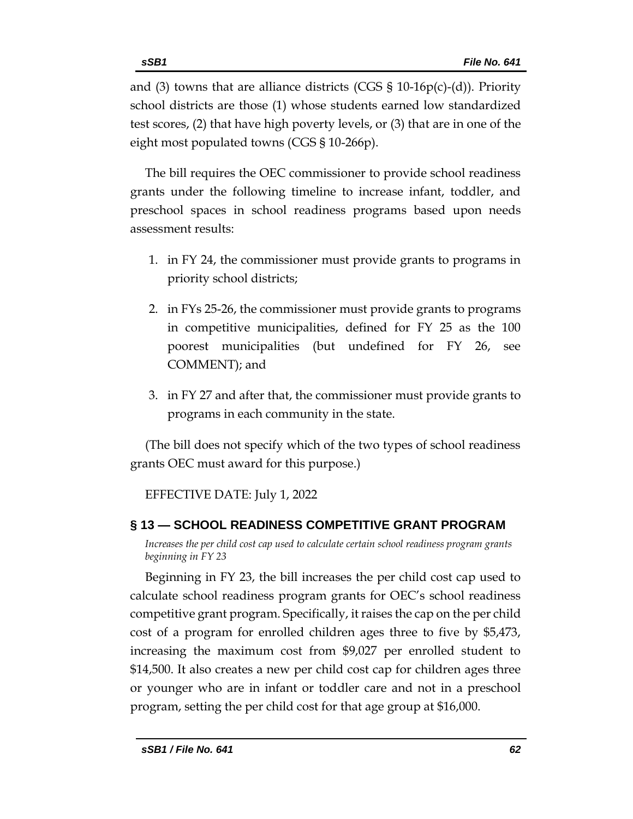and (3) towns that are alliance districts (CGS  $\S$  10-16p(c)-(d)). Priority school districts are those (1) whose students earned low standardized test scores, (2) that have high poverty levels, or (3) that are in one of the eight most populated towns (CGS § 10-266p).

The bill requires the OEC commissioner to provide school readiness grants under the following timeline to increase infant, toddler, and preschool spaces in school readiness programs based upon needs assessment results:

- 1. in FY 24, the commissioner must provide grants to programs in priority school districts;
- 2. in FYs 25-26, the commissioner must provide grants to programs in competitive municipalities, defined for FY 25 as the 100 poorest municipalities (but undefined for FY 26, see COMMENT); and
- 3. in FY 27 and after that, the commissioner must provide grants to programs in each community in the state.

(The bill does not specify which of the two types of school readiness grants OEC must award for this purpose.)

EFFECTIVE DATE: July 1, 2022

# <span id="page-61-0"></span>**§ 13 — SCHOOL READINESS COMPETITIVE GRANT PROGRAM**

<span id="page-61-1"></span>*Increases the per child cost cap used to calculate certain school readiness program grants beginning in FY 23*

Beginning in FY 23, the bill increases the per child cost cap used to calculate school readiness program grants for OEC's school readiness competitive grant program. Specifically, it raises the cap on the per child cost of a program for enrolled children ages three to five by \$5,473, increasing the maximum cost from \$9,027 per enrolled student to \$14,500. It also creates a new per child cost cap for children ages three or younger who are in infant or toddler care and not in a preschool program, setting the per child cost for that age group at \$16,000.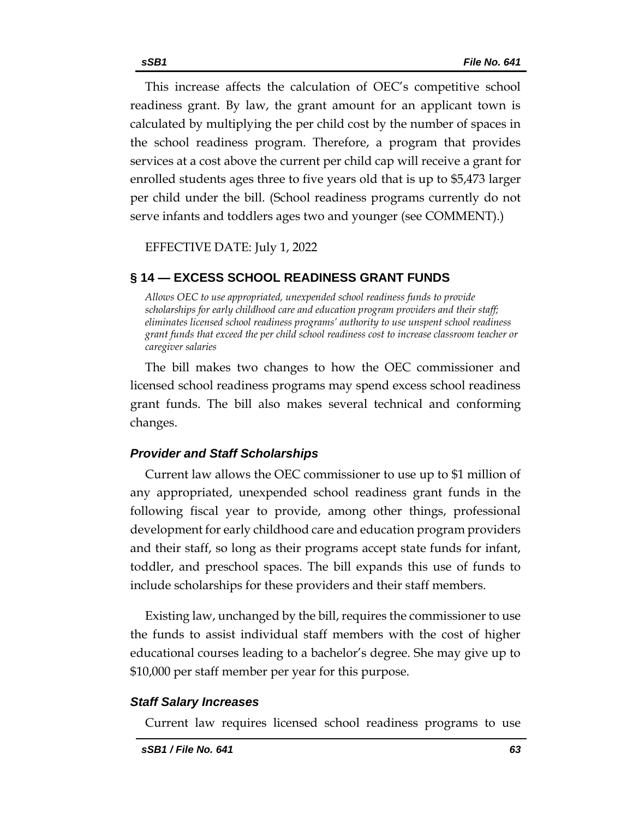This increase affects the calculation of OEC's competitive school readiness grant. By law, the grant amount for an applicant town is calculated by multiplying the per child cost by the number of spaces in the school readiness program. Therefore, a program that provides services at a cost above the current per child cap will receive a grant for enrolled students ages three to five years old that is up to \$5,473 larger per child under the bill. (School readiness programs currently do not serve infants and toddlers ages two and younger (see COMMENT).)

EFFECTIVE DATE: July 1, 2022

# <span id="page-62-0"></span>**§ 14 — EXCESS SCHOOL READINESS GRANT FUNDS**

<span id="page-62-1"></span>*Allows OEC to use appropriated, unexpended school readiness funds to provide scholarships for early childhood care and education program providers and their staff; eliminates licensed school readiness programs' authority to use unspent school readiness grant funds that exceed the per child school readiness cost to increase classroom teacher or caregiver salaries*

The bill makes two changes to how the OEC commissioner and licensed school readiness programs may spend excess school readiness grant funds. The bill also makes several technical and conforming changes.

# *Provider and Staff Scholarships*

Current law allows the OEC commissioner to use up to \$1 million of any appropriated, unexpended school readiness grant funds in the following fiscal year to provide, among other things, professional development for early childhood care and education program providers and their staff, so long as their programs accept state funds for infant, toddler, and preschool spaces. The bill expands this use of funds to include scholarships for these providers and their staff members.

Existing law, unchanged by the bill, requires the commissioner to use the funds to assist individual staff members with the cost of higher educational courses leading to a bachelor's degree. She may give up to \$10,000 per staff member per year for this purpose.

# *Staff Salary Increases*

Current law requires licensed school readiness programs to use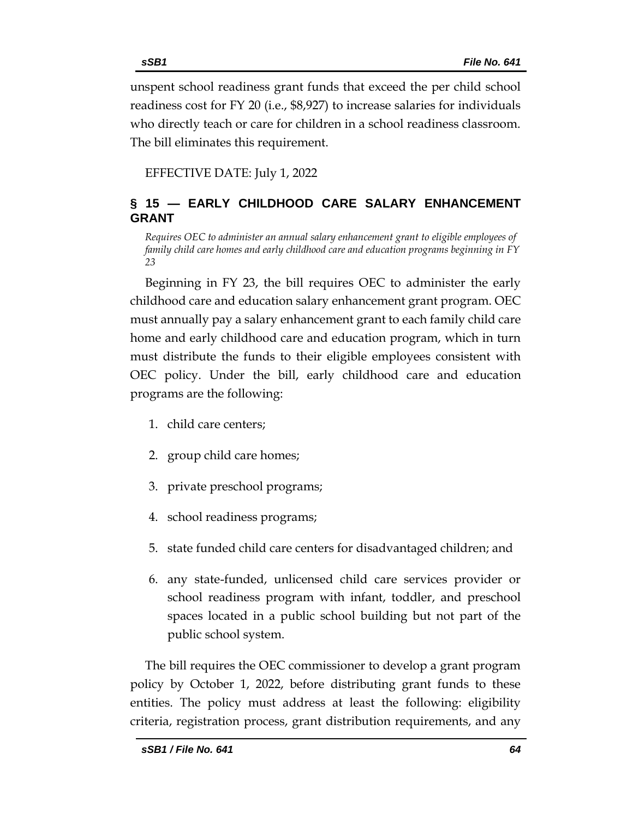readiness cost for FY 20 (i.e., \$8,927) to increase salaries for individuals who directly teach or care for children in a school readiness classroom. The bill eliminates this requirement.

EFFECTIVE DATE: July 1, 2022

# <span id="page-63-0"></span>**§ 15 — EARLY CHILDHOOD CARE SALARY ENHANCEMENT GRANT**

<span id="page-63-1"></span>*Requires OEC to administer an annual salary enhancement grant to eligible employees of family child care homes and early childhood care and education programs beginning in FY 23*

Beginning in FY 23, the bill requires OEC to administer the early childhood care and education salary enhancement grant program. OEC must annually pay a salary enhancement grant to each family child care home and early childhood care and education program, which in turn must distribute the funds to their eligible employees consistent with OEC policy. Under the bill, early childhood care and education programs are the following:

- 1. child care centers;
- 2. group child care homes;
- 3. private preschool programs;
- 4. school readiness programs;
- 5. state funded child care centers for disadvantaged children; and
- 6. any state-funded, unlicensed child care services provider or school readiness program with infant, toddler, and preschool spaces located in a public school building but not part of the public school system.

The bill requires the OEC commissioner to develop a grant program policy by October 1, 2022, before distributing grant funds to these entities. The policy must address at least the following: eligibility criteria, registration process, grant distribution requirements, and any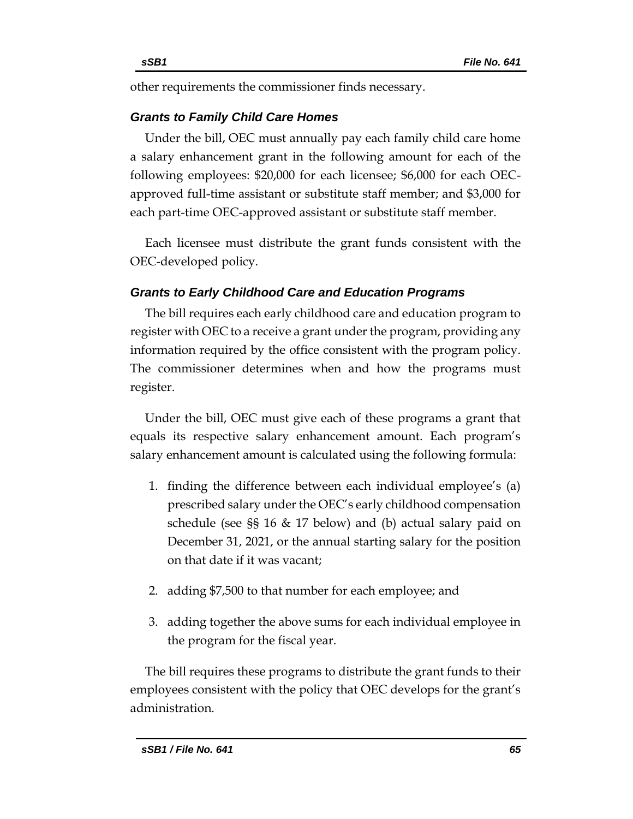other requirements the commissioner finds necessary.

# *Grants to Family Child Care Homes*

Under the bill, OEC must annually pay each family child care home a salary enhancement grant in the following amount for each of the following employees: \$20,000 for each licensee; \$6,000 for each OECapproved full-time assistant or substitute staff member; and \$3,000 for each part-time OEC-approved assistant or substitute staff member.

Each licensee must distribute the grant funds consistent with the OEC-developed policy.

# *Grants to Early Childhood Care and Education Programs*

The bill requires each early childhood care and education program to register with OEC to a receive a grant under the program, providing any information required by the office consistent with the program policy. The commissioner determines when and how the programs must register.

Under the bill, OEC must give each of these programs a grant that equals its respective salary enhancement amount. Each program's salary enhancement amount is calculated using the following formula:

- 1. finding the difference between each individual employee's (a) prescribed salary under the OEC's early childhood compensation schedule (see §§ 16 & 17 below) and (b) actual salary paid on December 31, 2021, or the annual starting salary for the position on that date if it was vacant;
- 2. adding \$7,500 to that number for each employee; and
- 3. adding together the above sums for each individual employee in the program for the fiscal year.

The bill requires these programs to distribute the grant funds to their employees consistent with the policy that OEC develops for the grant's administration.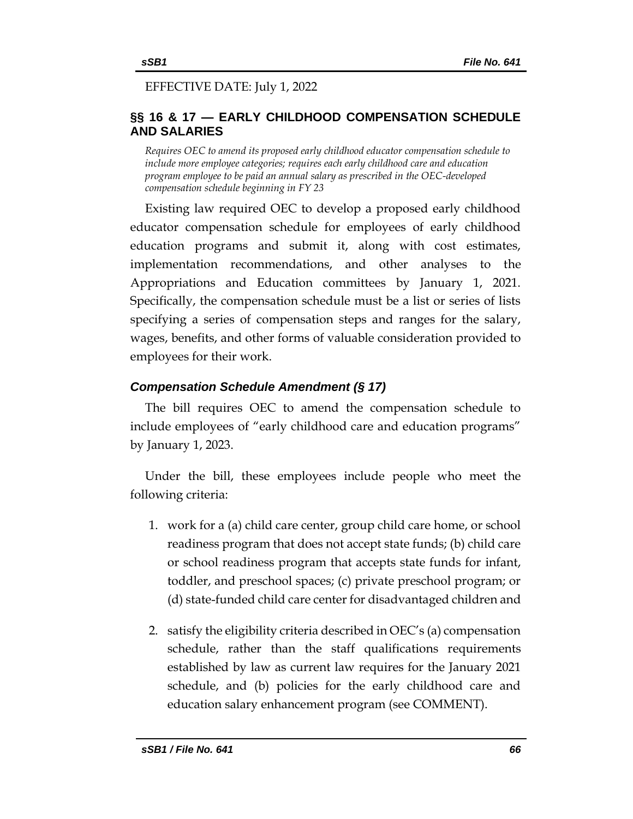# EFFECTIVE DATE: July 1, 2022

# <span id="page-65-0"></span>**§§ 16 & 17 — EARLY CHILDHOOD COMPENSATION SCHEDULE AND SALARIES**

<span id="page-65-1"></span>*Requires OEC to amend its proposed early childhood educator compensation schedule to include more employee categories; requires each early childhood care and education program employee to be paid an annual salary as prescribed in the OEC-developed compensation schedule beginning in FY 23*

Existing law required OEC to develop a proposed early childhood educator compensation schedule for employees of early childhood education programs and submit it, along with cost estimates, implementation recommendations, and other analyses to the Appropriations and Education committees by January 1, 2021. Specifically, the compensation schedule must be a list or series of lists specifying a series of compensation steps and ranges for the salary, wages, benefits, and other forms of valuable consideration provided to employees for their work.

# *Compensation Schedule Amendment (§ 17)*

The bill requires OEC to amend the compensation schedule to include employees of "early childhood care and education programs" by January 1, 2023.

Under the bill, these employees include people who meet the following criteria:

- 1. work for a (a) child care center, group child care home, or school readiness program that does not accept state funds; (b) child care or school readiness program that accepts state funds for infant, toddler, and preschool spaces; (c) private preschool program; or (d) state-funded child care center for disadvantaged children and
- 2. satisfy the eligibility criteria described in OEC's (a) compensation schedule, rather than the staff qualifications requirements established by law as current law requires for the January 2021 schedule, and (b) policies for the early childhood care and education salary enhancement program (see COMMENT).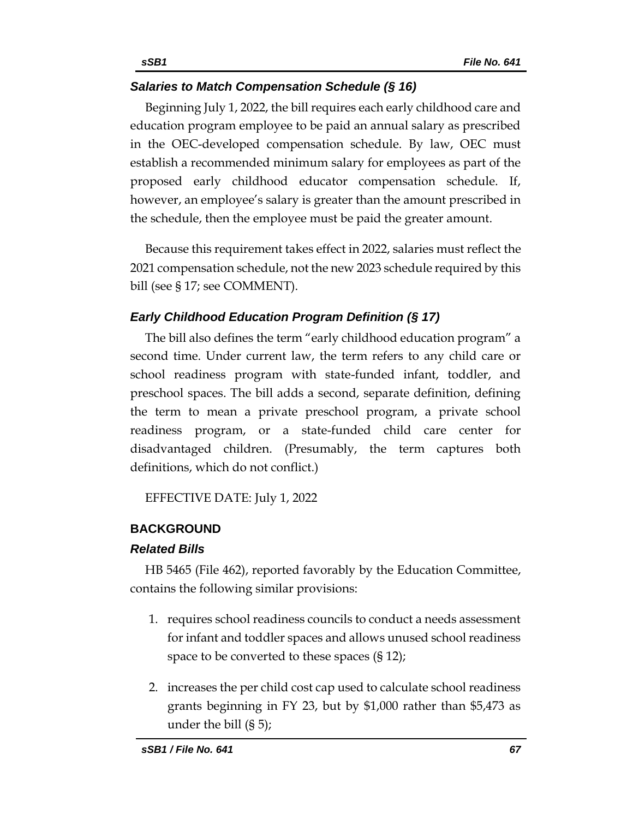# *Salaries to Match Compensation Schedule (§ 16)*

Beginning July 1, 2022, the bill requires each early childhood care and education program employee to be paid an annual salary as prescribed in the OEC-developed compensation schedule. By law, OEC must establish a recommended minimum salary for employees as part of the proposed early childhood educator compensation schedule. If, however, an employee's salary is greater than the amount prescribed in the schedule, then the employee must be paid the greater amount.

Because this requirement takes effect in 2022, salaries must reflect the 2021 compensation schedule, not the new 2023 schedule required by this bill (see § 17; see COMMENT).

# *Early Childhood Education Program Definition (§ 17)*

The bill also defines the term "early childhood education program" a second time. Under current law, the term refers to any child care or school readiness program with state-funded infant, toddler, and preschool spaces. The bill adds a second, separate definition, defining the term to mean a private preschool program, a private school readiness program, or a state-funded child care center for disadvantaged children. (Presumably, the term captures both definitions, which do not conflict.)

EFFECTIVE DATE: July 1, 2022

# <span id="page-66-0"></span>**BACKGROUND**

## *Related Bills*

HB 5465 (File 462), reported favorably by the Education Committee, contains the following similar provisions:

- 1. requires school readiness councils to conduct a needs assessment for infant and toddler spaces and allows unused school readiness space to be converted to these spaces (§ 12);
- 2. increases the per child cost cap used to calculate school readiness grants beginning in FY 23, but by \$1,000 rather than \$5,473 as under the bill (§ 5);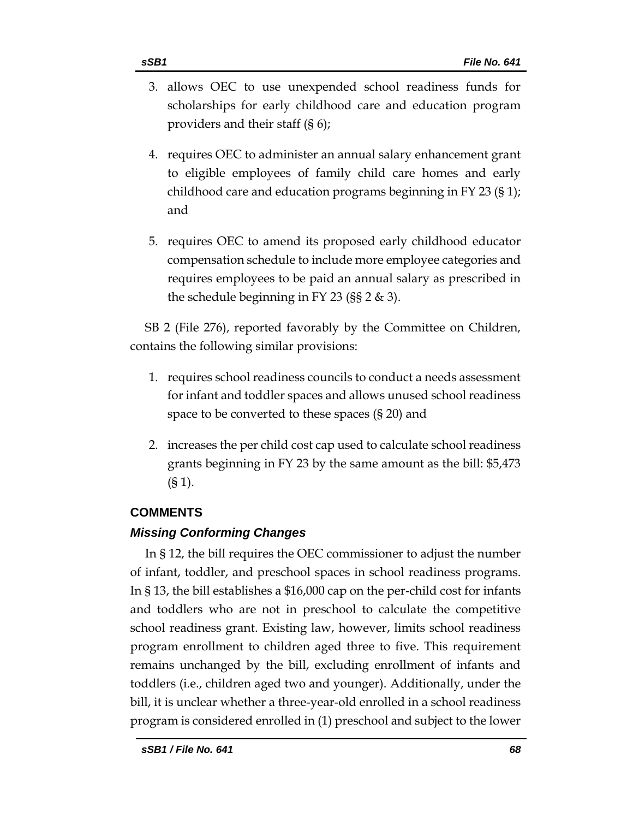- 3. allows OEC to use unexpended school readiness funds for scholarships for early childhood care and education program providers and their staff (§ 6);
- 4. requires OEC to administer an annual salary enhancement grant to eligible employees of family child care homes and early childhood care and education programs beginning in FY 23 (§ 1); and
- 5. requires OEC to amend its proposed early childhood educator compensation schedule to include more employee categories and requires employees to be paid an annual salary as prescribed in the schedule beginning in FY 23 (§§ 2 & 3).

SB 2 (File 276), reported favorably by the Committee on Children, contains the following similar provisions:

- 1. requires school readiness councils to conduct a needs assessment for infant and toddler spaces and allows unused school readiness space to be converted to these spaces (§ 20) and
- 2. increases the per child cost cap used to calculate school readiness grants beginning in FY 23 by the same amount as the bill: \$5,473 (§ 1).

# <span id="page-67-0"></span>**COMMENTS**

# *Missing Conforming Changes*

In § 12, the bill requires the OEC commissioner to adjust the number of infant, toddler, and preschool spaces in school readiness programs. In § 13, the bill establishes a \$16,000 cap on the per-child cost for infants and toddlers who are not in preschool to calculate the competitive school readiness grant. Existing law, however, limits school readiness program enrollment to children aged three to five. This requirement remains unchanged by the bill, excluding enrollment of infants and toddlers (i.e., children aged two and younger). Additionally, under the bill, it is unclear whether a three-year-old enrolled in a school readiness program is considered enrolled in (1) preschool and subject to the lower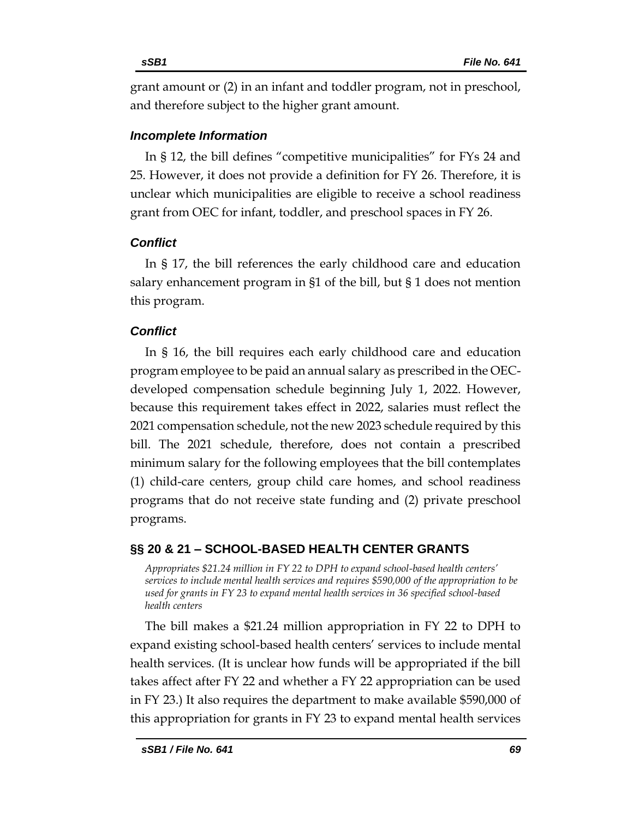grant amount or (2) in an infant and toddler program, not in preschool, and therefore subject to the higher grant amount.

# *Incomplete Information*

In § 12, the bill defines "competitive municipalities" for FYs 24 and 25. However, it does not provide a definition for FY 26. Therefore, it is unclear which municipalities are eligible to receive a school readiness grant from OEC for infant, toddler, and preschool spaces in FY 26.

# *Conflict*

In § 17, the bill references the early childhood care and education salary enhancement program in §1 of the bill, but § 1 does not mention this program.

# *Conflict*

In § 16, the bill requires each early childhood care and education program employee to be paid an annual salary as prescribed in the OECdeveloped compensation schedule beginning July 1, 2022. However, because this requirement takes effect in 2022, salaries must reflect the 2021 compensation schedule, not the new 2023 schedule required by this bill. The 2021 schedule, therefore, does not contain a prescribed minimum salary for the following employees that the bill contemplates (1) child-care centers, group child care homes, and school readiness programs that do not receive state funding and (2) private preschool programs.

# <span id="page-68-0"></span>**§§ 20 & 21 – SCHOOL-BASED HEALTH CENTER GRANTS**

<span id="page-68-1"></span>*Appropriates \$21.24 million in FY 22 to DPH to expand school-based health centers' services to include mental health services and requires \$590,000 of the appropriation to be used for grants in FY 23 to expand mental health services in 36 specified school-based health centers*

The bill makes a \$21.24 million appropriation in FY 22 to DPH to expand existing school-based health centers' services to include mental health services. (It is unclear how funds will be appropriated if the bill takes affect after FY 22 and whether a FY 22 appropriation can be used in FY 23.) It also requires the department to make available \$590,000 of this appropriation for grants in FY 23 to expand mental health services